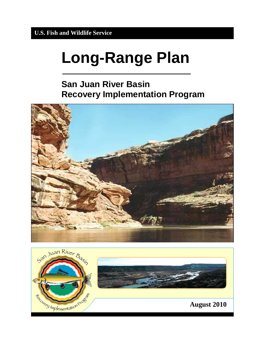# **Long-Range Plan**

# **San Juan River Basin Recovery Implementation Program**



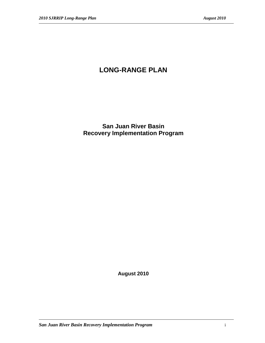# **LONG-RANGE PLAN**

**San Juan River Basin Recovery Implementation Program**

**August 2010**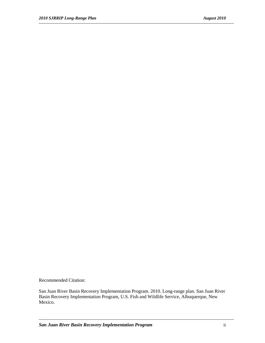Recommended Citation:

San Juan River Basin Recovery Implementation Program. 2010. Long-range plan. San Juan River Basin Recovery Implementation Program, U.S. Fish and Wildlife Service, Albuquerque, New Mexico.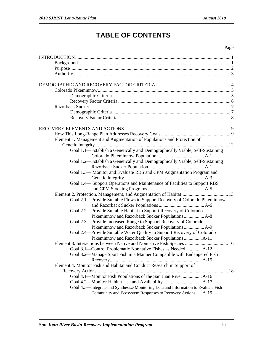# **TABLE OF CONTENTS**

#### Page

| Element 1. Management and Augmentation of Populations and Protection of            |  |
|------------------------------------------------------------------------------------|--|
|                                                                                    |  |
| Goal 1.1-Establish a Genetically and Demographically Viable, Self-Sustaining       |  |
|                                                                                    |  |
| Goal 1.2-Establish a Genetically and Demographically Viable, Self-Sustaining       |  |
|                                                                                    |  |
| Goal 1.3-Monitor and Evaluate RBS and CPM Augmentation Program and                 |  |
|                                                                                    |  |
| Goal 1.4— Support Operations and Maintenance of Facilities to Support RBS          |  |
|                                                                                    |  |
|                                                                                    |  |
| Goal 2.1—Provide Suitable Flows to Support Recovery of Colorado Pikeminnow         |  |
|                                                                                    |  |
|                                                                                    |  |
| Goal 2.2-Provide Suitable Habitat to Support Recovery of Colorado                  |  |
| Pikeminnow and Razorback Sucker Populations  A-8                                   |  |
| Goal 2.3—Provide Increased Range to Support Recovery of Colorado                   |  |
| Pikeminnow and Razorback Sucker Populations  A-9                                   |  |
| Goal 2.4—Provide Suitable Water Quality to Support Recovery of Colorado            |  |
| Pikeminnow and Razorback Sucker Populations  A-11                                  |  |
| Element 3. Interactions between Native and Nonnative Fish Species  16              |  |
| Goal 3.1—Control Problematic Nonnative Fishes as Needed  A-12                      |  |
| Goal 3.2—Manage Sport Fish in a Manner Compatible with Endangered Fish             |  |
|                                                                                    |  |
| Element 4. Monitor Fish and Habitat and Conduct Research in Support of             |  |
|                                                                                    |  |
| Goal 4.1—Monitor Fish Populations of the San Juan River  A-16                      |  |
|                                                                                    |  |
| Goal 4.3-Integrate and Synthesize Monitoring Data and Information to Evaluate Fish |  |
| Community and Ecosystem Responses to Recovery Actions  A-19                        |  |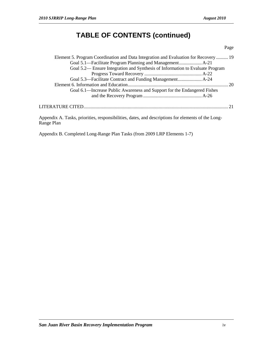# **TABLE OF CONTENTS (continued)**

#### Page

| Element 5. Program Coordination and Data Integration and Evaluation for Recovery  19            |  |
|-------------------------------------------------------------------------------------------------|--|
|                                                                                                 |  |
| Goal 5.2— Ensure Integration and Synthesis of Information to Evaluate Program                   |  |
|                                                                                                 |  |
|                                                                                                 |  |
|                                                                                                 |  |
| Goal 6.1—Increase Public Awareness and Support for the Endangered Fishes                        |  |
|                                                                                                 |  |
|                                                                                                 |  |
| Apparently A. Tooke priorities responsibilities dates and descriptions for elements of the Long |  |

Appendix A. Tasks, priorities, responsibilities, dates, and descriptions for elements of the Long-Range Plan

Appendix B. Completed Long-Range Plan Tasks (from 2009 LRP Elements 1-7)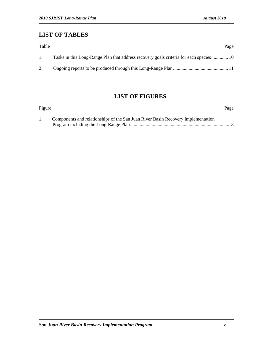## **LIST OF TABLES**

| Table          | Page                                                                                   |
|----------------|----------------------------------------------------------------------------------------|
| $\mathbf{1}$ . | Tasks in this Long-Range Plan that address recovery goals criteria for each species 10 |
|                |                                                                                        |

# **LIST OF FIGURES**

| Figure |                                                                                  | Page |
|--------|----------------------------------------------------------------------------------|------|
|        | Components and relationships of the San Juan River Basin Recovery Implementation |      |
|        |                                                                                  |      |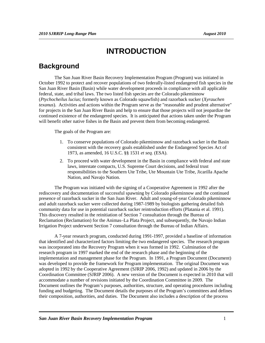# **INTRODUCTION**

### **Background**

The San Juan River Basin Recovery Implementation Program (Program) was initiated in October 1992 to protect and recover populations of two federally-listed endangered fish species in the San Juan River Basin (Basin) while water development proceeds in compliance with all applicable federal, state, and tribal laws. The two listed fish species are the Colorado pikeminnow (*Ptychocheilus lucius*; formerly known as Colorado squawfish) and razorback sucker (*Xyrauchen texanus*). Activities and actions within the Program serve as the "reasonable and prudent alternative" for projects in the San Juan River Basin and help to ensure that those projects will not jeopardize the continued existence of the endangered species. It is anticipated that actions taken under the Program will benefit other native fishes in the Basin and prevent them from becoming endangered.

The goals of the Program are:

- 1. To conserve populations of Colorado pikeminnow and razorback sucker in the Basin consistent with the recovery goals established under the Endangered Species Act of 1973, as amended, 16 U.S.C. §§ 1531 *et seq.* (ESA).
- 2. To proceed with water development in the Basin in compliance with federal and state laws, interstate compacts, U.S. Supreme Court decisions, and federal trust responsibilities to the Southern Ute Tribe, Ute Mountain Ute Tribe, Jicarilla Apache Nation, and Navajo Nation.

The Program was initiated with the signing of a Cooperative Agreement in 1992 after the rediscovery and documentation of successful spawning by Colorado pikeminnow and the continued presence of razorback sucker in the San Juan River. Adult and young-of-year Colorado pikeminnow and adult razorback sucker were collected during 1987-1989 by biologists gathering detailed fish community data for use in potential razorback sucker reintroduction efforts (Platania et al. 1991). This discovery resulted in the reinitiation of Section 7 consultation through the Bureau of Reclamation (Reclamation) for the Animas–La Plata Project, and subsequently, the Navajo Indian Irrigation Project underwent Section 7 consultation through the Bureau of Indian Affairs.

A 7-year research program, conducted during 1991-1997, provided a baseline of information that identified and characterized factors limiting the two endangered species. The research program was incorporated into the Recovery Program when it was formed in 1992. Culmination of the research program in 1997 marked the end of the research phase and the beginning of the implementation and management phase for the Program. In 1991, a Program Document (Document) was developed to provide the framework for Program implementation. The original Document was adopted in 1992 by the Cooperative Agreement (SJRIP 2006, 1992) and updated in 2006 by the Coordination Committee (SJRIP 2006). A new version of the Document is expected in 2010 that will accommodate a number of revisions initiated by the Coordination Committee in 2009. The Document outlines the Program's purposes, authorities, structure, and operating procedures including funding and budgeting. The Document details the purposes of the Program's committees and defines their composition, authorities, and duties. The Document also includes a description of the process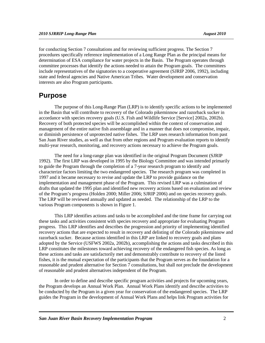for conducting Section 7 consultations and for reviewing sufficient progress. The Section 7 procedures specifically reference implementation of a Long Range Plan as the principal means for determination of ESA compliance for water projects in the Basin. The Program operates through committee processes that identify the actions needed to attain the Program goals. The committees include representatives of the signatories to a cooperative agreement (SJRIP 2006, 1992), including state and federal agencies and Native American Tribes. Water development and conservation interests are also Program participants.

### **Purpose**

The purpose of this Long-Range Plan (LRP) is to identify specific actions to be implemented in the Basin that will contribute to recovery of the Colorado pikeminnow and razorback sucker in accordance with species recovery goals (U.S. Fish and Wildlife Service [Service] 2002a, 2002b). Recovery of both protected species will be accomplished within the context of conservation and management of the entire native fish assemblage and in a manner that does not compromise, impair, or diminish persistence of unprotected native fishes. The LRP uses research information from past San Juan River studies, as well as that from other regions and Program evaluation reports to identify multi-year research, monitoring, and recovery actions necessary to achieve the Program goals.

The need for a long-range plan was identified in the original Program Document (SJRIP 1992). The first LRP was developed in 1995 by the Biology Committee and was intended primarily to guide the Program through the completion of a 7-year research program to identify and characterize factors limiting the two endangered species. The research program was completed in 1997 and it became necessary to revise and update the LRP to provide guidance on the implementation and management phase of the Program. This revised LRP was a culmination of drafts that updated the 1995 plan and identified new recovery actions based on evaluation and review of the Program's progress (Holden 2000; Miller 2006; SJRIP 2006) and on species recovery goals. The LRP will be reviewed annually and updated as needed. The relationship of the LRP to the various Program components is shown in Figure 1.

This LRP identifies actions and tasks to be accomplished and the time frame for carrying out these tasks and activities consistent with species recovery and appropriate for evaluating Program progress. This LRP identifies and describes the progression and priority of implementing identified recovery actions that are expected to result in recovery and delisting of the Colorado pikeminnow and razorback sucker. Because actions identified in this LRP are linked to recovery goals and plans adopted by the Service (USFWS 2002a, 2002b), accomplishing the actions and tasks described in this LRP constitutes the milestones toward achieving recovery of the endangered fish species. As long as these actions and tasks are satisfactorily met and demonstrably contribute to recovery of the listed fishes, it is the mutual expectation of the participants that the Program serves as the foundation for a reasonable and prudent alternative for Section 7 consultations, but shall not preclude the development of reasonable and prudent alternatives independent of the Program.

In order to define and describe specific program activities and projects for upcoming years, the Program develops an Annual Work Plan. Annual Work Plans identify and describe activities to be conducted by the Program in a given year for conservation of the endangered species. The LRP guides the Program in the development of Annual Work Plans and helps link Program activities for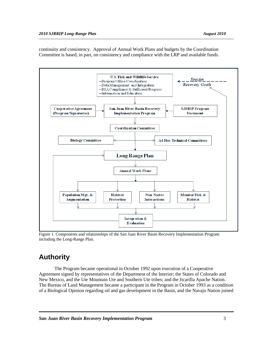continuity and consistency. Approval of Annual Work Plans and budgets by the Coordination Committee is based, in part, on consistency and compliance with the LRP and available funds.



Figure 1. Components and relationships of the San Juan River Basin Recovery Implementation Program including the Long-Range Plan.

# **Authority**

The Program became operational in October 1992 upon execution of a Cooperative Agreement signed by representatives of the Department of the Interior; the States of Colorado and New Mexico, and the Ute Mountain Ute and Southern Ute tribes; and the Jicarilla Apache Nation. The Bureau of Land Management became a participant in the Program in October 1993 as a condition of a Biological Opinion regarding oil and gas development in the Basin, and the Navajo Nation joined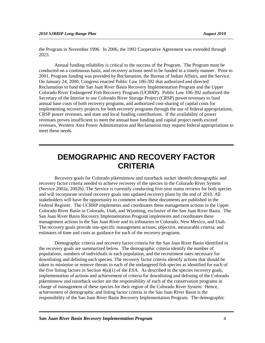the Program in November 1996. In 2006, the 1992 Cooperative Agreement was extended through 2023.

Annual funding reliability is critical to the success of the Program. The Program must be conducted on a continuous basis, and recovery actions need to be funded in a timely manner. Prior to 2001, Program funding was provided by Reclamation, the Bureau of Indian Affairs, and the Service. On January 24, 2000, Congress enacted Public Law 106-392 that authorized and directed Reclamation to fund the San Juan River Basin Recovery Implementation Program and the Upper Colorado River Endangered Fish Recovery Program (UCRRP). Public Law 106-392 authorized the Secretary of the Interior to use Colorado River Storage Project (CRSP) power revenues to fund annual base costs of both recovery programs, and authorized cost-sharing of capital costs for implementing recovery projects for both recovery programs through the use of federal appropriations, CRSP power revenues, and state and local funding contributions. If the availability of power revenues proves insufficient to meet the annual base funding and capital project needs exceed revenues, Western Area Power Administration and Reclamation may request federal appropriations to meet these needs.

# **DEMOGRAPHIC AND RECOVERY FACTOR CRITERIA**

Recovery goals for Colorado pikeminnow and razorback sucker identify demographic and recovery factor criteria needed to achieve recovery of the species in the Colorado River System (Service 2002a, 2002b). The Service is currently conducting five-year status reviews for both species and will incorporate revised recovery goals into updated recovery plans by the end of 2010. All stakeholders will have the opportunity to comment when these documents are published in the Federal Register. The UCRRP implements and coordinates these management actions in the Upper Colorado River Basin in Colorado, Utah, and Wyoming, exclusive of the San Juan River Basin. The San Juan River Basin Recovery Implementation Program implements and coordinates these management actions in the San Juan River and its tributaries in Colorado, New Mexico, and Utah. The recovery goals provide site-specific management actions; objective, measurable criteria; and estimates of time and costs as guidance for each of the recovery programs.

Demographic criteria and recovery factor criteria for the San Juan River Basin identified in the recovery goals are summarized below. The demographic criteria identify the number of populations, numbers of individuals in each population, and the recruitment rates necessary for downlisting and delisting each species. The recovery factor criteria identify actions that should be taken to minimize or remove threats to each of the endangered fish species as identified for each of the five listing factors in Section  $4(a)(1)$  of the ESA. As described in the species recovery goals, implementation of actions and achievement of criteria for downlisting and delisting of the Colorado pikeminnow and razorback sucker are the responsibility of each of the conservation programs in charge of management of these species for their region of the Colorado River System. Hence, achievement of demographic and listing factor criteria in the San Juan River Basin is the responsibility of the San Juan River Basin Recovery Implementation Program. The demographic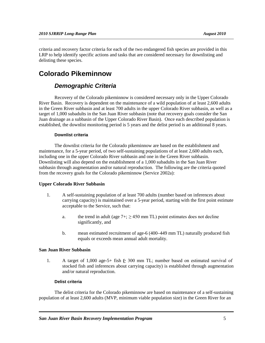criteria and recovery factor criteria for each of the two endangered fish species are provided in this LRP to help identify specific actions and tasks that are considered necessary for downlisting and delisting these species.

# **Colorado Pikeminnow**

### *Demographic Criteria*

Recovery of the Colorado pikeminnow is considered necessary only in the Upper Colorado River Basin. Recovery is dependent on the maintenance of a wild population of at least 2,600 adults in the Green River subbasin and at least 700 adults in the upper Colorado River subbasin, as well as a target of 1,000 subadults in the San Juan River subbasin (note that recovery goals consider the San Juan drainage as a subbasin of the Upper Colorado River Basin). Once each described population is established, the downlist monitoring period is 5 years and the delist period is an additional 8 years.

#### **Downlist criteria**

The downlist criteria for the Colorado pikeminnow are based on the establishment and maintenance, for a 5-year period, of two self-sustaining populations of at least 2,600 adults each, including one in the upper Colorado River subbasin and one in the Green River subbasin. Downlisting will also depend on the establishment of a 1,000 subadults in the San Juan River subbasin through augmentation and/or natural reproduction. The following are the criteria quoted from the recovery goals for the Colorado pikeminnow (Service 2002a):

#### **Upper Colorado River Subbasin**

- 1. A self-sustaining population of at least 700 adults (number based on inferences about carrying capacity) is maintained over a 5-year period, starting with the first point estimate acceptable to the Service, such that:
	- a. the trend in adult (age  $7+$ ;  $\geq$  450 mm TL) point estimates does not decline significantly, and
	- b. mean estimated recruitment of age-6 (400–449 mm TL) naturally produced fish equals or exceeds mean annual adult mortality.

#### **San Juan River Subbasin**

1. A target of 1,000 age-5+ fish  $\xi$  300 mm TL; number based on estimated survival of stocked fish and inferences about carrying capacity) is established through augmentation and/or natural reproduction.

#### **Delist criteria**

The delist criteria for the Colorado pikeminnow are based on maintenance of a self-sustaining population of at least 2,600 adults (MVP, minimum viable population size) in the Green River for an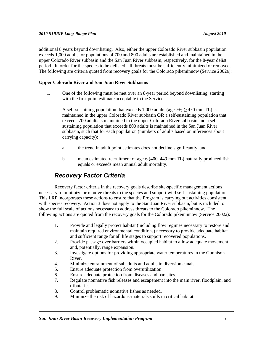additional 8 years beyond downlisting. Also, either the upper Colorado River subbasin population exceeds 1,000 adults, or populations of 700 and 800 adults are established and maintained in the upper Colorado River subbasin and the San Juan River subbasin, respectively, for the 8-year delist period. In order for the species to be delisted, all threats must be sufficiently minimized or removed. The following are criteria quoted from recovery goals for the Colorado pikeminnow (Service 2002a):

#### **Upper Colorado River and San Juan River Subbasins**

1. One of the following must be met over an 8-year period beyond downlisting, starting with the first point estimate acceptable to the Service:

A self-sustaining population that exceeds 1,000 adults (age  $7+$ ;  $\geq$  450 mm TL) is maintained in the upper Colorado River subbasin **OR** a self-sustaining population that exceeds 700 adults is maintained in the upper Colorado River subbasin and a selfsustaining population that exceeds 800 adults is maintained in the San Juan River subbasin, such that for each population (numbers of adults based on inferences about carrying capacity):

- a. the trend in adult point estimates does not decline significantly, and
- b. mean estimated recruitment of age-6 (400–449 mm TL) naturally produced fish equals or exceeds mean annual adult mortality.

### *Recovery Factor Criteria*

Recovery factor criteria in the recovery goals describe site-specific management actions necessary to minimize or remove threats to the species and support wild self-sustaining populations. This LRP incorporates these actions to ensure that the Program is carrying out activities consistent with species recovery. Action 3 does not apply to the San Juan River subbasin, but is included to show the full scale of actions necessary to address threats to the Colorado pikeminnow. The following actions are quoted from the recovery goals for the Colorado pikeminnow (Service 2002a):

- 1. Provide and legally protect habitat (including flow regimes necessary to restore and maintain required environmental conditions) necessary to provide adequate habitat and sufficient range for all life stages to support recovered populations.
- 2. Provide passage over barriers within occupied habitat to allow adequate movement and, potentially, range expansion.
- 3. Investigate options for providing appropriate water temperatures in the Gunnison River.
- 4. Minimize entrainment of subadults and adults in diversion canals.
- 5. Ensure adequate protection from overutilization.
- 6. Ensure adequate protection from diseases and parasites.
- 7. Regulate nonnative fish releases and escapement into the main river, floodplain, and tributaries.
- 8. Control problematic nonnative fishes as needed.
- 9. Minimize the risk of hazardous-materials spills in critical habitat.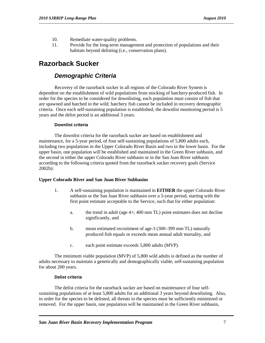- 10. Remediate water-quality problems.
- 11. Provide for the long-term management and protection of populations and their habitats beyond delisting (i.e., conservation plans).

# **Razorback Sucker**

### *Demographic Criteria*

Recovery of the razorback sucker in all regions of the Colorado River System is dependent on the establishment of wild populations from stocking of hatchery-produced fish. In order for the species to be considered for downlisting, each population must consist of fish that are spawned and hatched in the wild; hatchery fish cannot be included in recovery demographic criteria. Once each self-sustaining population is established, the downlist monitoring period is 5 years and the delist period is an additional 3 years.

#### **Downlist criteria**

The downlist criteria for the razorback sucker are based on establishment and maintenance, for a 5-year period, of four self-sustaining populations of 5,800 adults each, including two populations in the Upper Colorado River Basin and two in the lower basin. For the upper basin, one population will be established and maintained in the Green River subbasin, and the second in either the upper Colorado River subbasin or in the San Juan River subbasin according to the following criteria quoted from the razorback sucker recovery goals (Service 2002b):

#### **Upper Colorado River and San Juan River Subbasins**

- 1. A self-sustaining population is maintained in **EITHER** the upper Colorado River subbasin or the San Juan River subbasin over a 5-year period, starting with the first point estimate acceptable to the Service, such that for either population:
	- a. the trend in adult (age 4+; 400 mm TL) point estimates does not decline significantly, and
	- b. mean estimated recruitment of age-3 (300–399 mm TL) naturally produced fish equals or exceeds mean annual adult mortality, and
	- c. each point estimate exceeds 5,800 adults (MVP).

The minimum viable population (MVP) of 5,800 wild adults is defined as the number of adults necessary to maintain a genetically and demographically viable, self-sustaining population for about 200 years.

#### **Delist criteria**

The delist criteria for the razorback sucker are based on maintenance of four selfsustaining populations of at least 5,800 adults for an additional 3 years beyond downlisting. Also, in order for the species to be delisted, all threats to the species must be sufficiently minimized or removed. For the upper basin, one population will be maintained in the Green River subbasin,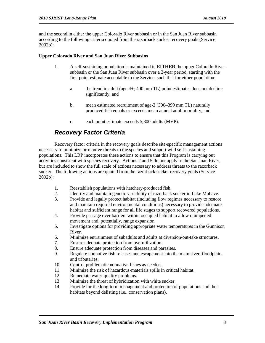and the second in either the upper Colorado River subbasin or in the San Juan River subbasin according to the following criteria quoted from the razorback sucker recovery goals (Service 2002b):

#### **Upper Colorado River and San Juan River Subbasins**

- 1. A self-sustaining population is maintained in **EITHER** the upper Colorado River subbasin or the San Juan River subbasin over a 3-year period, starting with the first point estimate acceptable to the Service, such that for either population:
	- a. the trend in adult (age 4+; 400 mm TL) point estimates does not decline significantly, and
	- b. mean estimated recruitment of age-3 (300–399 mm TL) naturally produced fish equals or exceeds mean annual adult mortality, and
	- c. each point estimate exceeds 5,800 adults (MVP).

# *Recovery Factor Criteria*

Recovery factor criteria in the recovery goals describe site-specific management actions necessary to minimize or remove threats to the species and support wild self-sustaining populations. This LRP incorporates these actions to ensure that this Program is carrying out activities consistent with species recovery. Actions 2 and 5 do not apply to the San Juan River, but are included to show the full scale of actions necessary to address threats to the razorback sucker. The following actions are quoted from the razorback sucker recovery goals (Service 2002b):

- 1. Reestablish populations with hatchery-produced fish.
- 2. Identify and maintain genetic variability of razorback sucker in Lake Mohave.
- 3. Provide and legally protect habitat (including flow regimes necessary to restore and maintain required environmental conditions) necessary to provide adequate habitat and sufficient range for all life stages to support recovered populations.
- 4. Provide passage over barriers within occupied habitat to allow unimpeded movement and, potentially, range expansion.
- 5. Investigate options for providing appropriate water temperatures in the Gunnison River.
- 6. Minimize entrainment of subadults and adults at diversion/out-take structures.
- 7. Ensure adequate protection from overutilization.
- 8. Ensure adequate protection from diseases and parasites.
- 9. Regulate nonnative fish releases and escapement into the main river, floodplain, and tributaries.
- 10. Control problematic nonnative fishes as needed.
- 11. Minimize the risk of hazardous-materials spills in critical habitat.
- 12. Remediate water-quality problems.<br>13. Minimize the threat of hybridization
- Minimize the threat of hybridization with white sucker.
- 14. Provide for the long-term management and protection of populations and their habitats beyond delisting (i.e., conservation plans).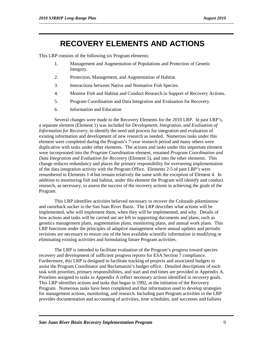# **RECOVERY ELEMENTS AND ACTIONS**

This LRP consists of the following six Program elements:

- 1. Management and Augmentation of Populations and Protection of Genetic Integrity.
- 2. Protection, Management, and Augmentation of Habitat.
- 3. Interactions between Native and Nonnative Fish Species.
- 4. Monitor Fish and Habitat and Conduct Research in Support of Recovery Actions.
- 5. Program Coordination and Data Integration and Evaluation for Recovery.
- 6. Information and Education

Several changes were made to the Recovery Elements for the 2010 LRP. In past LRP's, a separate element (Element 1) was included for *Development, Integration, and Evaluation of Information for Recovery,* to identify the need and process for integration and evaluation of existing information and development of new research as needed. Numerous tasks under this element were completed during the Program's 7-year research period and many others were duplicative with tasks under other elements. The actions and tasks under this important element were incorporated into the *Program Coordination* element, renamed *Program Coordination and Data Integration and Evaluation for Recovery* (Element 5), and into the other elements. This change reduces redundancy and places the primary responsibility for overseeing implementation of the data integration activity with the Program Office. Elements 2-5 of past LRP's were renumbered to Elements 1-4 but remain relatively the same with the exception of Element 4. In addition to monitoring fish and habitat, under this element the Program will identify and conduct research, as necessary, to assess the success of the recovery actions in achieving the goals of the Program.

This LRP identifies activities believed necessary to recover the Colorado pikeminnow and razorback sucker in the San Juan River Basin. The LRP describes what actions will be implemented, who will implement them, when they will be implemented, and why. Details of how actions and tasks will be carried out are left to supporting documents and plans, such as genetics management plans, augmentation plans, monitoring plans, and annual work plans. This LRP functions under the principles of adaptive management where annual updates and periodic revisions are necessary to ensure use of the best available scientific information in modifying or eliminating existing activities and formulating future Program activities.

The LRP is intended to facilitate evaluation of the Program's progress toward species recovery and development of sufficient progress reports for ESA Section 7 compliance. Furthermore, this LRP is designed to facilitate tracking of projects and associated budgets to assist the Program Coordinator and Reclamation's budget office. Detailed descriptions of each task with priorities, primary responsibilities, and start and end times are provided in Appendix A. Priorities assigned to tasks in Appendix A reflect necessary actions identified in recovery goals. This LRP identifies actions and tasks that began in 1992, at the initiation of the Recovery Program. Numerous tasks have been completed and that information used to develop strategies for management actions, monitoring, and research. Including past Program activities in the LRP provides documentation and accounting of activities, time schedules, and successes and failures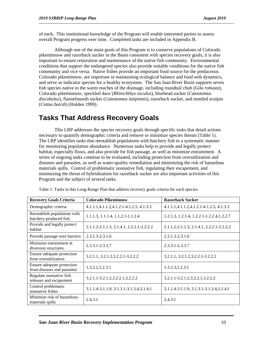of each. This institutional knowledge of the Program will enable interested parties to assess overall Program progress over time. Completed tasks are included in Appendix B.

Although one of the main goals of this Program is to conserve populations of Colorado pikeminnow and razorback sucker in the Basin consistent with species recovery goals, it is also important to ensure restoration and maintenance of the native fish community. Environmental conditions that support the endangered species also provide suitable conditions for the native fish community and vice versa. Native fishes provide an important food source for the predaceous Colorado pikeminnow, are important in maintaining ecological balance and food web dynamics, and serve as indicator species for a healthy ecosystem. The San Juan River Basin supports seven fish species native to the warm reaches of the drainage, including roundtail chub (*Gila robusta*), Colorado pikeminnow, speckled dace (*Rhinichthys osculus*), bluehead sucker (*Catostomus discobolus*), flannelmouth sucker (*Catostomus latipinnis*), razorback sucker, and mottled sculpin (*Cottus bairdi*) (Holden 1999).

# **Tasks That Address Recovery Goals**

This LRP addresses the species recovery goals through specific tasks that detail actions necessary to quantify demographic criteria and remove or minimize species threats (Table 1). The LRP identifies tasks that reestablish populations with hatchery fish in a systematic manner for monitoring population abundance. Numerous tasks help to provide and legally protect habitat, especially flows, and also provide for fish passage, as well as minimize entrainment. A series of ongoing tasks continue to be evaluated, including protection from overutilization and diseases and parasites, as well as water-quality remediation and minimizing the risk of hazardous materials spills. Control of problematic nonnative fish, regulating their escapement, and minimizing the threat of hybridization for razorback sucker are also important activities of this Program and the subject of several tasks.

| <b>Recovery Goals Criteria</b>                            | <b>Colorado Pikeminnow</b>                | <b>Razorback Sucker</b>                    |  |  |  |
|-----------------------------------------------------------|-------------------------------------------|--------------------------------------------|--|--|--|
| Demographic criteria                                      | 4.1.1.1,4.1.1.2,4.1.2.1-4.1.2.5, 4.1.3.3  | 4.1.1.1, 4.1.1.2, 4.1.2.1-4.1.2.5, 4.1.3.3 |  |  |  |
| Reestablish populations with<br>hatchery-produced fish    | 1.1.1.3, 1.1.1.4, 1.1.2.1-1.1.2.4         | 1.2.1.3, 1.2.1.4, 1.2.2.1-1.2.2.4, 1.2.2.7 |  |  |  |
| Provide and legally protect<br>habitat                    | 2.1.1.2-2.1.1.3, 2.1.4.1, 2.2.2.1-2.2.2.2 | 2.1.1.2-2.1.1.3, 2.1.4.1, 2.2.2.1-2.2.2.2  |  |  |  |
| Provide passage over barriers                             | $2.3.1.3 - 2.3.1.6$                       | $2.3.1.3 - 2.3.1.6$                        |  |  |  |
| Minimize entrainment at<br>diversion structures.          | $2.3.3.1 - 2.3.3.7$                       | $2.3.3.1 - 2.3.3.7$                        |  |  |  |
| Ensure adequate protection<br>from overutilization        | 3.2.1.1, 3.2.1.2, 3.2.2.1-3.2.2.2         | 3.2.1.1, 3.2.1.2, 3.2.2.1-3.2.2.2          |  |  |  |
| Ensure adequate protection<br>from diseases and parasites | 1.3.2.2,5.2.3.1                           | 1.3.2.3,5.2.3.1                            |  |  |  |
| Regulate nonnative fish<br>releases and escapement        | 3.2.1.1-3.2.1.2,3.2.2.1,3.2.2.2           | 3.2.1.1-3.2.1.2,3.2.2.1,3.2.2.2            |  |  |  |
| Control problematic<br>nonnative fishes                   | 3.1.1.4-3.1.1.9, 3.1.3.1-3.1.3.4, 3.1.4.1 | 3.1.1.4-3.1.1.9, 3.1.3.1-3.1.3.4, 3.1.4.1  |  |  |  |
| Minimize risk of hazardous-<br>materials spills           | 2.4.3.1                                   | 2.4.3.1                                    |  |  |  |

Table 1. Tasks in this Long-Range Plan that address recovery goals criteria for each species.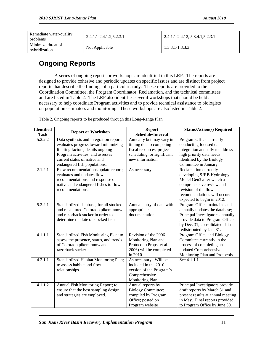| Remediate water-quality<br>problems | 2.4.1.1-2.4.1.2,5.2.3.1 | 2.4.1.1-2.4.12, 5.3.4.1, 5.2.3.1 |  |  |
|-------------------------------------|-------------------------|----------------------------------|--|--|
| Minimize threat of<br>hybridization | Not Applicable          | $1,3,3,1$ -1,3,3,3               |  |  |

# **Ongoing Reports**

A series of ongoing reports or workshops are identified in this LRP. The reports are designed to provide cohesive and periodic updates on specific issues and are distinct from project reports that describe the findings of a particular study. These reports are provided to the Coordination Committee, the Program Coordinator, Reclamation, and the technical committees and are listed in Table 2. The LRP also identifies several workshops that should be held as necessary to help coordinate Program activities and to provide technical assistance to biologists on population estimators and monitoring. These workshops are also listed in Table 2.

| <b>Identified</b> | <b>Report or Workshop</b>               | <b>Status/Action(s) Required</b> |                                   |
|-------------------|-----------------------------------------|----------------------------------|-----------------------------------|
| <b>Task</b>       |                                         | Schedule/Interval                |                                   |
| 5.2.2.2           | Data synthesis and integration report;  | Annually but may vary in         | Program Office currently          |
|                   | evaluates progress toward minimizing    | timing due to competing          | conducting focused data           |
|                   | limiting factors, details ongoing       | fiscal resources, project        | integration annually to address   |
|                   | Program activities, and assesses        | scheduling, or significant       | high priority data needs          |
|                   | current status of native and            | new information.                 | identified by the Biology         |
|                   | endangered fish populations.            |                                  | Committee in January.             |
| 2.1.2.1           | Flow recommendations update report;     | As necessary.                    | Reclamation currently             |
|                   | evaluates and updates flow              |                                  | developing SJRB Hydrology         |
|                   | recommendations and response of         |                                  | Model Gen3 after which a          |
|                   | native and endangered fishes to flow    |                                  | comprehensive review and          |
|                   | recommendations.                        |                                  | revision of the flow              |
|                   |                                         |                                  | recommendations will occur;       |
|                   |                                         |                                  | expected to begin in 2012.        |
| 5.2.2.1           | Standardized database; for all stocked  | Annual entry of data with        | Program Office maintains and      |
|                   | and recaptured Colorado pikeminnow      | appropriate                      | annually updates the database;    |
|                   | and razorback sucker in order to        | documentation.                   | Principal Investigators annually  |
|                   | determine the fate of stocked fish      |                                  | provide data to Program Office    |
|                   |                                         |                                  | by Dec. 31; consolidated data     |
|                   |                                         |                                  | redistributed by Jan. 31.         |
| 4.1.1.1           | Standardized Fish Monitoring Plan; to   | Revision of the 2006             | Program Office and Biology        |
|                   | assess the presence, status, and trends | Monitoring Plan and              | Committee currently in the        |
|                   | of Colorado pikeminnow and              | Protocols (Propst et al.         | process of completing an          |
|                   | razorback sucker.                       | 2006) will be completed          | updated Comprehensive             |
|                   |                                         | in 2010.                         | Monitoring Plan and Protocols.    |
| 4.2.1.1           | Standardized Habitat Monitoring Plan;   | As necessary. Will be            | See 4.1.1.1.                      |
|                   | to assess habitat and flow              | included in the 2010             |                                   |
|                   | relationships.                          | version of the Program's         |                                   |
|                   |                                         | Comprehensive                    |                                   |
|                   |                                         | Monitoring Plan.                 |                                   |
| 4.1.1.2           | Annual Fish Monitoring Report; to       | Annual reports by                | Principal Investigators provide   |
|                   | ensure that the best sampling design    | <b>Biology Committee;</b>        | draft reports by March 31 and     |
|                   | and strategies are employed.            | compiled by Program              | present results at annual meeting |
|                   |                                         | Office; posted on                | in May. Final reports provided    |
|                   |                                         | Program website                  | to Program Office by June 30.     |

Table 2. Ongoing reports to be produced through this Long-Range Plan.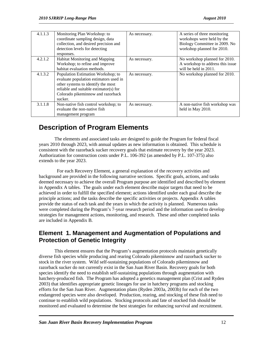| 4.1.1.3 | Monitoring Plan Workshop: to<br>coordinate sampling design, data<br>collection, and desired precision and<br>detection levels for detecting<br>responses.                                                    | As necessary. | A series of three monitoring<br>workshops were held by the<br>Biology Committee in 2009. No<br>workshop planned for 2010. |
|---------|--------------------------------------------------------------------------------------------------------------------------------------------------------------------------------------------------------------|---------------|---------------------------------------------------------------------------------------------------------------------------|
| 4.2.1.2 | Habitat Monitoring and Mapping<br>Workshop; to refine and improve<br>habitat evaluation methods.                                                                                                             | As necessary. | No workshop planned for 2010.<br>A workshop to address this issue<br>will be held in 2011.                                |
| 4.1.3.2 | Population Estimation Workshop; to<br>evaluate population estimators used in<br>other systems to identify the most<br>reliable and suitable estimator(s) for<br>Colorado pikeminnow and razorback<br>sucker. | As necessary. | No workshop planned for 2010.                                                                                             |
| 3.1.1.8 | Non-native fish control workshop; to<br>evaluate the non-native fish<br>management program                                                                                                                   | As necessary. | A non-native fish workshop was<br>held in May 2010.                                                                       |

# **Description of Program Elements**

The elements and associated tasks are designed to guide the Program for federal fiscal years 2010 through 2023, with annual updates as new information is obtained. This schedule is consistent with the razorback sucker recovery goals that estimate recovery by the year 2023. Authorization for construction costs under P.L. 106-392 (as amended by P.L. 107-375) also extends to the year 2023.

 For each Recovery Element, a general explanation of the recovery activities and background are provided in the following narrative sections. Specific goals, actions, and tasks deemed necessary to achieve the overall Program purpose are identified and described by element in Appendix A tables. The goals under each element describe major targets that need to be achieved in order to fulfill the specified element; actions identified under each goal describe the principle actions; and the tasks describe the specific activities or projects. Appendix A tables provide the status of each task and the years in which the activity is planned. Numerous tasks were completed during the Program's 7-year research period and the information used to develop strategies for management actions, monitoring, and research. These and other completed tasks are included in Appendix B.

### **Element 1. Management and Augmentation of Populations and Protection of Genetic Integrity**

This element ensures that the Program's augmentation protocols maintain genetically diverse fish species while producing and rearing Colorado pikeminnow and razorback sucker to stock in the river system. Wild self-sustaining populations of Colorado pikeminnow and razorback sucker do not currently exist in the San Juan River Basin. Recovery goals for both species identify the need to establish self-sustaining populations through augmentation with hatchery-produced fish. The Program has adopted a genetics management plan (Crist and Ryden 2003) that identifies appropriate genetic lineages for use in hatchery programs and stocking efforts for the San Juan River. Augmentation plans (Ryden 2003a, 2003b) for each of the two endangered species were also developed. Production, rearing, and stocking of these fish need to continue to establish wild populations. Stocking protocols and fate of stocked fish should be monitored and evaluated to determine the best strategies for enhancing survival and recruitment.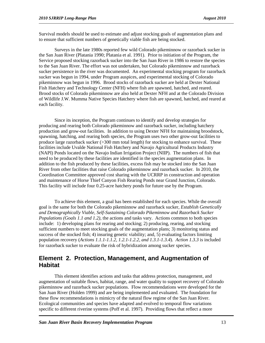Survival models should be used to estimate and adjust stocking goals of augmentation plans and to ensure that sufficient numbers of genetically viable fish are being stocked.

Surveys in the late 1980s reported few wild Colorado pikeminnow or razorback sucker in the San Juan River (Platania 1990; Platania et al. 1991). Prior to initiation of the Program, the Service proposed stocking razorback sucker into the San Juan River in 1986 to restore the species to the San Juan River. The effort was not undertaken, but Colorado pikeminnow and razorback sucker persistence in the river was documented. An experimental stocking program for razorback sucker was begun in 1994, under Program auspices, and experimental stocking of Colorado pikeminnow was begun in 1996. Brood stocks of razorback sucker are held at Dexter National Fish Hatchery and Technology Center (NFH) where fish are spawned, hatched, and reared. Brood stocks of Colorado pikeminnow are also held at Dexter NFH and at the Colorado Division of Wildlife J.W. Mumma Native Species Hatchery where fish are spawned, hatched, and reared at each facility.

Since its inception, the Program continues to identify and develop strategies for producing and rearing both Colorado pikeminnow and razorback sucker, including hatchery production and grow-out facilities. In addition to using Dexter NFH for maintaining broodstock, spawning, hatching, and rearing both species, the Program uses two other grow-out facilities to produce large razorback sucker  $(>300 \text{ mm}$  total length) for stocking to enhance survival. These facilities include Uvalde National Fish Hatchery and Navajo Agricultural Products Industry (NAPI) Ponds located on the Navajo Indian Irrigation Project (NIIP). The numbers of fish that need to be produced by these facilities are identified in the species augmentation plans. In addition to the fish produced by these facilities, excess fish may be stocked into the San Juan River from other facilities that raise Colorado pikeminnow and razorback sucker. In 2010, the Coordination Committee approved cost sharing with the UCRRP in construction and operation and maintenance of Horse Thief Canyon Fish Rearing Ponds near Grand Junction, Colorado. This facility will include four 0.25-acre hatchery ponds for future use by the Program.

To achieve this element, a goal has been established for each species. While the overall goal is the same for both the Colorado pikeminnow and razorback sucker, *Establish Genetically and Demographically Viable, Self-Sustaining Colorado Pikeminnow and Razorback Sucker Populations (Goals 1.1 and 1.2),* the actions and tasks vary. Actions common to both species include: 1) developing plans for rearing and stocking; 2) producing, rearing, and stocking sufficient numbers to meet stocking goals of the augmentation plans; 3) monitoring status and success of the stocked fish; 4) insuring genetic viability; and, 5) evaluating factors limiting population recovery (*Actions 1.1.1-1.1.2, 1.2.1-1.2.2, and 1.3.1-1.3.4*). *Action 1.3.3* is included for razorback sucker to evaluate the risk of hybridization among sucker species.

### **Element 2. Protection, Management, and Augmentation of Habitat**

This element identifies actions and tasks that address protection, management, and augmentation of suitable flows, habitat, range, and water quality to support recovery of Colorado pikeminnow and razorback sucker populations. Flow recommendations were developed for the San Juan River (Holden 1999) and are being implemented and evaluated. The foundation for these flow recommendations is mimicry of the natural flow regime of the San Juan River. Ecological communities and species have adapted and evolved to temporal flow variations specific to different riverine systems (Poff et al. 1997). Providing flows that reflect a more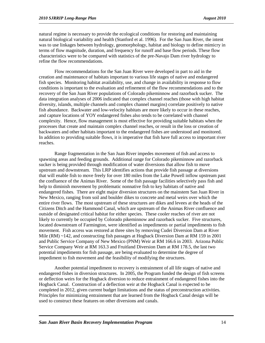natural regime is necessary to provide the ecological conditions for restoring and maintaining natural biological variability and health (Stanford et al. 1996). For the San Juan River, the intent was to use linkages between hydrology, geomorphology, habitat and biology to define mimicry in terms of flow magnitude, duration, and frequency for runoff and base flow periods. These flow characteristics were to be compared with statistics of the pre-Navajo Dam river hydrology to refine the flow recommendations.

Flow recommendations for the San Juan River were developed in part to aid in the creation and maintenance of habitats important to various life stages of native and endangered fish species. Monitoring habitat availability, use, and change in availability in response to flow conditions is important to the evaluation and refinement of the flow recommendations and to the recovery of the San Juan River populations of Colorado pikeminnow and razorback sucker. The data integration analyses of 2006 indicated that complex channel reaches (those with high habitat diversity, islands, multiple channels and complex channel margins) correlate positively to native fish abundance. Backwater and low-velocity habitats are more likely to occur in these reaches, and capture locations of YOY endangered fishes also tends to be correlated with channel complexity. Hence, flow management is most effective for providing suitable habitats when the processes that create and maintain complex channel reaches, or result in the loss or creation of backwaters and other habitats important to the endangered fishes are understood and monitored. In addition to providing suitable flows, it is imperative that fish have full access to important river reaches.

Range fragmentation in the San Juan River impedes movement of fish and access to spawning areas and feeding grounds. Additional range for Colorado pikeminnow and razorback sucker is being provided through modification of water diversions that allow fish to move upstream and downstream. This LRP identifies actions that provide fish passage at diversions that will enable fish to move freely for over 180 miles from the Lake Powell inflow upstream past the confluence of the Animas River. Some of the fish passage facilities selectively pass fish and help to diminish movement by problematic nonnative fish to key habitats of native and endangered fishes. There are eight major diversion structures on the mainstem San Juan River in New Mexico, ranging from soil and boulder dikes to concrete and metal weirs over which the entire river flows. The most upstream of these structures are dikes and levees at the heads of the Citizens Ditch and the Hammond Canal, which are upstream of the Animas River confluence and outside of designated critical habitat for either species. These cooler reaches of river are not likely to currently be occupied by Colorado pikeminnow and razorback sucker. Five structures, located downstream of Farmington, were identified as impediments or partial impediments to fish movement. Fish access was restored at three sites by removing Cudei Diversion Dam at River Mile (RM) ~142, and constructing fish passages at Hogback Diversion Dam at RM 159 in 2001 and Public Service Company of New Mexico (PNM) Weir at RM 166.6 in 2003. Arizona Public Service Company Weir at RM 163.3 and Fruitland Diversion Dam at RM 178.5, the last two potential impediments for fish passage, are being evaluated to determine the degree of impediment to fish movement and the feasibility of modifying the structures.

Another potential impediment to recovery is entrainment of all life stages of native and endangered fishes in diversion structures. In 2005, the Program funded the design of fish screens or deflection weirs for the Hogback diversion to reduce entrainment of endangered fishes into the Hogback Canal. Construction of a deflection weir at the Hogback Canal is expected to be completed in 2012, given current budget limitations and the status of preconstruction activities. Principles for minimizing entrainment that are learned from the Hogback Canal design will be used to construct these features on other diversions and canals.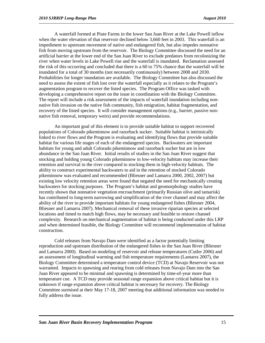A waterfall formed at Piute Farms in the lower San Juan River at the Lake Powell inflow when the water elevation of that reservoir declined below 3,660 feet in 2003. This waterfall is an impediment to upstream movement of native and endangered fish, but also impedes nonnative fish from moving upstream from the reservoir. The Biology Committee discussed the need for an artificial barrier at the lower end of the San Juan River to exclude predators from recolonizing the river when water levels in Lake Powell rise and the waterfall is inundated. Reclamation assessed the risk of this occurring and concluded that there is a 60 to 75% chance that the waterfall will be inundated for a total of 30 months (not necessarily continuously) between 2008 and 2030. Probabilities for longer inundation are available. The Biology Committee has also discussed the need to assess the extent of fish lost over the waterfall especially as it relates to the Program's augmentation program to recover the listed species. The Program Office was tasked with developing a comprehensive report on the issue in coordination with the Biology Committee. The report will include a risk assessment of the impacts of waterfall inundation including nonnative fish invasion on the native fish community, fish emigration, habitat fragmentation, and recovery of the listed species. It will consider management options (e.g., barrier, passive nonnative fish removal, temporary weirs) and provide recommendations.

An important goal of this element is to provide suitable habitat to support recovered populations of Colorado pikeminnow and razorback sucker. Suitable habitat is intrinsically linked to river flows and the Program is evaluating and identifying flows that provide suitable habitat for various life stages of each of the endangered species. Backwaters are important habitats for young and adult Colorado pikeminnow and razorback sucker but are in low abundance in the San Juan River. Initial results of studies in the San Juan River suggest that stocking and holding young Colorado pikeminnow in low-velocity habitats may increase their retention and survival in the river compared to stocking them in high-velocity habitats. The ability to construct experimental backwaters to aid in the retention of stocked Colorado pikeminnow was evaluated and recommended (Bliesner and Lamarra 2000, 2002, 2007) but existing low velocity retention areas were found that negated the need for mechanically creating backwaters for stocking purposes. The Program's habitat and geomorphology studies have recently shown that nonnative vegetation encroachment (primarily Russian olive and tamarisk) has contributed to long-term narrowing and simplification of the river channel and may affect the ability of the river to provide important habitats for young endangered fishes (Bliesner 2004, Bliesner and Lamarra 2007). Mechanical removal of these invasive riparian species at selected locations and timed to match high flows, may be necessary and feasible to restore channel complexity. Research on mechanical augmentation of habitat is being conducted under this LRP and when determined feasible, the Biology Committee will recommend implementation of habitat construction.

Cold releases from Navajo Dam were identified as a factor potentially limiting reproduction and upstream distribution of the endangered fishes in the San Juan River (Bliesner and Lamarra 2000). Based on modeling of reservoir and release temperatures (Cutler 2006) and an assessment of longitudinal warming and fish temperature requirements (Lamarra 2007), the Biology Committee determined a temperature control device (TCD) at Navajo Reservoir was not warranted. Impacts to spawning and rearing from cold releases from Navajo Dam into the San Juan River appeared to be minimal and spawning is determined by time-of-year more than temperature cue. A TCD may provide seasonal range expansion above critical habitat but it is unknown if range expansion above critical habitat is necessary for recovery. The Biology Committee surmised at their May 17-18, 2007 meeting that additional information was needed to fully address the issue.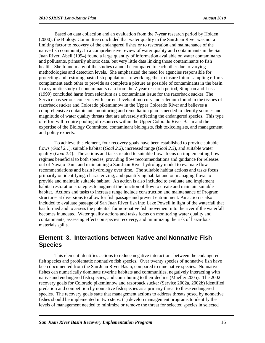Based on data collection and an evaluation from the 7-year research period by Holden (2000), the Biology Committee concluded that water quality in the San Juan River was not a limiting factor to recovery of the endangered fishes or to restoration and maintenance of the native fish community. In a comprehensive review of water quality and contaminants in the San Juan River, Abell (1994) found a large quantity of information available on water contaminants and pollutants, primarily abiotic data, but very little data linking those contaminants to fish health. She found many of the studies cannot be compared to each other due to varying methodologies and detection levels. She emphasized the need for agencies responsible for protecting and restoring basin fish populations to work together to insure future sampling efforts complement each other to provide as complete a picture as possible of contaminants in the basin. In a synoptic study of contaminants data from the 7-year research period, Simpson and Lusk (1999) concluded harm from selenium as a contaminant issue for the razorback sucker. The Service has serious concerns with current levels of mercury and selenium found in the tissues of razorback sucker and Colorado pikeminnow in the Upper Colorado River and believes a comprehensive contaminants monitoring and remediation plan is needed to identify sources and magnitude of water quality threats that are adversely affecting the endangered species. This type of effort will require pooling of resources within the Upper Colorado River Basin and the expertise of the Biology Committee, contaminant biologists, fish toxicologists, and management and policy experts.

To achieve this element, four recovery goals have been established to provide suitable flows (*Goal 2.1*), suitable habitat (*Goal 2.2*), increased range (*Goal 2.3*), and suitable water quality (*Goal 2.4*). The actions and tasks related to suitable flows focus on implementing flow regimes beneficial to both species, providing flow recommendations and guidance for releases out of Navajo Dam, and maintaining a San Juan River hydrology model to evaluate flow recommendations and basin hydrology over time. The suitable habitat actions and tasks focus primarily on identifying, characterizing, and quantifying habitat and on managing flows to provide and maintain suitable habitat. An action is also included to evaluate and implement habitat restoration strategies to augment the function of flow to create and maintain suitable habitat. Actions and tasks to increase range include construction and maintenance of Program structures at diversions to allow for fish passage and prevent entrainment. An action is also included to evaluate passage of San Juan River fish into Lake Powell in light of the waterfall that has formed and to assess the potential for non-native fish movement into the river if the waterfall becomes inundated. Water quality actions and tasks focus on monitoring water quality and contaminants, assessing effects on species recovery, and minimizing the risk of hazardous materials spills.

### **Element 3. Interactions between Native and Nonnative Fish Species**

This element identifies actions to reduce negative interactions between the endangered fish species and problematic nonnative fish species. Over twenty species of nonnative fish have been documented from the San Juan River Basin, compared to nine native species. Nonnative fishes can numerically dominate riverine habitats and communities, negatively interacting with native and endangered fish species, and contributing to their decline (Mueller 2005). The 2002 recovery goals for Colorado pikeminnow and razorback sucker (Service 2002a, 2002b) identified predation and competition by nonnative fish species as a primary threat to these endangered species. The recovery goals state that management actions to address threats posed by nonnative fishes should be implemented in two steps: (1) develop management programs to identify the levels of management needed to minimize or remove the threat for selected species in selected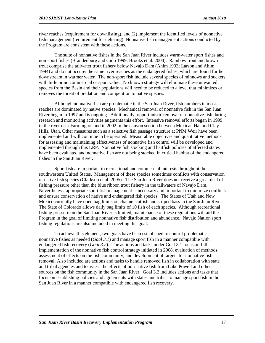river reaches (requirement for downlisting), and (2) implement the identified levels of nonnative fish management (requirement for delisting). Nonnative fish management actions conducted by the Program are consistent with these actions.

The suite of nonnative fishes in the San Juan River includes warm-water sport fishes and non-sport fishes (Brandenburg and Gido 1999; Brooks et al. 2000). Rainbow trout and brown trout comprise the tailwater trout fishery below Navajo Dam (Ahlm 1993; Larson and Ahlm 1994) and do not occupy the same river reaches as the endangered fishes, which are found further downstream in warmer water. The non-sport fish include several species of minnows and suckers with little or no commercial or sport value. No known strategy will eliminate these unwanted species from the Basin and their populations will need to be reduced to a level that minimizes or removes the threat of predation and competition to native species.

Although nonnative fish are problematic in the San Juan River, fish numbers in most reaches are dominated by native species. Mechanical removal of nonnative fish in the San Juan River began in 1997 and is ongoing. Additionally, opportunistic removal of nonnative fish during research and monitoring activities augments this effort. Intensive removal efforts began in 1999 in the river near Farmington and in 2002 in the canyon section between Mexican Hat and Clay Hills, Utah. Other measures such as a selective fish passage structure at PNM Weir have been implemented and will continue to be operated. Measurable objectives and quantitative methods for assessing and maintaining effectiveness of nonnative fish control will be developed and implemented through this LRP. Nonnative fish stocking and baitfish policies of affected states have been evaluated and nonnative fish are not being stocked in critical habitat of the endangered fishes in the San Juan River.

Sport fish are important to recreational and commercial interests throughout the southwestern United States. Management of these species sometimes conflicts with conservation of native fish species (Clarkson et al. 2005). The San Juan River does not receive a great deal of fishing pressure other than the blue ribbon trout fishery in the tailwaters of Navajo Dam. Nevertheless, appropriate sport fish management is necessary and important to minimize conflicts and ensure conservation of native and endangered fish species. The States of Utah and New Mexico currently have open bag limits on channel catfish and striped bass in the San Juan River. The State of Colorado allows daily bag limits of 10 fish of each species. Although recreational fishing pressure on the San Juan River is limited, maintenance of these regulations will aid the Program in the goal of limiting nonnative fish distribution and abundance. Navajo Nation sport fishing regulations are also included in meeting this goal.

To achieve this element, two goals have been established to control problematic nonnative fishes as needed (*Goal 3.1*) and manage sport fish in a manner compatible with endangered fish recovery (*Goal 3.2*). The actions and tasks under Goal 3.1 focus on full implementation of the nonnative fish control strategy initiated in 2008, evaluation of methods, assessment of effects on the fish community, and development of targets for nonnative fish removal. Also included are actions and tasks to handle removed fish in collaboration with state and tribal agencies and to assess the effects of non-native fish from Lake Powell and other sources on the fish community in the San Juan River. Goal 3.2 includes actions and tasks that focus on establishing policies and agreements with states and tribes to manage sport fish in the San Juan River in a manner compatible with endangered fish recovery.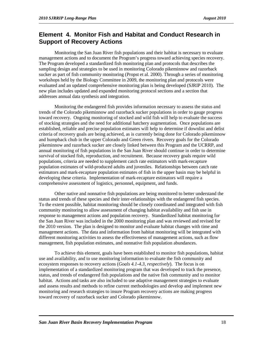### **Element 4. Monitor Fish and Habitat and Conduct Research in Support of Recovery Actions**

Monitoring the San Juan River fish populations and their habitat is necessary to evaluate management actions and to document the Program's progress toward achieving species recovery. The Program developed a standardized fish monitoring plan and protocols that describes the sampling design and strategies to be used in monitoring Colorado pikeminnow and razorback sucker as part of fish community monitoring (Propst et al. 2000). Through a series of monitoring workshops held by the Biology Committee in 2009, the monitoring plan and protocols were evaluated and an updated comprehensive monitoring plan is being developed (SJRIP 2010). The new plan includes updated and expanded monitoring protocol sections and a section that addresses annual data synthesis and integration.

Monitoring the endangered fish provides information necessary to assess the status and trends of the Colorado pikeminnow and razorback sucker populations in order to gauge progress toward recovery. Ongoing monitoring of stocked and wild fish will help to evaluate the success of stocking strategies and the need for additional hatchery augmentation. Once populations are established, reliable and precise population estimates will help to determine if downlist and delist criteria of recovery goals are being achieved, as is currently being done for Colorado pikeminnow and humpback chub in the upper Colorado and Green rivers. Recovery goals for the Colorado pikeminnow and razorback sucker are closely linked between this Program and the UCRRP, and annual monitoring of fish populations in the San Juan River should continue in order to determine survival of stocked fish, reproduction, and recruitment. Because recovery goals require wild populations, criteria are needed to supplement catch rate estimators with mark-recapture population estimates of wild-produced adults and juveniles. Relationships between catch rate estimators and mark-recapture population estimates of fish in the upper basin may be helpful in developing these criteria. Implementation of mark-recapture estimators will require a comprehensive assessment of logistics, personnel, equipment, and funds.

Other native and nonnative fish populations are being monitored to better understand the status and trends of these species and their inter-relationships with the endangered fish species. To the extent possible, habitat monitoring should be closely coordinated and integrated with fish community monitoring to allow assessment of changing habitat availability and fish use in response to management actions and population recovery. Standardized habitat monitoring for the San Juan River was included in the 2000 monitoring plan and was reviewed and revised for the 2010 version. The plan is designed to monitor and evaluate habitat changes with time and management actions. The data and information from habitat monitoring will be integrated with different monitoring activities to assess the effectiveness of management actions, such as flow management, fish population estimates, and nonnative fish population abundances.

To achieve this element, goals have been established to monitor fish populations, habitat use and availability, and to use monitoring information to evaluate the fish community and ecosystem responses to recovery actions (*Goals 4.1-4.3, respectively*). The focus is on implementation of a standardized monitoring program that was developed to track the presence, status, and trends of endangered fish populations and the native fish community and to monitor habitat. Actions and tasks are also included to use adaptive management strategies to evaluate and assess results and methods to refine current methodologies and develop and implement new monitoring and research strategies to insure Program recovery actions are making progress toward recovery of razorback sucker and Colorado pikeminnow.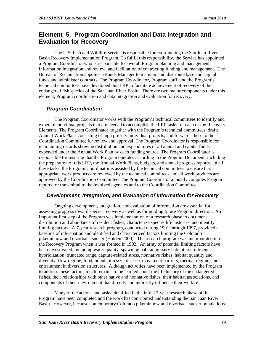### **Element 5. Program Coordination and Data Integration and Evaluation for Recovery**

The U.S. Fish and Wildlife Service is responsible for coordinating the San Juan River Basin Recovery Implementation Program. To fulfill this responsibility, the Service has appointed a Program Coordinator who is responsible for overall Program planning and management, information integration and review, and facilitation of contracting funding and management. The Bureau of Reclamation appoints a Funds Manager to maintain and distribute base and capital funds and administer contracts. The Program Coordinator, Program staff, and the Program's technical committees have developed this LRP to facilitate achievement of recovery of the endangered fish species of the San Juan River Basin. There are two major components under this element, Program coordination and data integration and evaluation for recovery.

#### *Program Coordination*

The Program Coordinator works with the Program's technical committees to identify and expedite individual projects that are needed to accomplish the LRP tasks for each of the Recovery Elements. The Program Coordinator, together with the Program's technical committees, drafts Annual Work Plans consisting of high priority individual projects, and forwards these to the Coordination Committee for review and approval. The Program Coordinator is responsible for maintaining records showing distribution and expenditures of all annual and capital funds expended under the Annual Work Plan by each funding source. The Program Coordinator is responsible for insuring that the Program operates according to the Program Document; including the preparation of this LRP, the Annual Work Plans, budgets, and annual progress reports. In all these tasks, the Program Coordinator is assisted by the technical committees to ensure that appropriate work products are reviewed by the technical committees and all work products are approved by the Coordination Committee. The Program Coordinator annually compiles Program reports for transmittal to the involved agencies and to the Coordination Committee.

#### *Development, Integration, and Evaluation of Information for Recovery*

Ongoing development, integration, and evaluation of information are essential for assessing progress toward species recovery as well as for guiding future Program direction. An important first step of the Program was implementation of a research phase to document distribution and abundance of resident fishes, characterize species life histories, and identify limiting factors. A 7-year research program, conducted during 1991 through 1997, provided a baseline of information and identified and characterized factors limiting the Colorado pikeminnow and razorback sucker (Holden 2000). The research program was incorporated into the Recovery Program when it was formed in 1992. An array of potential limiting factors have been investigated, including water quality, spawning habitat, nursery habitat, recruitment, hybridization, truncated range, capture-related stress, nonnative fishes, habitat quantity and diversity, flow regime, food, population size, disease, movement barriers, thermal regime, and entrainment in diversion structures. Although activities have been implemented by the Program to address these factors, much remains to be learned about the life history of the endangered fishes, their relationships with other native and nonnative fishes, their habitat associations, and components of their environment that directly and indirectly influence their welfare.

Many of the actions and tasks identified in the initial 7-year research phase of the Program have been completed and the work has contributed understanding the San Juan River Basin. However, because contemporary Colorado pikeminnow and razorback sucker populations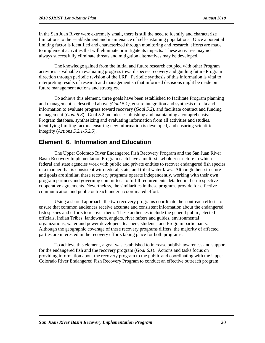in the San Juan River were extremely small, there is still the need to identify and characterize limitations to the establishment and maintenance of self-sustaining populations. Once a potential limiting factor is identified and characterized through monitoring and research, efforts are made to implement activities that will eliminate or mitigate its impacts. These activities may not always successfully eliminate threats and mitigation alternatives may be developed.

The knowledge gained from the initial and future research coupled with other Program activities is valuable in evaluating progress toward species recovery and guiding future Program direction through periodic revision of the LRP. Periodic synthesis of this information is vital to interpreting results of research and management so that informed decisions might be made on future management actions and strategies.

To achieve this element, three goals have been established to facilitate Program planning and management as described above *(Goal 5.1)*, ensure integration and synthesis of data and information to evaluate progress toward recovery (*Goal 5.2*), and facilitate contract and funding management (*Goal 5.3*). Goal 5.2 includes establishing and maintaining a comprehensive Program database, synthesizing and evaluating information from all activities and studies, identifying limiting factors, ensuring new information is developed, and ensuring scientific integrity (*Actions 5.2.1-5.2.5*).

### **Element 6. Information and Education**

The Upper Colorado River Endangered Fish Recovery Program and the San Juan River Basin Recovery Implementation Program each have a multi-stakeholder structure in which federal and state agencies work with public and private entities to recover endangered fish species in a manner that is consistent with federal, state, and tribal water laws. Although their structure and goals are similar, these recovery programs operate independently, working with their own program partners and governing committees to fulfill requirements detailed in their respective cooperative agreements. Nevertheless, the similarities in these programs provide for effective communication and public outreach under a coordinated effort.

Using a shared approach, the two recovery programs coordinate their outreach efforts to ensure that common audiences receive accurate and consistent information about the endangered fish species and efforts to recover them. These audiences include the general public, elected officials, Indian Tribes, landowners, anglers, river rafters and guides, environmental organizations, water and power developers, teachers, students, and Program participants. Although the geographic coverage of these recovery programs differs, the majority of affected parties are interested in the recovery efforts taking place for both programs.

To achieve this element, a goal was established to increase publish awareness and support for the endangered fish and the recovery program (*Goal 6.1*). Actions and tasks focus on providing information about the recovery program to the public and coordinating with the Upper Colorado River Endangered Fish Recovery Program to conduct an effective outreach program.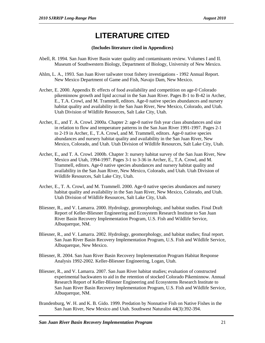# **LITERATURE CITED**

#### **(Includes literature cited in Appendices)**

- Abell, R. 1994. San Juan River Basin water quality and contaminants review. Volumes I and II. Museum of Southwestern Biology, Department of Biology, University of New Mexico.
- Ahlm, L. A., 1993. San Juan River tailwater trout fishery investigations 1992 Annual Report. New Mexico Department of Game and Fish, Navajo Dam, New Mexico.
- Archer, E. 2000. Appendix B: effects of food availability and competition on age-0 Colorado pikeminnow growth and lipid accrual in the San Juan River. Pages B-1 to B-42 in Archer, E., T.A. Crowl, and M. Trammell, editors. Age-0 native species abundances and nursery habitat quality and availability in the San Juan River, New Mexico, Colorado, and Utah. Utah Division of Wildlife Resources, Salt Lake City, Utah.
- Archer, E., and T. A. Crowl. 2000a. Chapter 2: age-0 native fish year class abundances and size in relation to flow and temperature patterns in the San Juan River 1991-1997. Pages 2-1 to 2-19 in Archer, E., T.A. Crowl, and M. Trammell, editors. Age-0 native species abundances and nursery habitat quality and availability in the San Juan River, New Mexico, Colorado, and Utah. Utah Division of Wildlife Resources, Salt Lake City, Utah.
- Archer, E., and T. A. Crowl. 2000b. Chapter 3: nursery habitat survey of the San Juan River, New Mexico and Utah, 1994-1997. Pages 3-1 to 3-36 in Archer, E., T.A. Crowl, and M. Trammell, editors. Age-0 native species abundances and nursery habitat quality and availability in the San Juan River, New Mexico, Colorado, and Utah. Utah Division of Wildlife Resources, Salt Lake City, Utah.
- Archer, E., T. A. Crowl, and M. Trammell. 2000. Age-0 native species abundances and nursery habitat quality and availability in the San Juan River, New Mexico, Colorado, and Utah. Utah Division of Wildlife Resources, Salt Lake City, Utah.
- Bliesner, R., and V. Lamarra. 2000. Hydrology, geomorphology, and habitat studies. Final Draft Report of Keller-Bliesner Engineering and Ecosystem Research Institute to San Juan River Basin Recovery Implementation Program, U.S. Fish and Wildlife Service, Albuquerque, NM.
- Bliesner, R., and V. Lamarra. 2002. Hydrology, geomorphology, and habitat studies; final report. San Juan River Basin Recovery Implementation Program, U.S. Fish and Wildlife Service, Albuquerque, New Mexico.
- Bliesner, R. 2004. San Juan River Basin Recovery Implementation Program Habitat Response Analysis 1992-2002. Keller-Bliesner Engineering, Logan, Utah.
- Bliesner, R., and V. Lamarra. 2007. San Juan River habitat studies; evaluation of constructed experimental backwaters to aid in the retention of stocked Colorado Pikeminnow. Annual Research Report of Keller-Bliesner Engineering and Ecosystems Research Institute to San Juan River Basin Recovery Implementation Program, U.S. Fish and Wildlife Service, Albuquerque, NM.
- Brandenburg, W. H. and K. B. Gido. 1999. Predation by Nonnative Fish on Native Fishes in the San Juan River, New Mexico and Utah. Southwest Naturalist 44(3):392-394.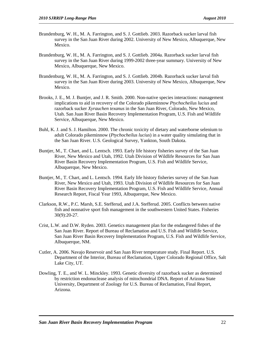- Brandenburg, W. H., M. A. Farrington, and S. J. Gottlieb. 2003. Razorback sucker larval fish survey in the San Juan River during 2002. University of New Mexico, Albuquerque, New Mexico.
- Brandenburg, W. H., M. A. Farrington, and S. J. Gottlieb. 2004a. Razorback sucker larval fish survey in the San Juan River during 1999-2002 three-year summary. University of New Mexico, Albuquerque, New Mexico.
- Brandenburg, W. H., M. A. Farrington, and S. J. Gottlieb. 2004b. Razorback sucker larval fish survey in the San Juan River during 2003. University of New Mexico, Albuquerque, New Mexico.
- Brooks, J. E., M. J. Buntjer, and J. R. Smith. 2000. Non-native species interactions: management implications to aid in recovery of the Colorado pikeminnow *Ptychocheilus lucius* and razorback sucker *Xyrauchen texanus* in the San Juan River, Colorado, New Mexico, Utah. San Juan River Basin Recovery Implementation Program, U.S. Fish and Wildlife Service, Albuquerque, New Mexico.
- Buhl, K. J. and S. J. Hamilton. 2000. The chronic toxicity of dietary and waterborne selenium to adult Colorado pikeminnow (*Ptychocheilus lucius*) in a water quality simulating that in the San Juan River. U.S. Geological Survey, Yankton, South Dakota.
- Buntjer, M., T. Chart, and L. Lentsch. 1993. Early life history fisheries survey of the San Juan River, New Mexico and Utah, 1992. Utah Division of Wildlife Resources for San Juan River Basin Recovery Implementation Program, U.S. Fish and Wildlife Service, Albuquerque, New Mexico.
- Buntjer, M., T. Chart, and L. Lentsch. 1994. Early life history fisheries survey of the San Juan River, New Mexico and Utah, 1993. Utah Division of Wildlife Resources for San Juan River Basin Recovery Implementation Program, U.S. Fish and Wildlife Service, Annual Research Report, Fiscal Year 1993, Albuquerque, New Mexico.
- Clarkson, R.W., P.C. Marsh, S.E. Stefferud, and J.A. Stefferud. 2005. Conflicts between native fish and nonnative sport fish management in the southwestern United States. Fisheries 30(9):20-27.
- Crist, L.W. and D.W. Ryden. 2003. Genetics management plan for the endangered fishes of the San Juan River. Report of Bureau of Reclamation and U.S. Fish and Wildlife Service, San Juan River Basin Recovery Implementation Program, U.S. Fish and Wildlife Service, Albuquerque, NM.
- Cutler, A. 2006. Navajo Reservoir and San Juan River temperature study. Final Report. U.S. Department of the Interior, Bureau of Reclamation, Upper Colorado Regional Office, Salt Lake City, UT.
- Dowling, T. E., and W. L. Minckley. 1993. Genetic diversity of razorback sucker as determined by restriction endonuclease analysis of mitochondrial DNA. Report of Arizona State University, Department of Zoology for U.S. Bureau of Reclamation, Final Report, Arizona.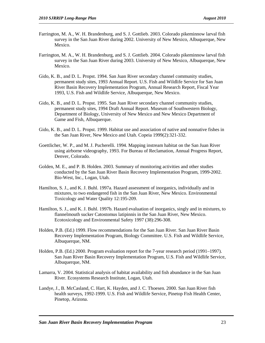- Farrington, M. A., W. H. Brandenburg, and S. J. Gottlieb. 2003. Colorado pikeminnow larval fish survey in the San Juan River during 2002. University of New Mexico, Albuquerque, New Mexico.
- Farrington, M. A., W. H. Brandenburg, and S. J. Gottlieb. 2004. Colorado pikeminnow larval fish survey in the San Juan River during 2003. University of New Mexico, Albuquerque, New Mexico.
- Gido, K. B., and D. L. Propst. 1994. San Juan River secondary channel community studies, permanent study sites, 1993 Annual Report. U.S. Fish and Wildlife Service for San Juan River Basin Recovery Implementation Program, Annual Research Report, Fiscal Year 1993, U.S. Fish and Wildlife Service, Albuquerque, New Mexico.
- Gido, K. B., and D. L. Propst. 1995. San Juan River secondary channel community studies, permanent study sites, 1994 Draft Annual Report. Museum of Southwestern Biology, Department of Biology, University of New Mexico and New Mexico Department of Game and Fish, Albuquerque.
- Gido, K. B., and D. L. Propst. 1999. Habitat use and association of native and nonnative fishes in the San Juan River, New Mexico and Utah. Copeia 1999(2):321-332.
- Goettlicher, W. P., and M. J. Pucherelli. 1994. Mapping instream habitat on the San Juan River using airborne videography, 1993. For Bureau of Reclamation, Annual Progress Report, Denver, Colorado.
- Golden, M. E., and P. B. Holden. 2003. Summary of monitoring activities and other studies conducted by the San Juan River Basin Recovery Implementation Program, 1999-2002. Bio-West, Inc., Logan, Utah.
- Hamilton, S. J., and K. J. Buhl. 1997a. Hazard assessment of inorganics, individually and in mixtures, to two endangered fish in the San Juan River, New Mexico. Environmental Toxicology and Water Quality 12:195-209.
- Hamilton, S. J., and K. J. Buhl. 1997b. Hazard evaluation of inorganics, singly and in mixtures, to flannelmouth sucker Catostomus latipinnis in the San Juan River, New Mexico. Ecotoxicology and Environmental Safety 1997 (38):296-308.
- Holden, P.B. (Ed.) 1999. Flow recommendations for the San Juan River. San Juan River Basin Recovery Implementation Program, Biology Committee. U.S. Fish and Wildlife Service, Albuquerque, NM.
- Holden, P.B. (Ed.) 2000. Program evaluation report for the 7-year research period (1991–1997). San Juan River Basin Recovery Implementation Program, U.S. Fish and Wildlife Service, Albuquerque, NM.
- Lamarra, V. 2004. Statistical analysis of habitat availability and fish abundance in the San Juan River. Ecosystems Research Institute, Logan, Utah.
- Landye, J., B. McCasland, C. Hart, K. Hayden, and J. C. Thoesen. 2000. San Juan River fish health surveys, 1992-1999. U.S. Fish and Wildlife Service, Pinetop Fish Health Center, Pinetop, Arizona.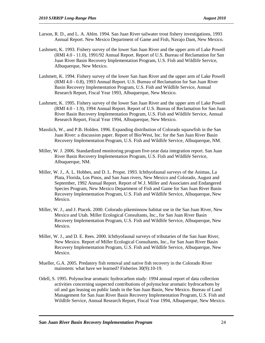- Larson, R. D., and L. A. Ahlm. 1994. San Juan River tailwater trout fishery investigations, 1993 Annual Report. New Mexico Department of Game and Fish, Navajo Dam, New Mexico.
- Lashmett, K. 1993. Fishery survey of the lower San Juan River and the upper arm of Lake Powell (RMI 4.0 - 11.0), 1991/92 Annual Report. Report of U.S. Bureau of Reclamation for San Juan River Basin Recovery Implementation Program, U.S. Fish and Wildlife Service, Albuquerque, New Mexico.
- Lashmett, K. 1994. Fishery survey of the lower San Juan River and the upper arm of Lake Powell (RMI 4.0 - 0.8), 1993 Annual Report. U.S. Bureau of Reclamation for San Juan River Basin Recovery Implementation Program, U.S. Fish and Wildlife Service, Annual Research Report, Fiscal Year 1993, Albuquerque, New Mexico.
- Lashmett, K. 1995. Fishery survey of the lower San Juan River and the upper arm of Lake Powell (RMI 4.0 - 1.9), 1994 Annual Report. Report of U.S. Bureau of Reclamation for San Juan River Basin Recovery Implementation Program, U.S. Fish and Wildlife Service, Annual Research Report, Fiscal Year 1994, Albuquerque, New Mexico.
- Masslich, W., and P.B. Holden. 1996. Expanding distribution of Colorado squawfish in the San Juan River: a discussion paper. Report of Bio/West, Inc. for the San Juan River Basin Recovery Implementation Program, U.S. Fish and Wildlife Service, Albuquerque, NM.
- Miller, W. J. 2006. Standardized monitoring program five-year data integration report. San Juan River Basin Recovery Implementation Program, U.S. Fish and Wildlife Service, Albuquerque, NM.
- Miller, W. J., A. L. Hobbes, and D. L. Propst. 1993. Ichthyofaunal surveys of the Animas, La Plata, Florida, Los Pinos, and San Juan rivers, New Mexico and Colorado, August and September, 1992 Annual Report. Report of W.J. Miller and Associates and Endangered Species Program, New Mexico Department of Fish and Game for San Juan River Basin Recovery Implementation Program, U.S. Fish and Wildlife Service, Albuquerque, New Mexico.
- Miller, W. J., and J. Ptacek. 2000. Colorado pikeminnow habitat use in the San Juan River, New Mexico and Utah. Miller Ecological Consultants, Inc., for San Juan River Basin Recovery Implementation Program, U.S. Fish and Wildlife Service, Albuquerque, New Mexico.
- Miller, W. J., and D. E. Rees. 2000. Ichthyofaunal surveys of tributaries of the San Juan River, New Mexico. Report of Miller Ecological Consultants, Inc., for San Juan River Basin Recovery Implementation Program, U.S. Fish and Wildlife Service, Albuquerque, New Mexico.
- Mueller, G.A. 2005. Predatory fish removal and native fish recovery in the Colorado River mainstem: what have we learned? Fisheries 30(9):10-19.
- Odell, S. 1995. Polynuclear aromatic hydrocarbon study: 1994 annual report of data collection activities concerning suspected contributions of polynuclear aromatic hydrocarbons by oil and gas leasing on public lands in the San Juan Basin, New Mexico. Bureau of Land Management for San Juan River Basin Recovery Implementation Program, U.S. Fish and Wildlife Service, Annual Research Report, Fiscal Year 1994, Albuquerque, New Mexico.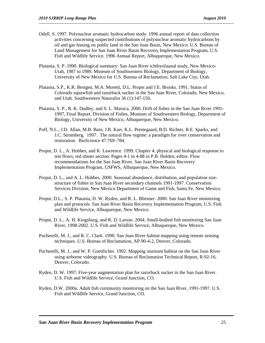- Odell, S. 1997. Polynuclear aromatic hydrocarbon study: 1996 annual report of data collection activities concerning suspected contributions of polynuclear aromatic hydrocarbons by oil and gas leasing on public land in the San Juan Basin, New Mexico. U.S. Bureau of Land Management for San Juan River Basin Recovery Implementation Program, U.S. Fish and Wildlife Service, 1996 Annual Report, Albuquerque, New Mexico.
- Platania, S. P. 1990. Biological summary: San Juan River ichthyofaunal study, New Mexico-Utah, 1987 to 1989. Museum of Southwestern Biology, Department of Biology, University of New Mexico for U.S. Bureau of Reclamation, Salt Lake City, Utah.
- Platania, S.P., K.R. Bestgen, M.A. Moretti, D.L. Propst and J.E. Brooks. 1991. Status of Colorado squawfish and razorback sucker in the San Juan River, Colorado, New Mexico, and Utah. Southwestern Naturalist 36 (1):147-150.
- Platania, S. P., R. K. Dudley, and S. L. Maruca. 2000. Drift of fishes in the San Juan River 1991- 1997, Final Report. Division of Fishes, Museum of Southwestern Biology, Department of Biology, University of New Mexico, Albuquerque, New Mexico.
- Poff, N.L., J.D. Allan, M.B. Bain, J.R. Karr, K.L. Prestegaard, B.D. Richter, R.E. Sparks, and J.C. Stromberg. 1997. The natural flow regime: a paradigm for river conservation and restoration. BioScience 47:769–784.
- Propst, D. L., A. Hobbes, and K. Lawrence. 1999. Chapter 4: physical and biological response to test flows, red shiner section. Pages 4-1 to 4-88 in P.B. Holden, editor. Flow recommendations for the San Juan River. San Juan River Basin Recovery Implementation Program, USFWS, Albuquerque, New Mexico.
- Propst, D. L., and A. L. Hobbes. 2000. Seasonal abundance, distribution, and population sizestructure of fishes in San Juan River secondary channels 1991-1997. Conservation Services Division, New Mexico Department of Game and Fish, Santa Fe, New Mexico.
- Propst, D.L., S. P. Platania, D. W. Ryden, and R. L. Bliesner. 2000. San Juan River monitoring plan and protocols. San Juan River Basin Recovery Implementation Program, U.S. Fish and Wildlife Service, Albuquerque, New Mexico.
- Propst, D. L., A. H. Kingsburg, and R. D. Larson. 2004. Small-bodied fish monitoring San Juan River, 1998-2002. U.S. Fish and Wildlife Service, Albuquerque, New Mexico.
- Pucherelli, M. J., and R. C. Clark. 1990. San Juan River habitat mapping using remote sensing techniques. U.S. Bureau of Reclamation, AP-90-4-2, Denver, Colorado.
- Pucherelli, M. J., and W. P. Goettlicher. 1992. Mapping instream habitat on the San Juan River using airborne videography. U.S. Bureau of Reclamation Technical Report, R-92-16, Denver, Colorado.
- Ryden, D. W. 1997. Five-year augmentation plan for razorback sucker in the San Juan River. U.S. Fish and Wildlife Service, Grand Junction, CO.
- Ryden, D.W. 2000a. Adult fish community monitoring on the San Juan River, 1991-1997. U.S. Fish and Wildlife Service, Grand Junction, CO.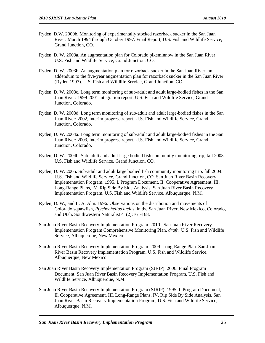- Ryden, D.W. 2000b. Monitoring of experimentally stocked razorback sucker in the San Juan River: March 1994 through October 1997. Final Report, U.S. Fish and Wildlife Service, Grand Junction, CO.
- Ryden, D. W. 2003a. An augmentation plan for Colorado pikeminnow in the San Juan River. U.S. Fish and Wildlife Service, Grand Junction, CO.
- Ryden, D. W. 2003b. An augmentation plan for razorback sucker in the San Juan River; an addendum to the five-year augmentation plan for razorback sucker in the San Juan River (Ryden 1997). U.S. Fish and Wildlife Service, Grand Junction, CO.
- Ryden, D. W. 2003c. Long term monitoring of sub-adult and adult large-bodied fishes in the San Juan River: 1999-2001 integration report. U.S. Fish and Wildlife Service, Grand Junction, Colorado.
- Ryden, D. W. 2003d. Long term monitoring of sub-adult and adult large-bodied fishes in the San Juan River: 2002, interim progress report. U.S. Fish and Wildlife Service, Grand Junction, Colorado.
- Ryden, D. W. 2004a. Long term monitoring of sub-adult and adult large-bodied fishes in the San Juan River: 2003, interim progress report. U.S. Fish and Wildlife Service, Grand Junction, Colorado.
- Ryden, D. W. 2004b. Sub-adult and adult large bodied fish community monitoring trip, fall 2003. U.S. Fish and Wildlife Service, Grand Junction, CO.
- Ryden, D. W. 2005. Sub-adult and adult large bodied fish community monitoring trip, fall 2004. U.S. Fish and Wildlife Service, Grand Junction, CO. San Juan River Basin Recovery Implementation Program. 1995. I. Program Document, II. Cooperative Agreement, III. Long-Range Plans, IV. Rip Side By Side Analysis. San Juan River Basin Recovery Implementation Program, U.S. Fish and Wildlife Service, Albuquerque, N.M.
- Ryden, D. W., and L. A. Alm. 1996. Observations on the distribution and movements of Colorado squawfish, *Ptychocheilus lucius*, in the San Juan River, New Mexico, Colorado, and Utah. Southwestern Naturalist 41(2):161-168.
- San Juan River Basin Recovery Implementation Program. 2010. San Juan River Recovery Implementation Program Comprehensive Monitoring Plan, *draft*. U.S. Fish and Wildlife Service, Albuquerque, New Mexico.
- San Juan River Basin Recovery Implementation Program. 2009. Long-Range Plan. San Juan River Basin Recovery Implementation Program, U.S. Fish and Wildlife Service, Albuquerque, New Mexico.
- San Juan River Basin Recovery Implementation Program (SJRIP). 2006. Final Program Document. San Juan River Basin Recovery Implementation Program, U.S. Fish and Wildlife Service, Albuquerque, N.M.
- San Juan River Basin Recovery Implementation Program (SJRIP). 1995. I. Program Document, II. Cooperative Agreement, III. Long-Range Plans, IV. Rip Side By Side Analysis. San Juan River Basin Recovery Implementation Program, U.S. Fish and Wildlife Service, Albuquerque, N.M.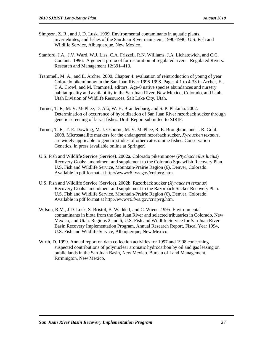- Simpson, Z. R., and J. D. Lusk. 1999. Environmental contaminants in aquatic plants, invertebrates, and fishes of the San Juan River mainstem, 1990-1996. U.S. Fish and Wildlife Service, Albuquerque, New Mexico.
- Stanford, J.A., J.V. Ward, W.J. Liss, C.A. Frizzell, R.N. Williams, J.A. Lichatowich, and C.C. Coutant. 1996. A general protocol for restoration of regulated rivers. Regulated Rivers: Research and Management 12:391–413.
- Trammell, M. A., and E. Archer. 2000. Chapter 4: evaluation of reintroduction of young of year Colorado pikeminnow in the San Juan River 1996-1998. Pages 4-1 to 4-33 in Archer, E., T.A. Crowl, and M. Trammell, editors. Age-0 native species abundances and nursery habitat quality and availability in the San Juan River, New Mexico, Colorado, and Utah. Utah Division of Wildlife Resources, Salt Lake City, Utah.
- Turner, T. F., M. V. McPhee, D. Alò, W. H. Brandenburg, and S. P. Platania. 2002. Determination of occurrence of hybridization of San Juan River razorback sucker through genetic screening of larval fishes. Draft Report submitted to SJRIP.
- Turner, T. F., T. E. Dowling, M. J. Osborne, M. V. McPhee, R. E. Broughton, and J. R. Gold. 2008. Microsatellite markers for the endangered razorback sucker, *Xyrauchen texanus*, are widely applicable to genetic studies of other catostomine fishes. Conservation Genetics, In press (available online at Springer).
- U.S. Fish and Wildlife Service (Service). 2002a. Colorado pikeminnow (*Ptychocheilus lucius*) Recovery Goals: amendment and supplement to the Colorado Squawfish Recovery Plan. U.S. Fish and Wildlife Service, Mountain-Prairie Region (6), Denver, Colorado. Available in pdf format at http://www/r6.fws.gov/crrip/rg.htm.
- U.S. Fish and Wildlife Service (Service). 2002b. Razorback sucker (*Xyrauchen texanus*) Recovery Goals: amendment and supplement to the Razorback Sucker Recovery Plan. U.S. Fish and Wildlife Service, Mountain-Prairie Region (6), Denver, Colorado. Available in pdf format at http://www/r6.fws.gov/crrip/rg.htm.
- Wilson, R.M., J.D. Lusk, S. Bristol, B. Waddell, and C. Wiens. 1995. Environmental contaminants in biota from the San Juan River and selected tributaries in Colorado, New Mexico, and Utah. Regions 2 and 6, U.S. Fish and Wildlife Service for San Juan River Basin Recovery Implementation Program, Annual Research Report, Fiscal Year 1994, U.S. Fish and Wildlife Service, Albuquerque, New Mexico.
- Wirth, D. 1999. Annual report on data collection activities for 1997 and 1998 concerning suspected contributions of polynuclear aromatic hydrocarbon by oil and gas leasing on public lands in the San Juan Basin, New Mexico. Bureau of Land Management, Farmington, New Mexico.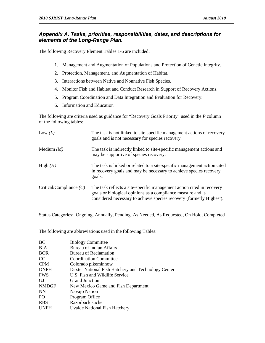#### *Appendix A. Tasks, priorities, responsibilities, dates, and descriptions for elements of the Long-Range Plan.*

The following Recovery Element Tables 1-6 are included:

- 1. Management and Augmentation of Populations and Protection of Genetic Integrity.
- 2. Protection, Management, and Augmentation of Habitat.
- 3. Interactions between Native and Nonnative Fish Species.
- 4. Monitor Fish and Habitat and Conduct Research in Support of Recovery Actions.
- 5. Program Coordination and Data Integration and Evaluation for Recovery.
- 6. Information and Education

The following are criteria used as guidance for "Recovery Goals Priority" used in the *P* column of the following tables:

| Low $(L)$                 | The task is not linked to site-specific management actions of recovery<br>goals and is not necessary for species recovery.                                                                                   |
|---------------------------|--------------------------------------------------------------------------------------------------------------------------------------------------------------------------------------------------------------|
| Medium $(M)$              | The task is indirectly linked to site-specific management actions and<br>may be supportive of species recovery.                                                                                              |
| High $(H)$                | The task is linked or related to a site-specific management action cited<br>in recovery goals and may be necessary to achieve species recovery<br>goals.                                                     |
| Critical/Compliance $(C)$ | The task reflects a site-specific management action cited in recovery<br>goals or biological opinions as a compliance measure and is<br>considered necessary to achieve species recovery (formerly Highest). |

Status Categories: Ongoing, Annually, Pending, As Needed, As Requested, On Hold, Completed

The following are abbreviations used in the following Tables:

| <b>Biology Committee</b>                            |
|-----------------------------------------------------|
| <b>Bureau of Indian Affairs</b>                     |
| Bureau of Reclamation                               |
| <b>Coordination Committee</b>                       |
| Colorado pikeminnow                                 |
| Dexter National Fish Hatchery and Technology Center |
| U.S. Fish and Wildlife Service                      |
| <b>Grand Junction</b>                               |
| New Mexico Game and Fish Department                 |
| Navajo Nation                                       |
| Program Office                                      |
| Razorback sucker                                    |
| <b>Uvalde National Fish Hatchery</b>                |
|                                                     |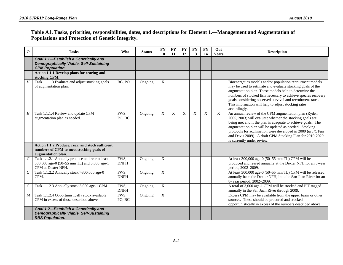#### **Table A1. Tasks, priorities, responsibilities, dates, and descriptions for Element 1.—Management and Augmentation of Populations and Protection of Genetic Integrity.**

| $\boldsymbol{P}$ | <b>Tasks</b>                                                                                                         | Who                 | <b>Status</b> | <b>FY</b><br>10 | <b>FY</b><br>11 | <b>FY</b><br>12 | <b>FY</b><br>13 | <b>FY</b><br>14 | Out<br>Years     | <b>Description</b>                                                                                                                                                                                                                                                                                                                                                                                  |
|------------------|----------------------------------------------------------------------------------------------------------------------|---------------------|---------------|-----------------|-----------------|-----------------|-----------------|-----------------|------------------|-----------------------------------------------------------------------------------------------------------------------------------------------------------------------------------------------------------------------------------------------------------------------------------------------------------------------------------------------------------------------------------------------------|
|                  | Goal 1.1-Establish a Genetically and<br><b>Demographically Viable, Self-Sustaining</b><br><b>CPM Population.</b>     |                     |               |                 |                 |                 |                 |                 |                  |                                                                                                                                                                                                                                                                                                                                                                                                     |
|                  | Action 1.1.1 Develop plans for rearing and<br>stocking CPM.                                                          |                     |               |                 |                 |                 |                 |                 |                  |                                                                                                                                                                                                                                                                                                                                                                                                     |
| $\overline{H}$   | Task 1.1.1.3 Evaluate and adjust stocking goals<br>of augmentation plan.                                             | BC, PO              | Ongoing       | $\overline{X}$  |                 |                 |                 |                 |                  | Bioenergetics models and/or population recruitment models<br>may be used to estimate and evaluate stocking goals of the<br>augmentation plan. These models help to determine the<br>numbers of stocked fish necessary to achieve species recovery<br>goals considering observed survival and recruitment rates.<br>This information will help to adjust stocking rates<br>accordingly.              |
| H                | Task 1.1.1.4 Review and update CPM<br>augmentation plan as needed.                                                   | FWS,<br>PO, BC      | Ongoing       | X               | X               | X               | X               | $\mathbf X$     | $\boldsymbol{X}$ | An annual review of the CPM augmentation plan (Ryden<br>2005, 2003) will evaluate whether the stocking goals are<br>being met and if the plan is adequate to achieve goals. The<br>augmentation plan will be updated as needed. Stocking<br>protocols for acclimation were developed in 2009 (draft, Furr<br>and Davis 2009). A draft CPM Stocking Plan for 2010-2020<br>is currently under review. |
|                  | Action 1.1.2 Produce, rear, and stock sufficient<br>numbers of CPM to meet stocking goals of<br>augmentation plan.   |                     |               |                 |                 |                 |                 |                 |                  |                                                                                                                                                                                                                                                                                                                                                                                                     |
| $\mathcal{C}$    | Task 1.1.2.1 Annually produce and rear at least<br>300,000 age-0 (50-55 mm TL) and 3,000 age-1<br>CPM at Dexter NFH. | FWS,<br><b>DNFH</b> | Ongoing       | X               |                 |                 |                 |                 |                  | At least 300,000 age-0 (50-55 mm TL) CPM will be<br>produced and reared annually at the Dexter NFH for an 8-year<br>period, 2002-2009.                                                                                                                                                                                                                                                              |
| $\mathcal C$     | Task 1.1.2.2 Annually stock > 300,000 age-0<br>CPM.                                                                  | FWS,<br><b>DNFH</b> | Ongoing       | X               |                 |                 |                 |                 |                  | At least 300,000 age-0 (50-55 mm TL) CPM will be released<br>annually from the Dexter NFH, into the San Juan River for an<br>8- year period, 2002-2009.                                                                                                                                                                                                                                             |
| $\mathcal C$     | Task 1.1.2.3 Annually stock 3,000 age-1 CPM.                                                                         | FWS,<br><b>DNFH</b> | Ongoing       | $\overline{X}$  |                 |                 |                 |                 |                  | A total of 3,000 age-1 CPM will be stocked and PIT tagged<br>annually in the San Juan River through 2009.                                                                                                                                                                                                                                                                                           |
| $\boldsymbol{M}$ | Task 1.1.2.4 Opportunistically stock available<br>CPM in excess of those described above.                            | FWS,<br>PO, BC      | Ongoing       | X               |                 |                 |                 |                 |                  | Excess CPM may be available from the upper basin or other<br>sources. These should be procured and stocked<br>opportunistically in excess of the numbers described above.                                                                                                                                                                                                                           |
|                  | Goal 1.2-Establish a Genetically and<br><b>Demographically Viable, Self-Sustaining</b><br><b>RBS Population.</b>     |                     |               |                 |                 |                 |                 |                 |                  |                                                                                                                                                                                                                                                                                                                                                                                                     |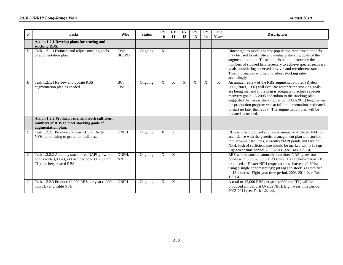| $\boldsymbol{P}$      | <b>Tasks</b>                                                                                                                       | <b>Who</b>         | <b>Status</b> | ${\bf F}{\bf Y}$<br>10 | <b>FY</b><br>11 | <b>FY</b><br>12 | <b>FY</b><br>13 | <b>FY</b><br>14 | Out<br>Years | <b>Description</b>                                                                                                                                                                                                                                                                                                                                                                                                                                            |
|-----------------------|------------------------------------------------------------------------------------------------------------------------------------|--------------------|---------------|------------------------|-----------------|-----------------|-----------------|-----------------|--------------|---------------------------------------------------------------------------------------------------------------------------------------------------------------------------------------------------------------------------------------------------------------------------------------------------------------------------------------------------------------------------------------------------------------------------------------------------------------|
|                       | Action 1.2.1 Develop plans for rearing and<br>stocking RBS.                                                                        |                    |               |                        |                 |                 |                 |                 |              |                                                                                                                                                                                                                                                                                                                                                                                                                                                               |
| H                     | Task 1.2.1.3 Estimate and adjust stocking goals<br>of augmentation plan.                                                           | FWS.<br>BC, PO     | Ongoing       | X                      |                 |                 |                 |                 |              | Bioenergetics models and/or population recruitment models<br>may be used to estimate and evaluate stocking goals of the<br>augmentation plan. These models help to determine the<br>numbers of stocked fish necessary to achieve species recovery<br>goals considering observed survival and recruitment rates.<br>This information will help to adjust stocking rates<br>accordingly.                                                                        |
| Η                     | Task 1.2.1.4 Review and update RBS<br>augmentation plan as needed.                                                                 | BC,<br>FWS, PO     | Ongoing       | $\mathbf X$            | X               | X               | $\mathbf X$     | X               | X            | An annual review of the RBS augmentation plan (Ryden<br>2005, 2003, 1997) will evaluate whether the stocking goals<br>are being met and if the plan is adequate to achieve species<br>recovery goals. A 2005 addendum to the stocking plan<br>suggested the 8-year stocking period (2003-2011) begin when<br>the production program was at full implementation, estimated<br>to start no later than 2007. The augmentation plan will be<br>updated as needed. |
|                       | Action 1.2.2 Produce, rear, and stock sufficient<br>numbers of RBS to meet stocking goals of<br>augmentation plan.                 |                    |               |                        |                 |                 |                 |                 |              |                                                                                                                                                                                                                                                                                                                                                                                                                                                               |
| $\overline{C}$        | Task 1.2.2.1 Produce and rear RBS at Dexter<br>NFH for stocking to grow-out facilities.                                            | <b>DNFH</b>        | Ongoing       | X                      | X               |                 |                 |                 |              | RBS will be produced and reared annually at Dexter NFH in<br>accordance with the genetics management plan and stocked<br>into grow-out facilities, currently NAPI ponds and Uvalde<br>NFH. Fish of sufficient size should be marked with PIT tags.<br>Eight-year time period, 2003-2011 (see Task 1.2.1.4).                                                                                                                                                   |
| $\mathcal{C}_{0}^{0}$ | Task 1.2.2.2 Annually stock three NAPI grow-out<br>ponds with $3,000-3,500$ fish per pond ( $> 200$ mm<br>TL) hatchery-reared RBS. | DNFH,<br><b>NN</b> | Ongoing       | X                      | X               |                 |                 |                 |              | RBS will be stocked annually into three NAPI grow-out<br>ponds with 3,000-3,500 (> 200 mm TL) hatchery-reared RBS<br>produced at Dexter NFH (expectation to harvest 40-60%)<br>using a single cohort strategy; pit tag and stock 300 mm fish<br>in 12 months. Eight-year time period, 2003-2011 (see Task<br>$1.2.1.4$ ).                                                                                                                                     |
| $\mathcal{C}$         | Task 1.2.2.3 Produce 12,000 RBS per year (>300<br>mm TL) at Uvalde NFH.                                                            | <b>UNFH</b>        | Ongoing       | X                      | X               |                 |                 |                 |              | A total of 12,000 RBS per year (>300 mm TL) will be<br>produced annually at Uvalde NFH. Eight-year time period,<br>2003-2011 (see Task 1.2.1.4).                                                                                                                                                                                                                                                                                                              |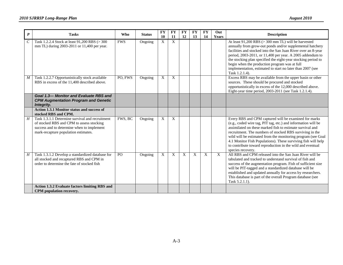| $\boldsymbol{P}$ | <b>Tasks</b>                                                                                                                                                                       | <b>Who</b> | <b>Status</b> | <b>FY</b><br>10           | <b>FY</b><br><b>11</b> | <b>FY</b><br>12 | <b>FY</b><br>13 | <b>FY</b><br>14 | Out<br>Years | <b>Description</b>                                                                                                                                                                                                                                                                                                                                                                                                                                                  |
|------------------|------------------------------------------------------------------------------------------------------------------------------------------------------------------------------------|------------|---------------|---------------------------|------------------------|-----------------|-----------------|-----------------|--------------|---------------------------------------------------------------------------------------------------------------------------------------------------------------------------------------------------------------------------------------------------------------------------------------------------------------------------------------------------------------------------------------------------------------------------------------------------------------------|
| $\mathcal{C}$    | Task 1.2.2.4 Stock at least 91,200 RBS (> 300<br>mm TL) during 2003-2011 or 11,400 per year.                                                                                       | <b>FWS</b> | Ongoing       | $\mathbf{X}$              | $\mathbf X$            |                 |                 |                 |              | At least 91,200 RBS (> 300 mm TL) will be harvested<br>annually from grow-out ponds and/or supplemental hatchery<br>facilities and stocked into the San Juan River over an 8-year<br>period, 2003-2011, or 11,400 per year. A 2005 addendum to<br>the stocking plan specified the eight-year stocking period to<br>begin when the production program was at full<br>implementation, estimated to start no later than 2007 (see<br>Task 1.2.1.4).                    |
| $\boldsymbol{M}$ | Task 1.2.2.7 Opportunistically stock available<br>RBS in excess of the 11,400 described above.                                                                                     | PO, FWS    | Ongoing       | X                         | X                      |                 |                 |                 |              | Excess RBS may be available from the upper basin or other<br>sources. These should be procured and stocked<br>opportunistically in excess of the 12,000 described above.<br>Eight-year time period, 2003-2011 (see Task 1.2.1.4).                                                                                                                                                                                                                                   |
|                  | Goal 1.3-Monitor and Evaluate RBS and<br><b>CPM Augmentation Program and Genetic</b><br>Integrity.                                                                                 |            |               |                           |                        |                 |                 |                 |              |                                                                                                                                                                                                                                                                                                                                                                                                                                                                     |
|                  | Action 1.3.1 Monitor status and success of<br>stocked RBS and CPM.                                                                                                                 |            |               |                           |                        |                 |                 |                 |              |                                                                                                                                                                                                                                                                                                                                                                                                                                                                     |
| H                | Task 1.3.1.1 Determine survival and recruitment<br>of stocked RBS and CPM to assess stocking<br>success and to determine when to implement<br>mark-recapture population estimates. | FWS, BC    | Ongoing       | X                         | X                      |                 |                 |                 |              | Every RBS and CPM captured will be examined for marks<br>(e.g., coded wire tag, PIT tag, etc.) and information will be<br>assimilated on these marked fish to estimate survival and<br>recruitment. The numbers of stocked RBS surviving in the<br>wild will be estimated from the monitoring program (see Goal<br>4.1 Monitor Fish Populations). These surviving fish will help<br>to contribute toward reproduction in the wild and eventual<br>species recovery. |
| $\boldsymbol{H}$ | Task 1.3.1.2 Develop a standardized database for<br>all stocked and recaptured RBS and CPM in<br>order to determine the fate of stocked fish                                       | PO         | Ongoing       | $\boldsymbol{\mathrm{X}}$ | X                      | X               | $\mathbf X$     | $\mathbf X$     | X            | All RBS and CPM released into the San Juan River will be<br>tabulated and tracked to understand survival of fish and<br>success of the augmentation program. Fish of sufficient size<br>will be PIT-tagged and a standardized database will be<br>established and updated annually for access by researchers.<br>This database is part of the overall Program database (see<br>Task 5.2.1.1).                                                                       |
|                  | <b>Action 1.3.2 Evaluate factors limiting RBS and</b><br>CPM population recovery.                                                                                                  |            |               |                           |                        |                 |                 |                 |              |                                                                                                                                                                                                                                                                                                                                                                                                                                                                     |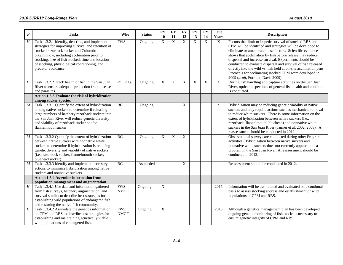| $\boldsymbol{P}$ | <b>Tasks</b>                                                                                                                                                                                                                                                                                                           | Who                 | <b>Status</b> | <b>FY</b>      | <b>FY</b>      | <b>FY</b>    | <b>FY</b>      | <b>FY</b>   | Out   | <b>Description</b>                                                                                                                                                                                                                                                                                                                                                                                                                                                                                                                                |
|------------------|------------------------------------------------------------------------------------------------------------------------------------------------------------------------------------------------------------------------------------------------------------------------------------------------------------------------|---------------------|---------------|----------------|----------------|--------------|----------------|-------------|-------|---------------------------------------------------------------------------------------------------------------------------------------------------------------------------------------------------------------------------------------------------------------------------------------------------------------------------------------------------------------------------------------------------------------------------------------------------------------------------------------------------------------------------------------------------|
|                  |                                                                                                                                                                                                                                                                                                                        |                     |               | 10             | 11             | 12           | 13             | 14          | Years |                                                                                                                                                                                                                                                                                                                                                                                                                                                                                                                                                   |
| H                | Task 1.3.2.1 Identify, describe, and implement<br>strategies for improving survival and retention of<br>stocked razorback sucker and Colorado<br>pikeminnow, including acclimation prior to<br>stocking, size of fish stocked, time and location<br>of stocking, physiological conditioning, and<br>predator avoidance | <b>FWS</b>          | Ongoing       | $\mathbf X$    | $\overline{X}$ | $\mathbf{X}$ | $\overline{X}$ | $\mathbf X$ | X     | Factors that limit or impede survival of stocked RBS and<br>CPM will be identified and strategies will be developed to<br>eliminate or ameliorate these factors. Scientific evidence<br>shows that acclimation by fish before release may reduce<br>dispersal and increase survival. Experiments should be<br>conducted to evaluate dispersal and survival of fish released<br>directly into the wild vs. fish held at on-site acclimation pens.<br>Protocols for acclimating stocked CPM were developed in<br>2009 (draft, Furr and Davis 2009). |
| H                | Task 1.3.2.2 Track health of fish in the San Juan<br>River to ensure adequate protection from diseases<br>and parasites.                                                                                                                                                                                               | PO, P.I.s           | Ongoing       | X              | X              | X            | X              | X           | X     | During fish handling and capture activities on the San Juan<br>River, optical inspections of general fish health and condition<br>is conducted.                                                                                                                                                                                                                                                                                                                                                                                                   |
|                  | Action 1.3.3 Evaluate the risk of hybridization<br>among sucker species.                                                                                                                                                                                                                                               |                     |               |                |                |              |                |             |       |                                                                                                                                                                                                                                                                                                                                                                                                                                                                                                                                                   |
| $\boldsymbol{M}$ | Task 1.3.3.1 Quantify the extent of hybridization<br>among native suckers to determine if releasing<br>large numbers of hatchery razorback suckers into<br>the San Juan River will reduce genetic diversity<br>and viability of razorback sucker and/or<br>flannelmouth sucker.                                        | BC                  | Ongoing       |                |                | X            |                |             |       | Hybridization may be reducing genetic viability of native<br>suckers and may require actions such as mechanical removal<br>to reduce white suckers. There is some information on the<br>extent of hybridization between native suckers (i.e.,<br>razorback, flannelmouth, bluehead) and nonnative white<br>suckers in the San Juan River (Turner et al. 2002, 2008). A<br>reassessment should be conducted in 2012.                                                                                                                               |
| $\boldsymbol{M}$ | Task 1.3.3.2 Quantify the extent of hybridization<br>between native suckers with nonnative white<br>suckers to determine if hybridization is reducing<br>genetic diversity and viability of native suckers<br>(i.e., razorback sucker, flannelmouth sucker,<br>bluehead sucker).                                       | BC                  | Ongoing       | $\mathbf X$    | X              | $\mathbf X$  |                |             |       | Observational surveys are conducted during other Program<br>activities. Hybridization between native suckers and<br>nonnative white suckers does not currently appear to be a<br>problem in the San Juan River. A reassessment should be<br>conducted in 2012.                                                                                                                                                                                                                                                                                    |
| $\overline{M}$   | Task 1.3.3.3 Identify and implement necessary<br>actions to minimize hybridization among native<br>suckers and nonnative suckers.                                                                                                                                                                                      | BC                  | As needed     |                |                | X            |                |             |       | Reassessment should be conducted in 2012.                                                                                                                                                                                                                                                                                                                                                                                                                                                                                                         |
|                  | <b>Action 1.3.4 Assemble information from</b>                                                                                                                                                                                                                                                                          |                     |               |                |                |              |                |             |       |                                                                                                                                                                                                                                                                                                                                                                                                                                                                                                                                                   |
| $\overline{H}$   | population management and augmentation.<br>Task 1.3.4.1 Use data and information gathered<br>from fish surveys, hatchery augmentation, and<br>survival studies to describe best strategies for<br>establishing wild populations of endangered fish<br>and restoring the native fish community.                         | FWS,<br><b>NMGF</b> | Ongoing       | X              |                |              |                |             | 2015  | Information will be assimilated and evaluated on a continual<br>basis to assess stocking success and establishment of wild<br>populations of CPM and RBS.                                                                                                                                                                                                                                                                                                                                                                                         |
| $\overline{H}$   | Task 1.3.4.2 Assimilate the genetics information<br>on CPM and RBS to describe best strategies for<br>establishing and maintaining genetically viable<br>wild populations of endangered fish.                                                                                                                          | FWS,<br><b>NMGF</b> | Ongoing       | $\overline{X}$ |                |              |                |             | 2015  | Although a genetics management plan has been developed,<br>ongoing genetic monitoring of fish stocks is necessary to<br>ensure genetic integrity of CPM and RBS.                                                                                                                                                                                                                                                                                                                                                                                  |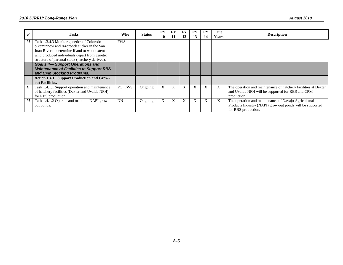|   | <b>Tasks</b>                                                                                     | <b>Who</b> | <b>Status</b> | FY.<br>10 | FY<br>11 | FY<br>12 | FY<br>13 | FY<br>14 | Out<br><b>Years</b> | <b>Description</b>                                             |
|---|--------------------------------------------------------------------------------------------------|------------|---------------|-----------|----------|----------|----------|----------|---------------------|----------------------------------------------------------------|
| M | Task 1.3.4.3 Monitor genetics of Colorado                                                        | <b>FWS</b> |               |           |          |          |          |          |                     |                                                                |
|   | pikeminnow and razorback sucker in the San<br>Juan River to determine if and to what extent      |            |               |           |          |          |          |          |                     |                                                                |
|   |                                                                                                  |            |               |           |          |          |          |          |                     |                                                                |
|   | wild produced individuals depart from genetic<br>structure of parental stock (hatchery derived). |            |               |           |          |          |          |          |                     |                                                                |
|   |                                                                                                  |            |               |           |          |          |          |          |                     |                                                                |
|   | <b>Goal 1.4-Support Operations and</b><br><b>Maintenance of Facilities to Support RBS</b>        |            |               |           |          |          |          |          |                     |                                                                |
|   |                                                                                                  |            |               |           |          |          |          |          |                     |                                                                |
|   | and CPM Stocking Programs.                                                                       |            |               |           |          |          |          |          |                     |                                                                |
|   | Action 1.4.1. Support Production and Grow-                                                       |            |               |           |          |          |          |          |                     |                                                                |
|   | out Facilities.                                                                                  |            |               |           |          |          |          |          |                     |                                                                |
| H | Task 1.4.1.1 Support operation and maintenance                                                   | PO. FWS    | Ongoing       | X         | X        | X        | X        |          | X                   | The operation and maintenance of hatchery facilities at Dexter |
|   | of hatchery facilities (Dexter and Uvalde NFH)                                                   |            |               |           |          |          |          |          |                     | and Uvalde NFH will be supported for RBS and CPM               |
|   | for RBS production.                                                                              |            |               |           |          |          |          |          |                     | production.                                                    |
| M | Task 1.4.1.2 Operate and maintain NAPI grow-                                                     | <b>NN</b>  | Ongoing       | X         | X        | X        | X        | X        | X                   | The operation and maintenance of Navajo Agricultural           |
|   | out ponds.                                                                                       |            |               |           |          |          |          |          |                     | Products Industry (NAPI) grow-out ponds will be supported      |
|   |                                                                                                  |            |               |           |          |          |          |          |                     | for RBS production.                                            |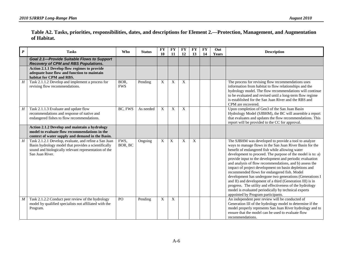#### **Table A2. Tasks, priorities, responsibilities, dates, and descriptions for Element 2.—Protection, Management, and Augmentation of Habitat.**

| $\boldsymbol{P}$ | <b>Tasks</b>                                                                                                                                                                              | <b>Who</b>         | <b>Status</b> | <b>FY</b><br>10 | <b>FY</b><br>11           | <b>FY</b><br>12 | <b>FY</b><br>13 | <b>FY</b><br>14 | Out<br><b>Years</b> | <b>Description</b>                                                                                                                                                                                                                                                                                                                                                                                                                                                                                                                                                                                                                                                                                                                                   |
|------------------|-------------------------------------------------------------------------------------------------------------------------------------------------------------------------------------------|--------------------|---------------|-----------------|---------------------------|-----------------|-----------------|-----------------|---------------------|------------------------------------------------------------------------------------------------------------------------------------------------------------------------------------------------------------------------------------------------------------------------------------------------------------------------------------------------------------------------------------------------------------------------------------------------------------------------------------------------------------------------------------------------------------------------------------------------------------------------------------------------------------------------------------------------------------------------------------------------------|
|                  | <b>Goal 2.1-Provide Suitable Flows to Support</b><br><b>Recovery of CPM and RBS Populations.</b>                                                                                          |                    |               |                 |                           |                 |                 |                 |                     |                                                                                                                                                                                                                                                                                                                                                                                                                                                                                                                                                                                                                                                                                                                                                      |
|                  | Action 2.1.1 Develop flow regimes to provide<br>adequate base flow and function to maintain<br>habitat for CPM and RBS.                                                                   |                    |               |                 |                           |                 |                 |                 |                     |                                                                                                                                                                                                                                                                                                                                                                                                                                                                                                                                                                                                                                                                                                                                                      |
| $\overline{H}$   | Task 2.1.1.2 Develop and implement a process for<br>revising flow recommendations.                                                                                                        | BOR,<br><b>FWS</b> | Pending       | X               | $\boldsymbol{\mathrm{X}}$ | X               |                 |                 |                     | The process for revising flow recommendations uses<br>information from habitat to flow relationships and the<br>hydrology model. The flow recommendations will continue<br>to be evaluated and revised until a long-term flow regime<br>is established for the San Juan River and the RBS and<br>CPM are recovered.                                                                                                                                                                                                                                                                                                                                                                                                                                  |
| H                | Task 2.1.1.3 Evaluate and update flow<br>recommendations and response of native and<br>endangered fishes to flow recommendations.                                                         | BC, FWS            | As needed     | X               | $\boldsymbol{\mathrm{X}}$ | X               |                 |                 |                     | Upon completion of Gen3 of the San Juan Basin<br>Hydrology Model (SJBHM), the BC will assemble a report<br>that evaluates and updates the flow recommendations. This<br>report will be provided to the CC for approval.                                                                                                                                                                                                                                                                                                                                                                                                                                                                                                                              |
|                  | Action 2.1.2 Develop and maintain a hydrology<br>model to evaluate flow recommendations in the<br>context of water supply and demand in the Basin.                                        |                    |               |                 |                           |                 |                 |                 |                     |                                                                                                                                                                                                                                                                                                                                                                                                                                                                                                                                                                                                                                                                                                                                                      |
| H                | Task 2.1.2.1 Develop, evaluate, and refine a San Juan<br>Basin hydrology model that provides a scientifically<br>sound and biologically relevant representation of the<br>San Juan River. | FWS,<br>BOR, BC    | Ongoing       | X               | X                         | X               | X               |                 |                     | The SJBHM was developed to provide a tool to analyze<br>ways to manage flows in the San Juan River Basin for the<br>benefit of endangered fish while allowing water<br>development to proceed. The purpose of the model is to: a)<br>provide input to the development and periodic evaluation<br>and analysis of flow recommendations, and b) assess the<br>impact of project development on basin depletions and<br>recommended flows for endangered fish. Model<br>development has undergone two generations (Generations I<br>and II) and development of a third (Generation III) is in<br>progress. The utility and effectiveness of the hydrology<br>model is evaluated periodically by technical experts<br>appointed by Program participants. |
| $\boldsymbol{M}$ | Task 2.1.2.2 Conduct peer review of the hydrology<br>model by qualified specialists not affiliated with the<br>Program.                                                                   | PO                 | Pending       | X               | $\boldsymbol{\mathrm{X}}$ |                 |                 |                 |                     | An independent peer review will be conducted of<br>Generation III of the hydrology model to determine if the<br>model properly represents San Juan River hydrology and to<br>ensure that the model can be used to evaluate flow<br>recommendations.                                                                                                                                                                                                                                                                                                                                                                                                                                                                                                  |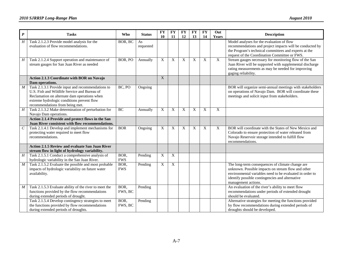| $\boldsymbol{P}$ | <b>Tasks</b>                                                                                                                                                                                                                       | <b>Who</b>         | <b>Status</b>   | <b>FY</b><br>10 | <b>FY</b><br><b>11</b> | FY<br>12    | <b>FY</b><br>13 | <b>FY</b><br>14 | Out<br>Years | <b>Description</b>                                                                                                                                                                                                                           |
|------------------|------------------------------------------------------------------------------------------------------------------------------------------------------------------------------------------------------------------------------------|--------------------|-----------------|-----------------|------------------------|-------------|-----------------|-----------------|--------------|----------------------------------------------------------------------------------------------------------------------------------------------------------------------------------------------------------------------------------------------|
| H                | Task 2.1.2.3 Provide model analysis for the<br>evaluation of flow recommendations.                                                                                                                                                 | BOR, BC            | As<br>requested |                 |                        |             |                 |                 |              | Model analyses for the evaluation of flow<br>recommendations and project impacts will be conducted by<br>the Program's technical committees and experts at the<br>request of the Coordination Committee or FWS                               |
| H                | Task 2.1.2.4 Support operation and maintenance of<br>stream gauges for San Juan River as needed                                                                                                                                    | BOR, PO            | Annually        | X               | X                      | $\mathbf X$ | X               | X               | $\mathbf X$  | Stream gauges necessary for monitoring flow of the San<br>Juan River will be supported with supplemental discharge<br>rating measurements as may be needed for improving<br>gaging reliability.                                              |
|                  | <b>Action 2.1.3 Coordinate with BOR on Navajo</b><br>Dam operations.                                                                                                                                                               |                    |                 | X               |                        |             |                 |                 |              |                                                                                                                                                                                                                                              |
| M                | Task 2.1.3.1 Provide input and recommendations to<br>U.S. Fish and Wildlife Service and Bureau of<br>Reclamation on alternate dam operations when<br>extreme hydrologic conditions prevent flow<br>recommendations from being met. | BC, PO             | Ongoing         |                 |                        |             |                 |                 |              | BOR will organize semi-annual meetings with stakeholders<br>on operations of Navajo Dam. BOR will coordinate these<br>meetings and solicit input from stakeholders.                                                                          |
| $\overline{H}$   | Task 2.1.3.2 Make determination of perturbation for<br>Navajo Dam operations.                                                                                                                                                      | BC                 | Annually        | X               | X                      | $\mathbf X$ | X               | $\mathbf X$     | $\mathbf X$  |                                                                                                                                                                                                                                              |
|                  | Action 2.1.4 Provide and protect flows in the San<br>Juan River consistent with flow recommendations.                                                                                                                              |                    |                 |                 |                        |             |                 |                 |              |                                                                                                                                                                                                                                              |
| $\cal C$         | Task 2.1.4.1 Develop and implement mechanisms for<br>protecting water required to meet flow<br>recommendations.                                                                                                                    | <b>BOR</b>         | Ongoing         | X               | X                      | $\mathbf X$ | X               | X               | X            | BOR will coordinate with the States of New Mexico and<br>Colorado to ensure protection of water released from<br>Navajo Reservoir storage intended to fulfill flow<br>recommendations.                                                       |
|                  | Action 2.1.5 Review and evaluate San Juan River<br>stream flow in light of hydrology variability.                                                                                                                                  |                    |                 |                 |                        |             |                 |                 |              |                                                                                                                                                                                                                                              |
| $\overline{H}$   | Task 2.1.5.1 Conduct a comprehensive analysis of<br>hydrologic variability in the San Juan River.                                                                                                                                  | BOR,<br><b>FWS</b> | Pending         | X               | X                      |             |                 |                 |              |                                                                                                                                                                                                                                              |
| M                | Task 2.1.5.2 Evaluate the possible and most probable<br>impacts of hydrologic variability on future water<br>availability.                                                                                                         | BOR,<br><b>FWS</b> | Pending         | X               | X                      |             |                 |                 |              | The long-term consequences of climate change are<br>unknown. Possible impacts on stream flow and other<br>environmental variables need to be evaluated in order to<br>identify possible contingencies and alternative<br>management actions. |
| $\boldsymbol{M}$ | Task 2.1.5.3 Evaluate ability of the river to meet the<br>functions provided by the flow recommendations<br>during extended periods of drought.                                                                                    | BOR,<br>FWS, BC    | Pending         |                 |                        |             |                 |                 |              | An evaluation of the river's ability to meet flow<br>recommendations under periods of extended drought<br>should be evaluated.                                                                                                               |
|                  | Task 2.1.5.4 Develop contingency strategies to meet<br>the functions provided by flow recommendations<br>during extended periods of droughts.                                                                                      | BOR,<br>FWS, BC    | Pending         |                 |                        |             |                 |                 |              | Alternative strategies for meeting the functions provided<br>by flow recommendations during extended periods of<br>droughts should be developed.                                                                                             |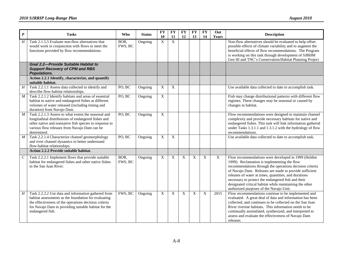| $\boldsymbol{P}$ | <b>Tasks</b>                                                                                                                                                                                                                                     | <b>Who</b>      | <b>Status</b> | <b>FY</b><br>10 | <b>FY</b><br>11           | <b>FY</b><br>12 | <b>FY</b><br>13           | <b>FY</b><br>14 | Out<br>Years | <b>Description</b>                                                                                                                                                                                                                                                                                                                                                                                                                            |
|------------------|--------------------------------------------------------------------------------------------------------------------------------------------------------------------------------------------------------------------------------------------------|-----------------|---------------|-----------------|---------------------------|-----------------|---------------------------|-----------------|--------------|-----------------------------------------------------------------------------------------------------------------------------------------------------------------------------------------------------------------------------------------------------------------------------------------------------------------------------------------------------------------------------------------------------------------------------------------------|
| $H_{\rm}$        | Task 2.1.5.5 Evaluate non-flow alternatives that<br>would work in conjunction with flows to meet the<br>functions provided by flow recommendations.                                                                                              | BOR,<br>FWS, BC | Ongoing       | X               | $\boldsymbol{\mathrm{X}}$ |                 |                           |                 |              | Non-flow alternatives should be evaluated to help offset<br>possible effects of climate variability and to augment the<br>beneficial effects of flow recommendations. The Program<br>is working on this task through development of SJBHM<br>Gen III and TNC's Conservation/Habitat Planning Project                                                                                                                                          |
|                  | Goal 2.2-Provide Suitable Habitat to<br><b>Support Recovery of CPM and RBS</b><br>Populations.                                                                                                                                                   |                 |               |                 |                           |                 |                           |                 |              |                                                                                                                                                                                                                                                                                                                                                                                                                                               |
|                  | Action 2.2.1 Identify, characterize, and quantify<br>suitable habitat.                                                                                                                                                                           |                 |               |                 |                           |                 |                           |                 |              |                                                                                                                                                                                                                                                                                                                                                                                                                                               |
| H                | Task 2.2.1.1 Assess data collected to identify and<br>describe flow-habitat relationships.                                                                                                                                                       | PO, BC          | Ongoing       | X               | X                         |                 |                           |                 |              | Use available data collected to date to accomplish task.                                                                                                                                                                                                                                                                                                                                                                                      |
| $\boldsymbol{M}$ | Task 2.2.1.2 Identify habitats and areas of essential<br>habitat to native and endangered fishes at different<br>volumes of water released (including timing and<br>duration) from Navajo Dam.                                                   | PO, BC          | Ongoing       | X               |                           |                 |                           |                 |              | Fish may change distributional patterns with different flow<br>regimes. These changes may be seasonal or caused by<br>changes in habitat.                                                                                                                                                                                                                                                                                                     |
| M                | Task 2.2.1.3 Assess to what extent the seasonal and<br>longitudinal distributions of endangered fishes and<br>other native and nonnative fish species in response to<br>various flow releases from Navajo Dam can be<br>determined.              | PO, BC          | Ongoing       | X               |                           |                 |                           |                 |              | Flow recommendations were designed to maintain channel<br>complexity and provide necessary habitats for native and<br>endangered fishes. This task will link information gathered<br>under Tasks 1.3.1.1 and 1.3.1.2 with the hydrology of flow<br>recommendations.                                                                                                                                                                           |
| $\overline{M}$   | Task 2.2.1.4 Characterize channel geomorphology<br>and river channel dynamics to better understand<br>flow-habitat relationships.                                                                                                                | PO, BC          | Ongoing       | X               | $\boldsymbol{\mathrm{X}}$ |                 |                           |                 |              | Use available data collected to date to accomplish task.                                                                                                                                                                                                                                                                                                                                                                                      |
|                  | Action 2.2.2 Provide suitable habitat.                                                                                                                                                                                                           |                 |               |                 |                           |                 |                           |                 |              |                                                                                                                                                                                                                                                                                                                                                                                                                                               |
| $\,$             | Task 2.2.2.1 Implement flows that provide suitable<br>habitat for endangered fishes and other native fishes<br>in the San Juan River.                                                                                                            | BOR,<br>FWS, BC | Ongoing       | X               | X                         | X               | X                         | X               | X            | Flow recommendations were developed in 1999 (Holden<br>1999). Reclamation is implementing the flow<br>recommendations through the operations decision criteria<br>of Navajo Dam. Releases are made to provide sufficient<br>releases of water at times, quantities, and durations<br>necessary to protect the endangered fish and their<br>designated critical habitat while maintaining the other<br>authorized purposes of the Navajo Unit. |
| Η                | Task 2.2.2.2 Use data and information gathered from<br>habitat assessments as the foundation for evaluating<br>the effectiveness of the operations decision criteria<br>for Navajo Dam in providing suitable habitat for the<br>endangered fish. | FWS, BC         | Ongoing       | X               | X                         | X               | $\boldsymbol{\mathrm{X}}$ | X               | 2015         | Flow recommendations continue to be implemented and<br>evaluated. A great deal of data and information has been<br>collected, and continues to be collected on the San Juan<br>River riverine habitats. This information needs to be<br>continually assimilated, synthesized, and interpreted to<br>assess and evaluate the effectiveness of Navajo Dam<br>releases.                                                                          |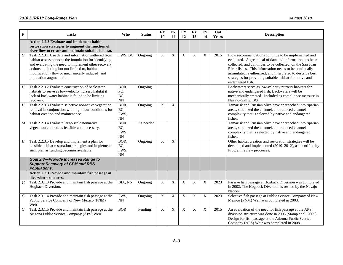| $\boldsymbol{P}$            | <b>Tasks</b>                                                                                                                                                                                                                                                                                         | <b>Who</b>                                         | <b>Status</b> | <b>FY</b><br>10 | <b>FY</b><br>11 | <b>FY</b><br>12 | <b>FY</b><br>13 | <b>FY</b><br>14 | Out<br>Years | <b>Description</b>                                                                                                                                                                                                                                                                                                                                                                   |
|-----------------------------|------------------------------------------------------------------------------------------------------------------------------------------------------------------------------------------------------------------------------------------------------------------------------------------------------|----------------------------------------------------|---------------|-----------------|-----------------|-----------------|-----------------|-----------------|--------------|--------------------------------------------------------------------------------------------------------------------------------------------------------------------------------------------------------------------------------------------------------------------------------------------------------------------------------------------------------------------------------------|
|                             | Action 2.2.3 Evaluate and implement habitat<br>restoration strategies to augment the function of<br>river flow to create and maintain suitable habitat.                                                                                                                                              |                                                    |               |                 |                 |                 |                 |                 |              |                                                                                                                                                                                                                                                                                                                                                                                      |
| $\mathcal{C}_{\mathcal{C}}$ | Task 2.2.3.1 Use data and information gathered from<br>habitat assessments as the foundation for identifying<br>and evaluating the need to implement other recovery<br>actions, including but not limited to, habitat<br>modification (flow or mechanically induced) and<br>population augmentation. | FWS, BC                                            | Ongoing       | X               | X               | X               | X               | X               | 2015         | Flow recommendations continue to be implemented and<br>evaluated. A great deal of data and information has been<br>collected, and continues to be collected, on the San Juan<br>River fishes. This information needs to be continually<br>assimilated, synthesized, and interpreted to describe best<br>strategies for providing suitable habitat for native and<br>endangered fish. |
| $H_{\rm}$                   | Task 2.2.3.2 Evaluate construction of backwater<br>habitats to serve as low-velocity nursery habitat if<br>lack of backwater habitat is found to be limiting<br>recovery.                                                                                                                            | BOR,<br>PO,<br>$\rm BC$<br>$\mathbf{N} \mathbf{N}$ | Ongoing       |                 |                 |                 |                 |                 |              | Backwaters serve as low-velocity nursery habitats for<br>native and endangered fish. Backwaters will be<br>mechanically created. Included as compliance measure in<br>Navajo-Gallup BO.                                                                                                                                                                                              |
| $\boldsymbol{H}$            | Task 2.2.3.3 Evaluate selective nonnative vegetation<br>removal in conjunction with high flow conditions for<br>habitat creation and maintenance.                                                                                                                                                    | BOR,<br>BC,<br>FWS,<br>$\rm NN$                    | Ongoing       | $\overline{X}$  | $\overline{X}$  |                 |                 |                 |              | Tamarisk and Russian olive have encroached into riparian<br>areas, stabilized the channel, and reduced channel<br>complexity that is selected by native and endangered<br>fishes.                                                                                                                                                                                                    |
| M                           | Task 2.2.3.4 Evaluate large-scale nonnative<br>vegetation control, as feasible and necessary.                                                                                                                                                                                                        | BOR,<br>BC,<br>FWS,<br>$\mathrm{NN}$               | As needed     |                 |                 |                 |                 |                 |              | Tamarisk and Russian olive have encroached into riparian<br>areas, stabilized the channel, and reduced channel<br>complexity that is selected by native and endangered<br>fishes.                                                                                                                                                                                                    |
| H                           | Task 2.2.3.5 Develop and implement a plan for<br>feasible habitat restoration strategies and implement<br>such plan as funding becomes available.                                                                                                                                                    | BOR,<br>BC,<br>FWS,<br>$\mathbf{N} \mathbf{N}$     | Ongoing       | $\mathbf X$     | $\overline{X}$  |                 |                 |                 |              | Other habitat creation and restoration strategies will be<br>developed and implemented (2010–2012), as identified by<br>Program review processes.                                                                                                                                                                                                                                    |
|                             | <b>Goal 2.3-Provide Increased Range to</b><br><b>Support Recovery of CPM and RBS</b><br>Populations.                                                                                                                                                                                                 |                                                    |               |                 |                 |                 |                 |                 |              |                                                                                                                                                                                                                                                                                                                                                                                      |
|                             | Action 2.3.1 Provide and maintain fish passage at<br>diversion structures.                                                                                                                                                                                                                           |                                                    |               |                 |                 |                 |                 |                 |              |                                                                                                                                                                                                                                                                                                                                                                                      |
| $\mathcal{C}_{0}$           | Task 2.3.1.3 Provide and maintain fish passage at the<br>Hogback Diversion.                                                                                                                                                                                                                          | BIA, NN                                            | Ongoing       | X               | X               | X               | X               | X               | 2023         | Passive fish passage at Hogback Diversion was completed<br>in 2002. The Hogback Diversion is owned by the Navajo<br>Nation                                                                                                                                                                                                                                                           |
| $\mathcal{C}_{\mathcal{C}}$ | Task 2.3.1.4 Provide and maintain fish passage at the<br>Public Service Company of New Mexico (PNM)<br>Weir.                                                                                                                                                                                         | FWS,<br>$\mathrm{NN}$                              | Ongoing       | $\overline{X}$  | X               | X               | X               | X               | 2023         | Selective fish passage at Public Service Company of New<br>Mexico (PNM) Weir was completed in 2003.                                                                                                                                                                                                                                                                                  |
| $\cal C$                    | Task 2.3.1.5 Provide and maintain fish passage at the<br>Arizona Public Service Company (APS) Weir.                                                                                                                                                                                                  | <b>BOR</b>                                         | Pending       | $\mathbf X$     | X               | X               | $\mathbf X$     | X               | 2015         | An evaluation of the need for fish passage at the APS<br>diversion structure was done in 2005 (Stamp et al. 2005).<br>Design for fish passage at the Arizona Public Service<br>Company (APS) Weir was completed in 2008.                                                                                                                                                             |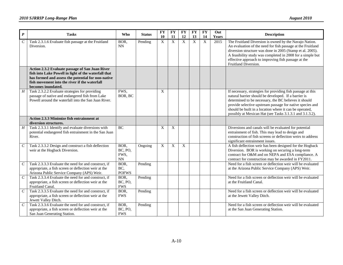| $\boldsymbol{P}$ | <b>Tasks</b>                                                                                                                                                                                                                         | <b>Who</b>                    | <b>Status</b> | <b>FY</b><br>10           | <b>FY</b><br>11 | <b>FY</b><br>12 | <b>FY</b><br>13 | <b>FY</b><br>14 | Out<br>Years | <b>Description</b>                                                                                                                                                                                                                                                                                                                                               |
|------------------|--------------------------------------------------------------------------------------------------------------------------------------------------------------------------------------------------------------------------------------|-------------------------------|---------------|---------------------------|-----------------|-----------------|-----------------|-----------------|--------------|------------------------------------------------------------------------------------------------------------------------------------------------------------------------------------------------------------------------------------------------------------------------------------------------------------------------------------------------------------------|
| $\cal C$         | Task 2.3.1.6 Evaluate fish passage at the Fruitland<br>Diversion.                                                                                                                                                                    | BOR,<br><b>NN</b>             | Pending       | $\boldsymbol{\mathrm{X}}$ | $\mathbf X$     | X               | $\overline{X}$  | X               | 2015         | The Fruitland Diversion is owned by the Navajo Nation.<br>An evaluation of the need for fish passage at the Fruitland<br>diversion structure was done in 2005 (Stamp et al. 2005).<br>A feasibility study was completed in 2008 for a simple but<br>effective approach to improving fish passage at the<br>Fruitland Diversion.                                  |
|                  | Action 2.3.2 Evaluate passage of San Juan River<br>fish into Lake Powell in light of the waterfall that<br>has formed and assess the potential for non-native<br>fish movement into the river if the waterfall<br>becomes inundated. |                               |               |                           |                 |                 |                 |                 |              |                                                                                                                                                                                                                                                                                                                                                                  |
| $\overline{H}$   | Task 2.3.2.2 Evaluate strategies for providing<br>passage of native and endangered fish from Lake<br>Powell around the waterfall into the San Juan River.                                                                            | FWS,<br>BOR, BC               |               | X                         |                 |                 |                 |                 |              | If necessary, strategies for providing fish passage at this<br>natural barrier should be developed. If a barrier is<br>determined to be necessary, the BC believes it should<br>provide selective upstream passage for native species and<br>should be built in a location where it can be operated,<br>possibly at Mexican Hat (see Tasks 3.1.3.1 and 3.1.3.2). |
|                  | Action 2.3.3 Minimize fish entrainment at<br>diversion structures.                                                                                                                                                                   |                               |               |                           |                 |                 |                 |                 |              |                                                                                                                                                                                                                                                                                                                                                                  |
| $\boldsymbol{H}$ | Task 2.3.3.1 Identify and evaluate diversions with<br>potential endangered fish entrainment in the San Juan<br>River.                                                                                                                | <b>BC</b>                     |               | X                         | X               |                 |                 |                 |              | Diversions and canals will be evaluated for potential<br>entrainment of fish. This may lead to design and<br>construction of fish screens or deflection weirs to address<br>significant entrainment issues.                                                                                                                                                      |
| $\cal C$         | Task 2.3.3.2 Design and construct a fish deflection<br>weir at the Hogback Diversion.                                                                                                                                                | BOR,<br>BC, PO,<br>FWS,<br>NN | Ongoing       | X                         | X               | X               |                 |                 |              | A fish deflection weir has been designed for the Hogback<br>Diversion. BOR is working on securing a long-term<br>contract for O&M and on NEPA and ESA compliance. A<br>contract for construction may be awarded in FY2011.                                                                                                                                       |
| $\mathcal{C}$    | Task 2.3.3.3 Evaluate the need for and construct, if<br>appropriate, a fish screen or deflection weir at the<br>Arizona Public Service Company (APS) Weir.                                                                           | BOR,<br>BC,<br><b>POFWS</b>   | Pending       |                           |                 |                 |                 |                 |              | Need for a fish screen or deflection weir will be evaluated<br>at the Arizona Public Service Company (APS) Weir.                                                                                                                                                                                                                                                 |
| $\cal C$         | Task 2.3.3.4 Evaluate the need for and construct, if<br>appropriate, a fish screen or deflection weir at the<br>Fruitland Canal.                                                                                                     | BOR,<br>BC, PO,<br><b>FWS</b> | Pending       |                           |                 |                 |                 |                 |              | Need for a fish screen or deflection weir will be evaluated<br>at the Fruitland Canal.                                                                                                                                                                                                                                                                           |
| $\overline{C}$   | Task 2.3.3.5 Evaluate the need for and construct, if<br>appropriate, a fish screen or deflection weir at the<br>Jewett Valley Ditch.                                                                                                 | BOR,<br><b>FWS</b>            | Pending       |                           |                 |                 |                 |                 |              | Need for a fish screen or deflection weir will be evaluated<br>at the Jewett Valley Ditch.                                                                                                                                                                                                                                                                       |
| $\overline{C}$   | Task 2.3.3.6 Evaluate the need for and construct, if<br>appropriate, a fish screen or deflection weir at the<br>San Juan Generating Station.                                                                                         | BOR,<br>BC, PO,<br><b>FWS</b> | Pending       |                           |                 |                 |                 |                 |              | Need for a fish screen or deflection weir will be evaluated<br>at the San Juan Generating Station.                                                                                                                                                                                                                                                               |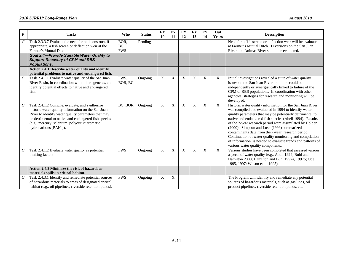| $\boldsymbol{P}$      | <b>Tasks</b>                                                                                                                                                                                                                                                                                  | Who                           | <b>Status</b> | <b>FY</b><br>10 | <b>FY</b><br>11 | <b>FY</b><br>12 | <b>FY</b><br>13 | <b>FY</b><br>14 | Out<br><b>Years</b>       | <b>Description</b>                                                                                                                                                                                                                                                                                                                                                                                                                                                                                                                                                         |
|-----------------------|-----------------------------------------------------------------------------------------------------------------------------------------------------------------------------------------------------------------------------------------------------------------------------------------------|-------------------------------|---------------|-----------------|-----------------|-----------------|-----------------|-----------------|---------------------------|----------------------------------------------------------------------------------------------------------------------------------------------------------------------------------------------------------------------------------------------------------------------------------------------------------------------------------------------------------------------------------------------------------------------------------------------------------------------------------------------------------------------------------------------------------------------------|
| $\mathcal C$          | Task 2.3.3.7 Evaluate the need for and construct, if<br>appropriate, a fish screen or deflection weir at the<br>Farmer's Mutual Ditch.                                                                                                                                                        | BOR,<br>BC, PO,<br><b>FWS</b> | Pending       |                 |                 |                 |                 |                 |                           | Need for a fish screen or deflection weir will be evaluated<br>at Farmer's Mutual Ditch. Diversions on the San Juan<br>River and Animas River should be evaluated.                                                                                                                                                                                                                                                                                                                                                                                                         |
|                       | <b>Goal 2.4-Provide Suitable Water Quality to</b><br><b>Support Recovery of CPM and RBS</b><br><b>Populations.</b>                                                                                                                                                                            |                               |               |                 |                 |                 |                 |                 |                           |                                                                                                                                                                                                                                                                                                                                                                                                                                                                                                                                                                            |
|                       | Action 2.4.1 Describe water quality and identify<br>potential problems to native and endangered fish.                                                                                                                                                                                         |                               |               |                 |                 |                 |                 |                 |                           |                                                                                                                                                                                                                                                                                                                                                                                                                                                                                                                                                                            |
| $\mathcal C$          | Task 2.4.1.1 Evaluate water quality of the San Juan<br>River Basin, in coordination with other agencies, and<br>identify potential effects to native and endangered<br>fish.                                                                                                                  | FWS,<br>BOR, BC               | Ongoing       | X               | X               | X               | X               | $\mathbf X$     | X                         | Initial investigations revealed a suite of water quality<br>issues on the San Juan River, but none could be<br>independently or synergistically linked to failure of the<br>CPM or RBS populations. In coordination with other<br>agencies, strategies for research and monitoring will be<br>developed.                                                                                                                                                                                                                                                                   |
| $\mathcal{C}_{0}^{0}$ | Task 2.4.1.2 Compile, evaluate, and synthesize<br>historic water quality information on the San Juan<br>River to identify water quality parameters that may<br>be detrimental to native and endangered fish species<br>(e.g., mercury, selenium, polycyclic aromatic<br>hydrocarbons [PAHs]). | BC, BOR                       | Ongoing       | X               | X               | $\mathbf{X}$    | X               | $\bf{X}$        | $\overline{X}$            | Historic water quality information for the San Juan River<br>was compiled and evaluated in 1994 to identify water<br>quality parameters that may be potentially detrimental to<br>native and endangered fish species (Abell 1994). Results<br>of the 7-year research period were assimilated by Holden<br>(2000). Simpson and Lusk (1999) summarized<br>contaminants data from the 7-year research period.<br>Continuation of water quality monitoring and compilation<br>of information is needed to evaluate trends and patterns of<br>various water quality components. |
| $\mathcal{C}_{0}^{0}$ | Task 2.4.1.2 Evaluate water quality as potential<br>limiting factors.                                                                                                                                                                                                                         | <b>FWS</b>                    | Ongoing       | X               | X               | X               | X               | X               | $\boldsymbol{\mathrm{X}}$ | Various studies have been completed that assessed various<br>aspects of water quality (e.g., Abell 1994; Buhl and<br>Hamilton 2000; Hamilton and Buhl 1997a, 1997b; Odell<br>1995, 1997; Wilson et al. 1995).                                                                                                                                                                                                                                                                                                                                                              |
|                       | Action 2.4.3 Minimize the risk of hazardous-<br>materials spills in critical habitat.                                                                                                                                                                                                         |                               |               |                 |                 |                 |                 |                 |                           |                                                                                                                                                                                                                                                                                                                                                                                                                                                                                                                                                                            |
| $\mathcal C$          | Task 2.4.3.1 Identify and remediate potential sources<br>of hazardous materials to areas of designated critical<br>habitat (e.g., oil pipelines, riverside retention ponds).                                                                                                                  | <b>FWS</b>                    | Ongoing       | X               | X               |                 |                 |                 |                           | The Program will identify and remediate any potential<br>sources of hazardous materials, such as gas lines, oil<br>product pipelines, riverside retention ponds, etc.                                                                                                                                                                                                                                                                                                                                                                                                      |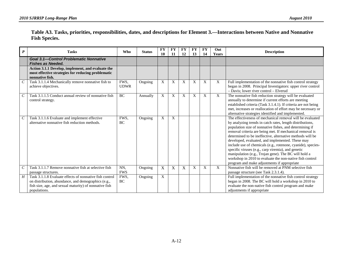| Table A3. Tasks, priorities, responsibilities, dates, and descriptions for Element 3.—Interactions between Native and Nonnative |  |
|---------------------------------------------------------------------------------------------------------------------------------|--|
| <b>Fish Species.</b>                                                                                                            |  |

| $\boldsymbol{P}$            | <b>Tasks</b>                                                                                                                                                                             | <b>Who</b>          | <b>Status</b> | <b>FY</b><br>10 | <b>FY</b><br>11 | <b>FY</b><br>12 | <b>FY</b><br>13 | <b>FY</b><br>14 | Out<br><b>Years</b>       | <b>Description</b>                                                                                                                                                                                                                                                                                                                                                                                                                                                                                                                                                                                                                                      |
|-----------------------------|------------------------------------------------------------------------------------------------------------------------------------------------------------------------------------------|---------------------|---------------|-----------------|-----------------|-----------------|-----------------|-----------------|---------------------------|---------------------------------------------------------------------------------------------------------------------------------------------------------------------------------------------------------------------------------------------------------------------------------------------------------------------------------------------------------------------------------------------------------------------------------------------------------------------------------------------------------------------------------------------------------------------------------------------------------------------------------------------------------|
|                             | <b>Goal 3.1-Control Problematic Nonnative</b><br><b>Fishes as Needed.</b>                                                                                                                |                     |               |                 |                 |                 |                 |                 |                           |                                                                                                                                                                                                                                                                                                                                                                                                                                                                                                                                                                                                                                                         |
|                             | Action 3.1.1 Develop, implement, and evaluate the<br>most effective strategies for reducing problematic<br>nonnative fish.                                                               |                     |               |                 |                 |                 |                 |                 |                           |                                                                                                                                                                                                                                                                                                                                                                                                                                                                                                                                                                                                                                                         |
|                             | Task 3.1.1.4 Mechanically remove nonnative fish to<br>achieve objectives.                                                                                                                | FWS,<br><b>UDWR</b> | Ongoing       | X               | X               | X               | X               | X               | X                         | Full implementation of the nonnative fish control strategy<br>began in 2008. Principal Investigators: upper river control<br>- Davis: lower river control - Elverud                                                                                                                                                                                                                                                                                                                                                                                                                                                                                     |
| $\mathcal{C}_{\mathcal{C}}$ | Task 3.1.1.5 Conduct annual review of nonnative fish<br>control strategy.                                                                                                                | BC                  | Annually      | X               | X               | X               | X               | X               | X                         | The nonnative fish reduction strategy will be evaluated<br>annually to determine if current efforts are meeting<br>established criteria (Task 3.1.4.1). If criteria are not being<br>met, increases or reallocation of effort may be necessary or<br>alternative strategies identified and implemented.                                                                                                                                                                                                                                                                                                                                                 |
| C                           | Task 3.1.1.6 Evaluate and implement effective<br>alternative nonnative fish reduction methods.                                                                                           | FWS.<br>BC          | Ongoing       | X               | X               |                 |                 |                 |                           | The effectiveness of mechanical removal will be evaluated<br>by analyzing trends in catch rates, length distributions,<br>population size of nonnative fishes, and determining if<br>removal criteria are being met. If mechanical removal is<br>determined to be ineffective, alternative methods will be<br>developed, evaluated, and implemented. These may<br>include use of chemicals (e.g., rotenone, cyanide), species-<br>specific viruses (e.g., carp viremia), and genetic<br>manipulation (e.g., Trojan gene). The BC will hold a<br>workshop in 2010 to evaluate the non-native fish control<br>program and make adjustments if appropriate |
| $\mathcal{C}_{\mathcal{C}}$ | Task 3.1.1.7 Remove nonnative fish at selective fish<br>passage structures.                                                                                                              | NN.<br><b>FWS</b>   | Ongoing       | X               | X               | X               | X               | X               | $\boldsymbol{\mathrm{X}}$ | Nonnative fish will be removed at PNM selective fish<br>passage structure (see Task 2.3.1.4).                                                                                                                                                                                                                                                                                                                                                                                                                                                                                                                                                           |
| $H_{\parallel}$             | Task 3.1.1.8 Evaluate effects of nonnative fish control<br>on distribution, abundance, and demographics (e.g.,<br>fish size, age, and sexual maturity) of nonnative fish<br>populations. | FWS,<br>BC          | Ongoing       | X               |                 |                 |                 |                 |                           | Full implementation of the nonnative fish control strategy<br>began in 2008. The BC will hold a workshop in 2010 to<br>evaluate the non-native fish control program and make<br>adjustments if appropriate                                                                                                                                                                                                                                                                                                                                                                                                                                              |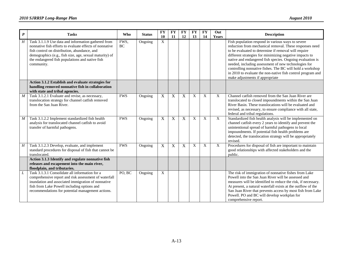| $\boldsymbol{P}$ | <b>Tasks</b>                                                                                                                                                                                                                                                                               | <b>Who</b> | <b>Status</b> | <b>FY</b><br>10 | <b>FY</b><br>11 | <b>FY</b><br>12 | <b>FY</b><br>13 | <b>FY</b><br>14  | Out<br>Years              | <b>Description</b>                                                                                                                                                                                                                                                                                                                                                                                                                                                                                                  |
|------------------|--------------------------------------------------------------------------------------------------------------------------------------------------------------------------------------------------------------------------------------------------------------------------------------------|------------|---------------|-----------------|-----------------|-----------------|-----------------|------------------|---------------------------|---------------------------------------------------------------------------------------------------------------------------------------------------------------------------------------------------------------------------------------------------------------------------------------------------------------------------------------------------------------------------------------------------------------------------------------------------------------------------------------------------------------------|
| H                | Task 3.1.1.9 Use data and information gathered from<br>nonnative fish efforts to evaluate effects of nonnative<br>fish control on distribution, abundance, and<br>demographics (e.g., fish size, age, sexual maturity) of<br>the endangered fish populations and native fish<br>community. | FWS.<br>BC | Ongoing       | X               |                 |                 |                 |                  |                           | Fish population respond in various ways to severe<br>reduction from mechanical removal. These responses need<br>to be evaluated to determine if removal will require<br>different strategies for minimizing negative impacts to<br>native and endangered fish species. Ongoing evaluation is<br>needed, including assessment of new technologies for<br>controlling nonnative fishes. The BC will hold a workshop<br>in 2010 to evaluate the non-native fish control program and<br>make adjustments if appropriate |
|                  | Action 3.1.2 Establish and evaluate strategies for<br>handling removed nonnative fish in collaboration<br>with state and tribal agencies.                                                                                                                                                  |            |               |                 |                 |                 |                 |                  |                           |                                                                                                                                                                                                                                                                                                                                                                                                                                                                                                                     |
| $\boldsymbol{M}$ | Task 3.1.2.1 Evaluate and revise, as necessary,<br>translocation strategy for channel catfish removed<br>from the San Juan River.                                                                                                                                                          | <b>FWS</b> | Ongoing       | X               | X               | X               | $\mathbf{X}$    | X                | X                         | Channel catfish removed from the San Juan River are<br>translocated to closed impoundments within the San Juan<br>River Basin. These translocations will be evaluated and<br>revised, as necessary, to ensure compliance with all state,<br>federal and tribal regulations.                                                                                                                                                                                                                                         |
| $\boldsymbol{M}$ | Task 3.1.2.2 Implement standardized fish health<br>analysis for translocated channel catfish to avoid<br>transfer of harmful pathogens.                                                                                                                                                    | <b>FWS</b> | Ongoing       | X               | X               | X               | $\mathbf X$     | $\boldsymbol{X}$ | $\boldsymbol{\mathrm{X}}$ | Standardized fish health analysis will be implemented on<br>channel catfish every 2 years to identify and prevent the<br>unintentional spread of harmful pathogens to local<br>impoundments. If potential fish health problems are<br>detected, the translocation strategy will be appropriately<br>revised.                                                                                                                                                                                                        |
| H                | Task 3.1.2.3 Develop, evaluate, and implement<br>standard procedures for disposal of fish that cannot be<br>translocated.                                                                                                                                                                  | <b>FWS</b> | Ongoing       | X               | $\mathbf X$     | X               | X               | X                | $\overline{X}$            | Procedures for disposal of fish are important to maintain<br>good relationships with affected stakeholders and the<br>public.                                                                                                                                                                                                                                                                                                                                                                                       |
|                  | Action 3.1.3 Identify and regulate nonnative fish<br>releases and escapement into the main river,<br>floodplain, and tributaries.                                                                                                                                                          |            |               |                 |                 |                 |                 |                  |                           |                                                                                                                                                                                                                                                                                                                                                                                                                                                                                                                     |
| L                | Task 3.1.3.1 Consolidate all information for a<br>comprehensive report and risk assessment of waterfall<br>inundation and associated immigration of nonnative<br>fish from Lake Powell including options and<br>recommendations for potential management actions.                          | PO, BC     | Ongoing       | X               |                 |                 |                 |                  |                           | The risk of immigration of nonnative fishes from Lake<br>Powell into the San Juan River will be assessed and<br>measures will be identified to reduce the risk, if necessary.<br>At present, a natural waterfall exists at the outflow of the<br>San Juan River that prevents access by most fish from Lake<br>Powell. PO and BC will develop workplan for<br>comprehensive report.                                                                                                                                 |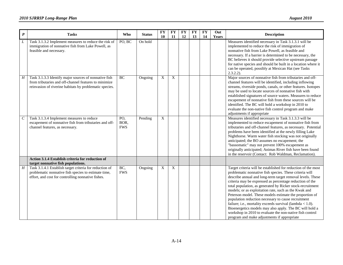| $\boldsymbol{P}$ | <b>Tasks</b>                                                                                                                                                              | <b>Who</b>                | <b>Status</b> | <b>FY</b><br>10 | <b>FY</b><br>11 | $\overline{\mathbf{FY}}$<br>12 | <b>FY</b><br>13 | <b>FY</b><br>14 | Out<br>Years | <b>Description</b>                                                                                                                                                                                                                                                                                                                                                                                                                                                                                                                                                                                                                                                                                                                |
|------------------|---------------------------------------------------------------------------------------------------------------------------------------------------------------------------|---------------------------|---------------|-----------------|-----------------|--------------------------------|-----------------|-----------------|--------------|-----------------------------------------------------------------------------------------------------------------------------------------------------------------------------------------------------------------------------------------------------------------------------------------------------------------------------------------------------------------------------------------------------------------------------------------------------------------------------------------------------------------------------------------------------------------------------------------------------------------------------------------------------------------------------------------------------------------------------------|
| L                | Task 3.1.3.2 Implement measures to reduce the risk of<br>immigration of nonnative fish from Lake Powell, as<br>feasible and necessary.                                    | PO, BC                    | On hold       |                 |                 |                                |                 |                 |              | Measures identified necessary in Task 3.1.3.1 will be<br>implemented to reduce the risk of immigration of<br>nonnative fish from Lake Powell, as feasible and<br>necessary. If a barrier is determined to be necessary, the<br>BC believes it should provide selective upstream passage<br>for native species and should be built in a location where it<br>can be operated, possibly at Mexican Hat (see Tasks<br>$2.3.2.2$ ).                                                                                                                                                                                                                                                                                                   |
| H                | Task 3.1.3.3 Identify major sources of nonnative fish<br>from tributaries and off-channel features to minimize<br>reinvasion of riverine habitats by problematic species. | BC                        | Ongoing       | X               | $\overline{X}$  |                                |                 |                 |              | Major sources of nonnative fish from tributaries and off-<br>channel features will be identified, including inflowing<br>streams, riverside ponds, canals, or other features. Isotopes<br>may be used to locate sources of nonnative fish with<br>established signatures of source waters. Measures to reduce<br>escapement of nonnative fish from these sources will be<br>identified. The BC will hold a workshop in 2010 to<br>evaluate the non-native fish control program and make<br>adjustments if appropriate                                                                                                                                                                                                             |
| $\boldsymbol{C}$ | Task 3.1.3.4 Implement measures to reduce<br>escapement of nonnative fish from tributaries and off-<br>channel features, as necessary.                                    | PO,<br>BOR,<br><b>FWS</b> | Pending       | $\mathbf X$     |                 |                                |                 |                 |              | Measures identified necessary in Task 3.1.3.3 will be<br>implemented to reduce escapement of nonnative fish from<br>tributaries and off-channel features, as necessary. Potential<br>problems have been identified at the newly filling Lake<br>Nighthorse. Warm water fish stocking was not originally<br>anticipated; the BO assumes no escapement; the<br>"bassomatic" may not prevent 100% escapement as<br>originally anticipated; Animas River fish have been found<br>in the reservoir (Contact: Rob Waldman, Reclamation).                                                                                                                                                                                                |
|                  | Action 3.1.4 Establish criteria for reduction of<br>target nonnative fish populations.                                                                                    |                           |               |                 |                 |                                |                 |                 |              |                                                                                                                                                                                                                                                                                                                                                                                                                                                                                                                                                                                                                                                                                                                                   |
| $\cal H$         | Task 3.1.4.1 Establish target criteria for reduction of<br>problematic nonnative fish species to estimate time,<br>effort, and cost for controlling nonnative fishes.     | BC<br><b>FWS</b>          | Ongoing       | $\mathbf X$     | $\mathbf X$     |                                |                 |                 |              | Target criteria will be established for reduction of the most<br>problematic nonnative fish species. These criteria will<br>describe annual and long-term target removal levels. These<br>criteria may be expressed as percentage reduction of the<br>total population, as generated by Ricker stock-recruitment<br>models; or as exploitation rate, such as the Kwak and<br>Peterson model. These models estimate the proportion of<br>population reduction necessary to cause recruitment<br>failure; i.e., mortality exceeds survival (lambda $< 1.0$ ).<br>Bioenergetics models may also apply. The BC will hold a<br>workshop in 2010 to evaluate the non-native fish control<br>program and make adjustments if appropriate |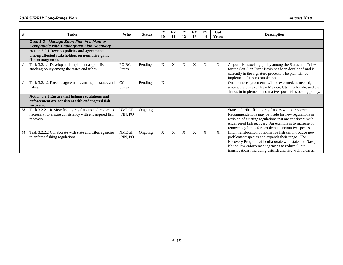| $\boldsymbol{P}$            | <b>Tasks</b>                                                                                                                 | <b>Who</b>               | <b>Status</b> | FY<br>10 | FY<br><b>11</b> | <b>FY</b><br>12 | FY<br>13 | FY<br>14 | Out<br>Years | <b>Description</b>                                                                                                                                                                                                                                                                          |
|-----------------------------|------------------------------------------------------------------------------------------------------------------------------|--------------------------|---------------|----------|-----------------|-----------------|----------|----------|--------------|---------------------------------------------------------------------------------------------------------------------------------------------------------------------------------------------------------------------------------------------------------------------------------------------|
|                             | Goal 3.2-Manage Sport Fish in a Manner<br><b>Compatible with Endangered Fish Recovery.</b>                                   |                          |               |          |                 |                 |          |          |              |                                                                                                                                                                                                                                                                                             |
|                             | <b>Action 3.2.1 Develop policies and agreements</b><br>among affected stakeholders on nonnative game<br>fish management.     |                          |               |          |                 |                 |          |          |              |                                                                                                                                                                                                                                                                                             |
| $\mathcal{C}$               | Task 3.2.1.1 Develop and implement a sport fish<br>stocking policy among the states and tribes.                              | PO,BC,<br><b>States</b>  | Pending       | X        | X               | X               | X        | X        | X            | A sport fish stocking policy among the States and Tribes<br>for the San Juan River Basin has been developed and is<br>currently in the signature process. The plan will be<br>implemented upon completion.                                                                                  |
| $\mathcal{C}_{\mathcal{C}}$ | Task 3.2.1.2 Execute agreements among the states and<br>tribes.                                                              | CC.<br><b>States</b>     | Pending       | X        |                 |                 |          |          |              | One or more agreements will be executed, as needed,<br>among the States of New Mexico, Utah, Colorado, and the<br>Tribes to implement a nonnative sport fish stocking policy.                                                                                                               |
|                             | Action 3.2.2 Ensure that fishing regulations and<br>enforcement are consistent with endangered fish<br>recovery.             |                          |               |          |                 |                 |          |          |              |                                                                                                                                                                                                                                                                                             |
| $\boldsymbol{M}$            | Task 3.2.2.1 Review fishing regulations and revise, as<br>necessary, to ensure consistency with endangered fish<br>recovery. | <b>NMDGF</b><br>, NN, PO | Ongoing       |          |                 |                 |          |          |              | State and tribal fishing regulations will be reviewed.<br>Recommendations may be made for new regulations or<br>revision of existing regulations that are consistent with<br>endangered fish recovery. An example is to increase or<br>remove bag limits for problematic nonnative species. |
| $\boldsymbol{M}$            | Task 3.2.2.2 Collaborate with state and tribal agencies<br>to enforce fishing regulations.                                   | <b>NMDGF</b><br>, NN, PO | Ongoing       | X        | X               | X               | X        | X        | X            | Illicit translocation of nonnative fish can introduce new<br>problematic species and expands their range. The<br>Recovery Program will collaborate with state and Navajo<br>Nation law enforcement agencies to reduce illicit<br>translocations, including baitfish and live-well releases. |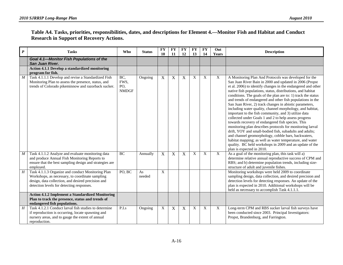| Table A4. Tasks, priorities, responsibilities, dates, and descriptions for Element 4.—Monitor Fish and Habitat and Conduct |  |
|----------------------------------------------------------------------------------------------------------------------------|--|
| <b>Research in Support of Recovery Actions.</b>                                                                            |  |

| $\boldsymbol{P}$ | <b>Tasks</b>                                                                                                                                                                                            | <b>Who</b>                        | <b>Status</b> | <b>FY</b><br>10 | <b>FY</b><br>11 | <b>FY</b><br>12 | <b>FY</b><br>13           | <b>FY</b><br>14           | Out<br>Years | <b>Description</b>                                                                                                                                                                                                                                                                                                                                                                                                                                                                                                                                                                                                                                                                                                                                                                                                                                                                                                                                                                                              |
|------------------|---------------------------------------------------------------------------------------------------------------------------------------------------------------------------------------------------------|-----------------------------------|---------------|-----------------|-----------------|-----------------|---------------------------|---------------------------|--------------|-----------------------------------------------------------------------------------------------------------------------------------------------------------------------------------------------------------------------------------------------------------------------------------------------------------------------------------------------------------------------------------------------------------------------------------------------------------------------------------------------------------------------------------------------------------------------------------------------------------------------------------------------------------------------------------------------------------------------------------------------------------------------------------------------------------------------------------------------------------------------------------------------------------------------------------------------------------------------------------------------------------------|
|                  | Goal 4.1-Monitor Fish Populations of the<br>San Juan River.                                                                                                                                             |                                   |               |                 |                 |                 |                           |                           |              |                                                                                                                                                                                                                                                                                                                                                                                                                                                                                                                                                                                                                                                                                                                                                                                                                                                                                                                                                                                                                 |
|                  | <b>Action 4.1.1 Develop a standardized monitoring</b><br>program for fish.                                                                                                                              |                                   |               |                 |                 |                 |                           |                           |              |                                                                                                                                                                                                                                                                                                                                                                                                                                                                                                                                                                                                                                                                                                                                                                                                                                                                                                                                                                                                                 |
| M                | Task 4.1.1.1 Develop and revise a Standardized Fish<br>Monitoring Plan to assess the presence, status, and<br>trends of Colorado pikeminnow and razorback sucker.                                       | BC<br>FWS,<br>PO,<br><b>NMDGF</b> | Ongoing       | X               | X               | X               | $\mathbf{X}$              | $\boldsymbol{X}$          | X            | A Monitoring Plan And Protocols was developed for the<br>San Juan River Bain in 2000 and updated in 2006 (Propst<br>et al. 2006) to identify changes in the endangered and other<br>native fish populations, status, distributions, and habitat<br>conditions. The goals of the plan are to: 1) track the status<br>and trends of endangered and other fish populations in the<br>San Juan River, 2) track changes in abiotic parameters,<br>including water quality, channel morphology, and habitat,<br>important to the fish community, and 3) utilize data<br>collected under Goals 1 and 2 to help assess progress<br>towards recovery of endangered fish species. This<br>monitoring plan describes protocols for monitoring larval<br>drift, YOY and small-bodied fish, subadults and adults;<br>and channel geomorphology, cobble bars, backwaters,<br>habitat mapping; as well as water temperature, and water<br>quality. BC held workshops in 2009 and an update of the<br>plan is expected in 2010. |
| $\boldsymbol{M}$ | Task 4.1.1.2 Analyze and evaluate monitoring data<br>and produce Annual Fish Monitoring Reports to<br>ensure that the best sampling design and strategies are<br>employed.                              | BC                                | Annually      | X               | $\mathbf X$     | X               | $\boldsymbol{\mathrm{X}}$ | $\boldsymbol{\mathrm{X}}$ | $\mathbf X$  | As a goal of the monitoring plan, this task will a)<br>determine relative annual reproductive success of CPM and<br>RBS; and b) determine population trends, including size-<br>structure of adult and juvenile fishes.                                                                                                                                                                                                                                                                                                                                                                                                                                                                                                                                                                                                                                                                                                                                                                                         |
| H                | Task 4.1.1.3 Organize and conduct Monitoring Plan<br>Workshops, as necessary, to coordinate sampling<br>design, data collection, and desired precision and<br>detection levels for detecting responses. | PO, BC                            | As<br>needed  | X               |                 |                 |                           |                           |              | Monitoring workshops were held 2009 to coordinate<br>sampling design, data collection, and desired precision and<br>detection levels for detecting responses. An update of the<br>plan is expected in 2010. Additional workshops will be<br>held as necessary to accomplish Task 4.1.1.1.                                                                                                                                                                                                                                                                                                                                                                                                                                                                                                                                                                                                                                                                                                                       |
|                  | <b>Action 4.1.2 Implement a Standardized Monitoring</b><br>Plan to track the presence, status and trends of<br>endangered fish populations.                                                             |                                   |               |                 |                 |                 |                           |                           |              |                                                                                                                                                                                                                                                                                                                                                                                                                                                                                                                                                                                                                                                                                                                                                                                                                                                                                                                                                                                                                 |
| H                | Task 4.1.2.1 Conduct larval fish studies to determine<br>if reproduction is occurring, locate spawning and<br>nursery areas, and to gauge the extent of annual<br>reproduction.                         | P.I.s                             | Ongoing       | X               | $\mathbf X$     | X               | $\boldsymbol{\mathrm{X}}$ | X                         | $\mathbf{X}$ | Long-term CPM and RBS sucker larval fish surveys have<br>been conducted since 2003. Principal Investigators:<br>Propst, Brandenburg, and Farrington.                                                                                                                                                                                                                                                                                                                                                                                                                                                                                                                                                                                                                                                                                                                                                                                                                                                            |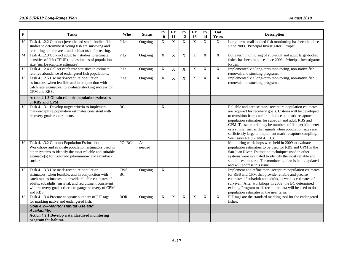| $\boldsymbol{P}$ | <b>Tasks</b>                                                                                                                                                                                                                                                                                | Who        | <b>Status</b> | <b>FY</b><br>10 | <b>FY</b><br>11           | <b>FY</b><br>12 | <b>FY</b><br>13           | $\mathbf{F}\mathbf{Y}$<br>14 | Out<br>Years   | <b>Description</b>                                                                                                                                                                                                                                                                                                                                                                                                                                                 |
|------------------|---------------------------------------------------------------------------------------------------------------------------------------------------------------------------------------------------------------------------------------------------------------------------------------------|------------|---------------|-----------------|---------------------------|-----------------|---------------------------|------------------------------|----------------|--------------------------------------------------------------------------------------------------------------------------------------------------------------------------------------------------------------------------------------------------------------------------------------------------------------------------------------------------------------------------------------------------------------------------------------------------------------------|
| H                | Task 4.1.2.2 Conduct juvenile and small-bodied fish<br>studies to determine if young fish are surviving and<br>recruiting and the areas and habitat used for rearing.                                                                                                                       | P.I.s      | Ongoing       | X               | $\overline{X}$            | X               | $\overline{X}$            | $\overline{X}$               | X              | Long-term small-bodied fish monitoring has been in place<br>since 2003. Principal Investigator: Propst                                                                                                                                                                                                                                                                                                                                                             |
| $\boldsymbol{M}$ | Task 4.1.2.3 Conduct adult fish studies to estimate<br>densities of fish (CPUE) and estimates of population<br>size (mark-recapture estimates).                                                                                                                                             | P.I.s      | Ongoing       | X               | X                         | $\overline{X}$  | X                         | X                            | X              | Long term monitoring of sub-adult and adult large-bodied<br>fishes has been in place since 2003. Principal Investigator:<br>Ryden.                                                                                                                                                                                                                                                                                                                                 |
| $\overline{H}$   | Task 4.1.2.4 Collect catch rate statistics to estimate<br>relative abundance of endangered fish populations.                                                                                                                                                                                | P.I.s      | Ongoing       | X               | $\boldsymbol{\mathrm{X}}$ | X               | $\boldsymbol{\mathrm{X}}$ | $\mathbf X$                  | $\overline{X}$ | Implemented via long-term monitoring, non-native fish<br>removal, and stocking programs.                                                                                                                                                                                                                                                                                                                                                                           |
| $H_{\rm}$        | Task 4.1.2.5 Use mark-recapture population<br>estimators, when feasible and in conjunction with<br>catch rate estimators, to evaluate stocking success for<br>CPM and RBS.                                                                                                                  | P.I.s      | Ongoing       | X               | $\mathbf X$               | $\mathbf X$     | $\overline{X}$            | X                            | $\overline{X}$ | Implemented via long-term monitoring, non-native fish<br>removal, and stocking programs.                                                                                                                                                                                                                                                                                                                                                                           |
|                  | Action 4.1.3 Obtain reliable population estimates<br>of RBS and CPM.                                                                                                                                                                                                                        |            |               |                 |                           |                 |                           |                              |                |                                                                                                                                                                                                                                                                                                                                                                                                                                                                    |
| H                | Task 4.1.3.1 Develop target criteria to implement<br>mark-recapture population estimates consistent with<br>recovery goals requirements.                                                                                                                                                    | <b>BC</b>  |               | X               |                           |                 |                           |                              |                | Reliable and precise mark-recapture population estimates<br>are required for recovery goals. Criteria will be developed<br>to transition from catch rate indices to mark-recapture<br>population estimators for subadult and adult RBS and<br>CPM. These criteria may be numbers of fish per kilometer<br>or a similar metric that signals when population sizes are<br>sufficiently large to implement mark-recapture sampling.<br>See Tasks 4.1.3.2 and 4.1.3.3. |
| Η                | Task 4.1.3.2 Conduct Population Estimation<br>Workshops and evaluate population estimators used in<br>other systems to identify the most reliable and suitable<br>estimator(s) for Colorado pikeminnow and razorback<br>sucker.                                                             | PO, BC     | As<br>needed  |                 |                           |                 |                           |                              |                | Monitoring workshops were held in 2009 to evaluate<br>population estimators to be used for RBS and CPM in the<br>San Juan River. Estimation techniques used in other<br>systems were evaluated to identify the most reliable and<br>suitable estimators. The monitoring plan is being updated<br>and will address this issue.                                                                                                                                      |
| Η                | Task 4.1.3.3 Use mark-recapture population<br>estimators, when feasible, and in conjunction with<br>catch rate estimators, to provide reliable estimates of<br>adults, subadults, survival, and recruitment consistent<br>with recovery goals criteria to gauge recovery of CPM<br>and RBS. | FWS,<br>BC | Ongoing       | X               |                           |                 |                           |                              |                | Implement and refine mark-recapture population estimates<br>for RBS and CPM that provide reliable and precise<br>estimates of subadult and adults, as well as estimates of<br>survival. After workshops in 2009, the BC determined<br>existing Program mark-recapture data will be used to do<br>population estimates in the near term.                                                                                                                            |
| H                | Task 4.1.3.4 Procure adequate numbers of PIT tags<br>for marking native and endangered fish.                                                                                                                                                                                                | <b>BOR</b> | Ongoing       | $\overline{X}$  | $\overline{X}$            | X               | $\overline{X}$            | $\overline{X}$               | $\overline{X}$ | PIT tags are the standard marking tool for the endangered<br>fishes.                                                                                                                                                                                                                                                                                                                                                                                               |
|                  | Goal 4.2-Monitor Habitat Use and<br>Availability.                                                                                                                                                                                                                                           |            |               |                 |                           |                 |                           |                              |                |                                                                                                                                                                                                                                                                                                                                                                                                                                                                    |
|                  | Action 4.2.1 Develop a standardized monitoring<br>program for habitat.                                                                                                                                                                                                                      |            |               |                 |                           |                 |                           |                              |                |                                                                                                                                                                                                                                                                                                                                                                                                                                                                    |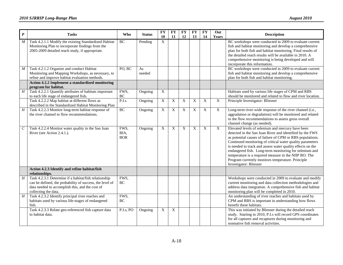| $\pmb{P}$                   | <b>Tasks</b>                                                                                                                                                                                 | <b>Who</b>                 | <b>Status</b> | <b>FY</b><br>10           | <b>FY</b><br>11 | <b>FY</b><br>12 | <b>FY</b><br>13 | <b>FY</b><br>14           | Out<br>Years   | <b>Description</b>                                                                                                                                                                                                                                                                                                                                                                                                                                                                                      |
|-----------------------------|----------------------------------------------------------------------------------------------------------------------------------------------------------------------------------------------|----------------------------|---------------|---------------------------|-----------------|-----------------|-----------------|---------------------------|----------------|---------------------------------------------------------------------------------------------------------------------------------------------------------------------------------------------------------------------------------------------------------------------------------------------------------------------------------------------------------------------------------------------------------------------------------------------------------------------------------------------------------|
| $\cal M$                    | Task 4.2.1.1 Modify the existing Standardized Habitat<br>Monitoring Plan to incorporate findings from the<br>2005-2009 detailed reach study, if appropriate.                                 | BC                         | Pending       | $\boldsymbol{\mathrm{X}}$ |                 |                 |                 |                           |                | BC workshops were conducted in 2009 to evaluate current<br>fish and habitat monitoring and develop a comprehensive<br>plan for both fish and habitat monitoring. Final results of<br>the detailed reach results will be available in 2010. A<br>comprehensive monitoring is being developed and will<br>incorporate this information.                                                                                                                                                                   |
| $\boldsymbol{M}$            | Task 4.2.1.2 Organize and conduct Habitat<br>Monitoring and Mapping Workshops, as necessary, to<br>refine and improve habitat evaluation methods.                                            | PO, BC                     | As<br>needed  |                           |                 |                 |                 |                           |                | BC workshops were conducted in 2009 to evaluate current<br>fish and habitat monitoring and develop a comprehensive<br>plan for both fish and habitat monitoring.                                                                                                                                                                                                                                                                                                                                        |
|                             | Action 4.2.2 Implement a standardized monitoring<br>program for habitat.                                                                                                                     |                            |               |                           |                 |                 |                 |                           |                |                                                                                                                                                                                                                                                                                                                                                                                                                                                                                                         |
| $\overline{H}$              | Task 4.2.2.1 Quantify attributes of habitats important<br>to each life stage of endangered fish.                                                                                             | FWS,<br>$\rm BC$           | Ongoing       | $\overline{X}$            |                 |                 |                 |                           |                | Habitats used by various life stages of CPM and RBS<br>should be monitored and related to flow and river location.                                                                                                                                                                                                                                                                                                                                                                                      |
|                             | Task 4.2.2.2 Map habitat at different flows as<br>described in the Standardized Habitat Monitoring Plan                                                                                      | P.I.s                      | Ongoing       | $\overline{X}$            | X               | $\mathbf X$     | $\mathbf X$     | $\overline{X}$            | $\overline{X}$ | Principle Investigator: Bliesner                                                                                                                                                                                                                                                                                                                                                                                                                                                                        |
| $\overline{H}$              | Task 4.2.2.3 Monitor long-term habitat response of<br>the river channel to flow recommendations.                                                                                             | BC                         | Ongoing       | X                         | X               | X               | X               | $\overline{X}$            | $\overline{X}$ | Long-term river-wide response of the river channel (i.e.,<br>aggradation or degradation) will be monitored and related<br>to the flow recommendations to assess gross overall<br>channel change (as needed).                                                                                                                                                                                                                                                                                            |
| $\mathcal{C}_{\mathcal{C}}$ | Task 4.2.2.4 Monitor water quality in the San Juan<br>River (see Action 2.4.1.).                                                                                                             | FWS,<br>BIA,<br><b>BOR</b> | Ongoing       | X                         | X               | X               | X               | $\boldsymbol{\mathrm{X}}$ | $\mathbf X$    | Elevated levels of selenium and mercury have been<br>detected in the San Juan River and identified by the FWS<br>as potential causes of failure of CPM or RBS populations.<br>Continued monitoring of critical water quality parameters<br>is needed to track and assess water quality effects on the<br>endangered fish. Long-term monitoring for selenium and<br>temperature is a required measure in the NIIP BO. The<br>Program currently monitors temperature. Principle<br>Investigator: Bliesner |
|                             | Action 4.2.3 Identify and refine habitat/fish<br>relationships.                                                                                                                              |                            |               |                           |                 |                 |                 |                           |                |                                                                                                                                                                                                                                                                                                                                                                                                                                                                                                         |
| H                           | Task 4.2.3.1 Determine if a habitat/fish relationship<br>can be defined, the probability of success, the level of<br>data needed to accomplish this, and the cost of<br>collecting the data. | FWS,<br>BC                 |               |                           |                 |                 |                 |                           |                | Workshops were conducted in 2009 to evaluate and modify<br>current monitoring and data collection methodologies and<br>address data integration. A comprehensive fish and habitat<br>monitoring plan will be completed in 2010.                                                                                                                                                                                                                                                                         |
| $\cal H$                    | Task 4.2.3.2 Identify principal river reaches and<br>habitats used by various life-stages of endangered<br>fish.                                                                             | FWS,<br>BC                 |               |                           |                 |                 |                 |                           |                | An understanding of river reaches and habitats used by<br>CPM and RBS is important in understanding how flows<br>benefit these habitats.                                                                                                                                                                                                                                                                                                                                                                |
|                             | Task 4.2.3.3 Relate geo-referenced fish capture data<br>to habitat data.                                                                                                                     | P.I.s, PO                  | Ongoing       | $\boldsymbol{\mathrm{X}}$ | $\mathbf X$     |                 |                 |                           |                | This was initiated by Bliesner during the detailed reach<br>study. Starting in 2010, P.I.s will record GPS coordinates<br>for all captures and recaptures during monitoring and<br>nonnative fish removal activities.                                                                                                                                                                                                                                                                                   |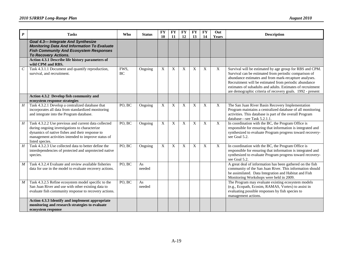| $\boldsymbol{P}$            | <b>Tasks</b>                                                                                                                                                                                                                       | <b>Who</b>        | <b>Status</b> | <b>FY</b><br>10 | <b>FY</b><br>11 | <b>FY</b><br>12 | <b>FY</b><br>13 | <b>FY</b><br>14  | Out<br>Years   | <b>Description</b>                                                                                                                                                                                                                                                                                                                                               |
|-----------------------------|------------------------------------------------------------------------------------------------------------------------------------------------------------------------------------------------------------------------------------|-------------------|---------------|-----------------|-----------------|-----------------|-----------------|------------------|----------------|------------------------------------------------------------------------------------------------------------------------------------------------------------------------------------------------------------------------------------------------------------------------------------------------------------------------------------------------------------------|
|                             | <b>Goal 4.3-Integrate And Synthesize</b><br><b>Monitoring Data And Information To Evaluate</b><br><b>Fish Community And Ecosystem Responses</b><br><b>To Recovery Actions.</b>                                                     |                   |               |                 |                 |                 |                 |                  |                |                                                                                                                                                                                                                                                                                                                                                                  |
|                             | Action 4.3.1 Describe life history parameters of<br>wild CPM and RBS.                                                                                                                                                              |                   |               |                 |                 |                 |                 |                  |                |                                                                                                                                                                                                                                                                                                                                                                  |
| $\mathcal{C}_{\mathcal{C}}$ | Task 4.3.1.1 Document and quantify reproduction,<br>survival, and recruitment.                                                                                                                                                     | FWS.<br><b>BC</b> | Ongoing       | X               | X               | X               | X               | $\boldsymbol{X}$ | X              | Survival will be estimated by age group for RBS and CPM.<br>Survival can be estimated from periodic comparison of<br>abundance estimates and from mark-recapture analyses.<br>Recruitment will be estimated from periodic abundance<br>estimates of subadults and adults. Estimates of recruitment<br>are demographic criteria of recovery goals. 1992 - present |
|                             | Action 4.3.2 Develop fish community and<br>ecosystem response strategies                                                                                                                                                           |                   |               |                 |                 |                 |                 |                  |                |                                                                                                                                                                                                                                                                                                                                                                  |
| $\overline{H}$              | Task 4.3.2.1 Develop a centralized database that<br>incorporates all data from standardized monitoring<br>and integrate into the Program database.                                                                                 | PO, BC            | Ongoing       | X               | X               | X               | X               | X                | X              | The San Juan River Basin Recovery Implementation<br>Program maintains a centralized database of all monitoring<br>activities. This database is part of the overall Program<br>database-see Task 5.2.1.1.                                                                                                                                                         |
| H                           | Task 4.3.2.2 Use previous and current data collected<br>during ongoing investigations to characterize<br>dynamics of native fishes and their response to<br>management activities intended to improve status of<br>listed species. | PO, BC            | Ongoing       | X               | X               | X               | X               | X                | $\overline{X}$ | In coordination with the BC, the Program Office is<br>responsible for ensuring that information is integrated and<br>synthesized to evaluate Program progress toward recovery-<br>see Goal 5.2.                                                                                                                                                                  |
| H                           | Task 4.3.2.3 Use collected data to better define the<br>interdependencies of protected and unprotected native<br>species.                                                                                                          | PO, BC            | Ongoing       | X               | X               | X               | X               | X                | X              | In coordination with the BC, the Program Office is<br>responsible for ensuring that information is integrated and<br>synthesized to evaluate Program progress toward recovery-<br>see Goal 5.2.                                                                                                                                                                  |
| $\boldsymbol{M}$            | Task 4.3.2.4 Evaluate and review available fisheries<br>data for use in the model to evaluate recovery actions.                                                                                                                    | PO, BC            | As<br>needed  |                 |                 |                 |                 |                  |                | A great deal of information has been gathered on the fish<br>community of the San Juan River. This information should<br>be assimilated. Data Integration and Habitat and Fish<br>Monitoring Workshops were held in 2009.                                                                                                                                        |
| $\boldsymbol{M}$            | Task 4.3.2.5 Refine ecosystem model specific to the<br>San Juan River and use with other existing data to<br>evaluate fish community response to recovery actions.                                                                 | PO, BC            | As<br>needed  |                 |                 |                 |                 |                  |                | The Program may evaluate existing ecosystem models<br>(e.g., Ecopath, Ecosim, RAMAS, Vortex) to assist in<br>evaluating possible responses by fish species to<br>management actions.                                                                                                                                                                             |
|                             | Action 4.3.3 Identify and implement appropriate<br>monitoring and research strategies to evaluate<br>ecosystem response                                                                                                            |                   |               |                 |                 |                 |                 |                  |                |                                                                                                                                                                                                                                                                                                                                                                  |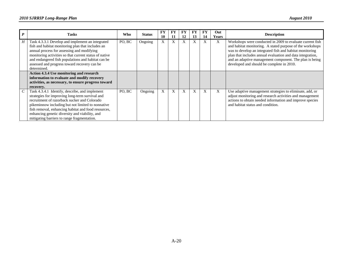|   | <b>Tasks</b>                                                                                                                                                                                                                                                                                                                                                   | Who    | <b>Status</b> | FY<br>10 | FY<br>11 | FY<br>12 | FY<br>13 | 14 | Out<br><b>Years</b> | <b>Description</b>                                                                                                                                                                                                                                                                                                                                       |
|---|----------------------------------------------------------------------------------------------------------------------------------------------------------------------------------------------------------------------------------------------------------------------------------------------------------------------------------------------------------------|--------|---------------|----------|----------|----------|----------|----|---------------------|----------------------------------------------------------------------------------------------------------------------------------------------------------------------------------------------------------------------------------------------------------------------------------------------------------------------------------------------------------|
| H | Task 4.3.3.1 Develop and implement an integrated<br>fish and habitat monitoring plan that includes an<br>annual process for assessing and modifying<br>monitoring activities so that current status of native<br>and endangered fish populations and habitat can be<br>assessed and progress toward recovery can be<br>determined.                             | PO. BC | Ongoing       | X        | X        | X        | A        |    | X                   | Workshops were conducted in 2009 to evaluate current fish<br>and habitat monitoring. A stated purpose of the workshops<br>was to develop an integrated fish and habitat monitoring<br>plan that includes annual evaluation and data integration,<br>and an adaptive management component. The plan is being<br>developed and should be complete in 2010. |
|   | <b>Action 4.3.4 Use monitoring and research</b><br>information to evaluate and modify recovery<br>activities, as necessary, to ensure progress toward<br>recovery.                                                                                                                                                                                             |        |               |          |          |          |          |    |                     |                                                                                                                                                                                                                                                                                                                                                          |
|   | Task 4.3.4.1 Identify, describe, and implement<br>strategies for improving long-term survival and<br>recruitment of razorback sucker and Colorado<br>pikeminnow including but not limited to nonnative<br>fish removal, enhancing habitat and food resources,<br>enhancing genetic diversity and viability, and<br>mitigating barriers to range fragmentation. | PO, BC | Ongoing       | X        | X        | X        | X        | X  | X                   | Use adaptive management strategies to eliminate, add, or<br>adjust monitoring and research activities and management<br>actions to obtain needed information and improve species<br>and habitat status and condition.                                                                                                                                    |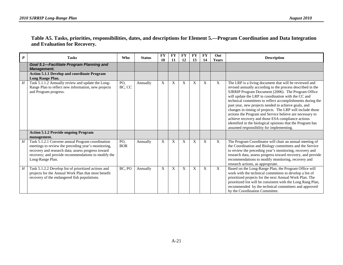#### **Table A5. Tasks, priorities, responsibilities, dates, and descriptions for Element 5.—Program Coordination and Data Integration and Evaluation for Recovery.**

| $\boldsymbol{P}$ | <b>Tasks</b>                                                                                                                                                                                                                             | <b>Who</b>        | <b>Status</b> | <b>FY</b><br>10 | <b>FY</b><br>11 | <b>FY</b><br>12 | <b>FY</b><br>13 | <b>FY</b><br>14 | Out<br><b>Years</b> | <b>Description</b>                                                                                                                                                                                                                                                                                                                                                                                                                                                                                                                                                                                                                              |
|------------------|------------------------------------------------------------------------------------------------------------------------------------------------------------------------------------------------------------------------------------------|-------------------|---------------|-----------------|-----------------|-----------------|-----------------|-----------------|---------------------|-------------------------------------------------------------------------------------------------------------------------------------------------------------------------------------------------------------------------------------------------------------------------------------------------------------------------------------------------------------------------------------------------------------------------------------------------------------------------------------------------------------------------------------------------------------------------------------------------------------------------------------------------|
|                  | Goal 5.1-Facilitate Program Planning and<br>Management.                                                                                                                                                                                  |                   |               |                 |                 |                 |                 |                 |                     |                                                                                                                                                                                                                                                                                                                                                                                                                                                                                                                                                                                                                                                 |
|                  | <b>Action 5.1.1 Develop and coordinate Program</b><br>Long Range Plan.                                                                                                                                                                   |                   |               |                 |                 |                 |                 |                 |                     |                                                                                                                                                                                                                                                                                                                                                                                                                                                                                                                                                                                                                                                 |
| H                | Task 5.1.1.2 Annually review and update the Long-<br>Range Plan to reflect new information, new projects<br>and Program progress.                                                                                                        | PO,<br>BC, CC     | Annually      | X               | X               | X               | X               | X               | $\mathbf{X}$        | The LRP is a living document that will be reviewed and<br>revised annually according to the process described in the<br>SJRRIP Program Document (2006). The Program Office<br>will update the LRP in coordination with the CC and<br>technical committees to reflect accomplishments during the<br>past year, new projects needed to achieve goals, and<br>changes in timing of projects. The LRP will include those<br>actions the Program and Service believe are necessary to<br>achieve recovery and those ESA compliance actions<br>identified in the biological opinions that the Program has<br>assumed responsibility for implementing. |
|                  | <b>Action 5.1.2 Provide ongoing Program</b><br>management.                                                                                                                                                                               |                   |               |                 |                 |                 |                 |                 |                     |                                                                                                                                                                                                                                                                                                                                                                                                                                                                                                                                                                                                                                                 |
| H                | Task 5.1.2.1 Convene annual Program coordination<br>meetings to review the preceding year's monitoring,<br>recovery and research data; assess progress toward<br>recovery; and provide recommendations to modify the<br>Long-Range Plan. | PO,<br><b>BOR</b> | Annually      | X               | X               | X               | X               | X               | X                   | The Program Coordinator will chair an annual meeting of<br>the Coordination and Biology committees and the Service<br>to review the preceding year's monitoring, recovery and<br>research data, assess progress toward recovery, and provide<br>recommendations to modify monitoring, recovery and<br>research actions, as appropriate.                                                                                                                                                                                                                                                                                                         |
| $H_{-}$          | Task 5.1.2.2 Develop list of prioritized actions and<br>projects for the Annual Work Plan that most benefit<br>recovery of the endangered fish populations.                                                                              | BC. PO            | Annually      | X               | X               | X               | X               | X               | X                   | Based on the Long-Range Plan, the Program Office will<br>work with the technical committees to develop a list of<br>prioritized projects for the next Annual Work Plan. The<br>prioritized list will be consistent with the Long Rang Plan,<br>recommended by the technical committees and approved<br>by the Coordination Committee.                                                                                                                                                                                                                                                                                                           |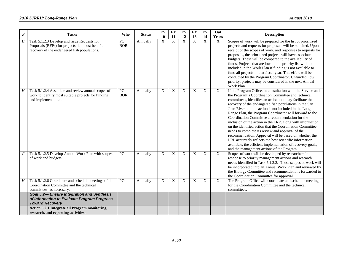| $\boldsymbol{P}$ | <b>Tasks</b>                                                                                                                                   | Who               | <b>Status</b> | <b>FY</b><br>10 | <b>FY</b>            | <b>FY</b><br>12 | <b>FY</b>                 | <b>FY</b>         | Out                                | <b>Description</b>                                                                                                                                                                                                                                                                                                                                                                                                                                                                                                                                                                                                                                                                                                                                                                                                            |
|------------------|------------------------------------------------------------------------------------------------------------------------------------------------|-------------------|---------------|-----------------|----------------------|-----------------|---------------------------|-------------------|------------------------------------|-------------------------------------------------------------------------------------------------------------------------------------------------------------------------------------------------------------------------------------------------------------------------------------------------------------------------------------------------------------------------------------------------------------------------------------------------------------------------------------------------------------------------------------------------------------------------------------------------------------------------------------------------------------------------------------------------------------------------------------------------------------------------------------------------------------------------------|
| $H_{\rm}$        | Task 5.1.2.3 Develop and issue Requests for<br>Proposals (RFPs) for projects that most benefit<br>recovery of the endangered fish populations. | PO,<br><b>BOR</b> | Annually      | X               | 11<br>$\overline{X}$ | X               | 13<br>$\overline{X}$      | 14<br>$\mathbf X$ | Years<br>$\boldsymbol{\mathrm{X}}$ | Scopes of work will be prepared for the list of prioritized<br>projects and requests for proposals will be solicited. Upon<br>receipt of the scopes of work, and responses to requests for<br>proposals, the prioritized projects will have associated<br>budgets. These will be compared to the availability of<br>funds. Projects that are low on the priority list will not be<br>included in the Work Plan if funding is not available to<br>fund all projects in that fiscal year. This effort will be<br>conducted by the Program Coordinator. Unfunded, low<br>priority, projects may be considered in the next Annual<br>Work Plan.                                                                                                                                                                                   |
| $H_{\rm}$        | Task 5.1.2.4 Assemble and review annual scopes of<br>work to identify most suitable projects for funding<br>and implementation.                | PO,<br><b>BOR</b> | Annually      | X               | X                    | X               | $\boldsymbol{\mathrm{X}}$ | X                 | $\overline{X}$                     | If the Program Office, in consultation with the Service and<br>the Program's Coordination Committee and technical<br>committees, identifies an action that may facilitate the<br>recovery of the endangered fish populations in the San<br>Juan River and the action is not included in the Long-<br>Range Plan, the Program Coordinator will forward to the<br>Coordination Committee a recommendation for the<br>inclusion of the action in the LRP, along with information<br>on the identified action that the Coordination Committee<br>needs to complete its review and approval of the<br>recommendation. Approval will be based on whether the<br>LRP accurately reflects the best scientific information<br>available, the efficient implementation of recovery goals,<br>and the management actions of the Program. |
| $\cal C$         | Task 5.1.2.5 Develop Annual Work Plan with scopes<br>of work and budgets.                                                                      | P <sub>O</sub>    | Annually      | X               | X                    | X               | X                         | X                 | $\mathbf X$                        | Scopes of work will be developed by researchers in<br>response to priority management actions and research<br>needs identified in Task 5.1.2.2. These scopes of work will<br>be incorporated into an Annual Work Plan and reviewed by<br>the Biology Committee and recommendations forwarded to<br>the Coordination Committee for approval.                                                                                                                                                                                                                                                                                                                                                                                                                                                                                   |
| H                | Task 5.1.2.6 Coordinate and schedule meetings of the<br>Coordination Committee and the technical<br>committees, as necessary.                  | PO                | Annually      | X               | X                    | X               | $\boldsymbol{X}$          | X                 | $\boldsymbol{X}$                   | The Program Office will coordinate and schedule meetings<br>for the Coordination Committee and the technical<br>committees.                                                                                                                                                                                                                                                                                                                                                                                                                                                                                                                                                                                                                                                                                                   |
|                  | <b>Goal 5.2- Ensure Integration and Synthesis</b><br>of Information to Evaluate Program Progress<br><b>Toward Recovery</b>                     |                   |               |                 |                      |                 |                           |                   |                                    |                                                                                                                                                                                                                                                                                                                                                                                                                                                                                                                                                                                                                                                                                                                                                                                                                               |
|                  | Action 5.2.1 Integrate all Program monitoring,<br>research, and reporting activities.                                                          |                   |               |                 |                      |                 |                           |                   |                                    |                                                                                                                                                                                                                                                                                                                                                                                                                                                                                                                                                                                                                                                                                                                                                                                                                               |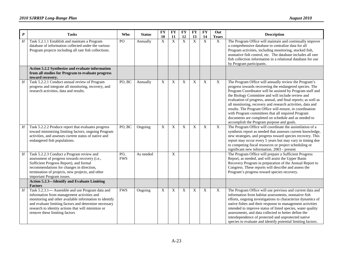| $\boldsymbol{P}$ | <b>Tasks</b>                                                                                                                                                                                                                                                                                             | <b>Who</b>        | <b>Status</b> | <b>FY</b><br>10 | <b>FY</b><br>11 | <b>FY</b><br>12 | <b>FY</b><br>13           | <b>FY</b><br>14           | Out<br>Years   | <b>Description</b>                                                                                                                                                                                                                                                                                                                                                                                                                                                                                                                                                                      |
|------------------|----------------------------------------------------------------------------------------------------------------------------------------------------------------------------------------------------------------------------------------------------------------------------------------------------------|-------------------|---------------|-----------------|-----------------|-----------------|---------------------------|---------------------------|----------------|-----------------------------------------------------------------------------------------------------------------------------------------------------------------------------------------------------------------------------------------------------------------------------------------------------------------------------------------------------------------------------------------------------------------------------------------------------------------------------------------------------------------------------------------------------------------------------------------|
| $\overline{H}$   | Task 5.2.1.1 Establish and maintain a Program<br>database of information collected under the various<br>Program projects including all rare fish collections.                                                                                                                                            | PO                | Annually      | X               | $\mathbf X$     | $\mathbf{X}$    | $\overline{X}$            | $\mathbf X$               | $\mathbf{X}$   | The Program Office will maintain and continually improve<br>a comprehensive database to centralize data for all<br>Program activities, including monitoring, stocked fish,<br>nonnative fish control, etc. The database includes all rare<br>fish collection information in a relational database for use<br>by Program participants.                                                                                                                                                                                                                                                   |
|                  | Action 5.2.2 Synthesize and evaluate information<br>from all studies for Program to evaluate progress<br>toward recovery.                                                                                                                                                                                |                   |               |                 |                 |                 |                           |                           |                |                                                                                                                                                                                                                                                                                                                                                                                                                                                                                                                                                                                         |
| H                | Task 5.2.2.1 Conduct annual review of Program<br>progress and integrate all monitoring, recovery, and<br>research activities, data and results.                                                                                                                                                          | PO, BC            | Annually      | X               | X               | X               | X                         | $\boldsymbol{\mathrm{X}}$ | X              | The Program Office will annually review the Program's<br>progress towards recovering the endangered species. The<br>Program Coordinator will be assisted by Program staff and<br>the Biology Committee and will include review and<br>evaluation of progress, annual, and final reports; as well as<br>all monitoring, recovery and research activities, data and<br>results. The Program Office will ensure, in coordination<br>with Program committees that all required Program<br>documents are completed on schedule and as needed to<br>accomplish the Program purpose and goals. |
| $\boldsymbol{H}$ | Task 5.2.2.2 Produce report that evaluates progress<br>toward minimizing limiting factors, ongoing Program<br>activities, and assesses current status of native and<br>endangered fish populations.                                                                                                      | PO, BC            | Ongoing       | $\overline{X}$  | X               | $\overline{X}$  | $\overline{X}$            | $\overline{X}$            | $\overline{X}$ | The Program Office will coordinate the assimilation of a<br>synthesis report as needed that assesses current knowledge,<br>new strategies, and progress toward species recovery. This<br>report may occur every 5 years but may vary in timing due<br>to competing fiscal resources or project scheduling or<br>significant new information. 2003 - present                                                                                                                                                                                                                             |
| H                | Task 5.2.2.3 Conduct a Program review and<br>assessment of progress towards recovery (i.e.,<br>Sufficient Progress Report), and formal<br>recommendations for changes in direction,<br>termination of projects, new projects, and other<br>important Program issues.                                     | PO,<br><b>FWS</b> | As needed     |                 | X               |                 |                           |                           |                | The Program Office will prepare a Sufficient Progress<br>Report, as needed, and will assist the Upper Basin<br>Recovery Program in preparation of the Annual Report to<br>Congress. These reports will describe and assess the<br>Program's progress toward species recovery.                                                                                                                                                                                                                                                                                                           |
|                  | <b>Action 5.2.3-Identify and Evaluate Limiting</b><br><b>Factors</b>                                                                                                                                                                                                                                     |                   |               |                 |                 |                 |                           |                           |                |                                                                                                                                                                                                                                                                                                                                                                                                                                                                                                                                                                                         |
| $\boldsymbol{H}$ | Task 5.2.3.1 - Assemble and use Program data and<br>information from management activities and<br>monitoring and other available information to identify<br>and evaluate limiting factors and determine necessary<br>research to identity actions that will minimize or<br>remove these limiting factors | <b>FWS</b>        | Ongoing       | X               | X               | X               | $\boldsymbol{\mathrm{X}}$ | $\mathbf X$               | X              | The Program Office will use previous and current data and<br>information from habitat assessments, nonnative fish<br>efforts, ongoing investigations to characterize dynamics of<br>native fishes and their response to management activities<br>intended to improve status of listed species, water quality<br>assessments, and data collected to better define the<br>interdependence of protected and unprotected native<br>species to evaluate and identify potential limiting factors.                                                                                             |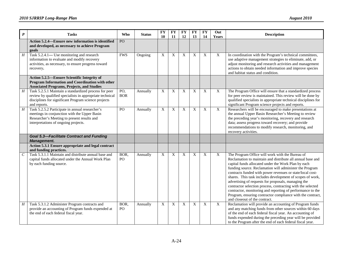| $\boldsymbol{P}$ | <b>Tasks</b>                                                                                                                                                                              | <b>Who</b>              | <b>Status</b> | <b>FY</b><br>10 | <b>FY</b><br>11 | <b>FY</b><br>12 | $\mathbf{F}\mathbf{Y}$<br>13 | <b>FY</b><br>14 | Out<br>Years | <b>Description</b>                                                                                                                                                                                                                                                                                                                                                                                                                                                                                                                                                                                                                           |
|------------------|-------------------------------------------------------------------------------------------------------------------------------------------------------------------------------------------|-------------------------|---------------|-----------------|-----------------|-----------------|------------------------------|-----------------|--------------|----------------------------------------------------------------------------------------------------------------------------------------------------------------------------------------------------------------------------------------------------------------------------------------------------------------------------------------------------------------------------------------------------------------------------------------------------------------------------------------------------------------------------------------------------------------------------------------------------------------------------------------------|
|                  | Action 5.2.4—Ensure new information is identified<br>and developed, as necessary to achieve Program<br>goals                                                                              | PO                      |               |                 |                 |                 |                              |                 |              |                                                                                                                                                                                                                                                                                                                                                                                                                                                                                                                                                                                                                                              |
| $\boldsymbol{H}$ | Task 5.2.4.1— Use monitoring and research<br>information to evaluate and modify recovery<br>activities, as necessary, to ensure progress toward<br>recovery.                              | <b>FWS</b>              | Ongoing       | X               | X               | X               | X                            | X               | X            | In coordination with the Program's technical committees,<br>use adaptive management strategies to eliminate, add, or<br>adjust monitoring and research activities and management<br>actions to obtain needed information and improve species<br>and habitat status and condition.                                                                                                                                                                                                                                                                                                                                                            |
|                  | Action 5.2.5-Ensure Scientific Integrity of<br>Program Information and Coordination with other<br><b>Associated Programs, Projects, and Studies</b>                                       |                         |               |                 |                 |                 |                              |                 |              |                                                                                                                                                                                                                                                                                                                                                                                                                                                                                                                                                                                                                                              |
| H                | Task 5.2.5.1 Maintain a standardized process for peer<br>review by qualified specialists in appropriate technical<br>disciplines for significant Program science projects<br>and reports. | PO,<br><b>BOR</b>       | Annually      | X               | X               | X               | X                            | X               | X            | The Program Office will ensure that a standardized process<br>for peer review is maintained. This review will be done by<br>qualified specialists in appropriate technical disciplines for<br>significant Program science projects and reports.                                                                                                                                                                                                                                                                                                                                                                                              |
| $\overline{H}$   | Task 5.2.5.2 Participate in annual researcher's<br>meetings in conjunction with the Upper Basin<br>Researcher's Meeting to present results and<br>interpretations of ongoing projects.    | PO                      | Annually      | X               | X               | $\mathbf X$     | $\mathbf X$                  | $\mathbf X$     | X            | Researchers will be encouraged to make presentations at<br>the annual Upper Basin Researcher's Meeting to review<br>the preceding year's monitoring, recovery and research<br>data; assess progress toward recovery; and provide<br>recommendations to modify research, monitoring, and<br>recovery activities.                                                                                                                                                                                                                                                                                                                              |
|                  | <b>Goal 5.3-Facilitate Contract and Funding</b><br><b>Management.</b>                                                                                                                     |                         |               |                 |                 |                 |                              |                 |              |                                                                                                                                                                                                                                                                                                                                                                                                                                                                                                                                                                                                                                              |
|                  | Action 5.3.1 Ensure appropriate and legal contract<br>and funding practices.                                                                                                              |                         |               |                 |                 |                 |                              |                 |              |                                                                                                                                                                                                                                                                                                                                                                                                                                                                                                                                                                                                                                              |
| $\,c\,$          | Task 5.3.1.1 Maintain and distribute annual base and<br>capital funds allocated under the Annual Work Plan<br>by each funding source.                                                     | BOR,<br>PO <sub>1</sub> | Annually      | X               | X               | X               | X                            | X               | X            | The Program Office will work with the Bureau of<br>Reclamation to maintain and distribute all annual base and<br>capital funds allocated under the Work Plan by each<br>funding source. Reclamation will administer the Program<br>contracts funded with power revenues or state/local cost-<br>shares. This task includes development of scopes of work,<br>advertising of requests for proposals, managing the<br>contractor selection process, contracting with the selected<br>contractor, monitoring and reporting of performance to the<br>Program, ensuring contractor compliance with the contract,<br>and closeout of the contract. |
| H                | Task 5.3.1.2 Administer Program contracts and<br>provide an accounting of Program funds expended at<br>the end of each federal fiscal year.                                               | BOR,<br>PO <sub>1</sub> | Annually      | X               | $\mathbf X$     | X               | X                            | $\mathbf X$     | X            | Reclamation will provide an accounting of Program funds<br>and any matching funds from other sources within 60 days<br>of the end of each federal fiscal year. An accounting of<br>funds expended during the preceding year will be provided<br>to the Program after the end of each federal fiscal year.                                                                                                                                                                                                                                                                                                                                    |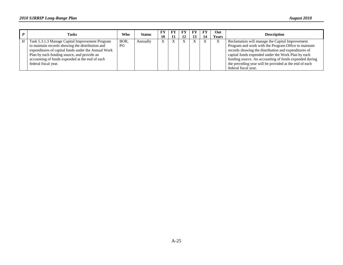| <b>Tasks</b>                                        | Who            | <b>Status</b> | FY<br>10 | - FY | FY<br>12 | FY<br>13 | FY | Out<br>Years | <b>Description</b>                                     |
|-----------------------------------------------------|----------------|---------------|----------|------|----------|----------|----|--------------|--------------------------------------------------------|
| Task 5.3.1.3 Manage Capital Improvement Program     | BOR.           | Annually      |          |      |          |          |    |              | Reclamation will manage the Capital Improvement        |
| to maintain records showing the distribution and    | P <sub>O</sub> |               |          |      |          |          |    |              | Program and work with the Program Office to maintain   |
| expenditures of capital funds under the Annual Work |                |               |          |      |          |          |    |              | records showing the distribution and expenditures of   |
| Plan by each funding source, and provide an         |                |               |          |      |          |          |    |              | capital funds expended under the Work Plan by each     |
| accounting of funds expended at the end of each     |                |               |          |      |          |          |    |              | funding source. An accounting of funds expended during |
| federal fiscal year.                                |                |               |          |      |          |          |    |              | the preceding year will be provided at the end of each |
|                                                     |                |               |          |      |          |          |    |              | federal fiscal year.                                   |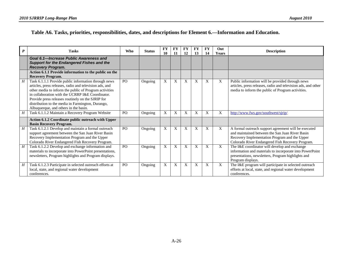# **Table A6. Tasks, priorities, responsibilities, dates, and descriptions for Element 6.—Information and Education.**

| $\boldsymbol{P}$ | <b>Tasks</b>                                                                                                                                                                                                                                                                                                                                                                     | <b>Who</b>     | <b>Status</b> | <b>FY</b><br>10 | <b>FY</b><br>11 | <b>FY</b><br>12 | FY<br>13 | <b>FY</b><br>14 | Out<br><b>Years</b>       | <b>Description</b>                                                                                                                                                                                           |
|------------------|----------------------------------------------------------------------------------------------------------------------------------------------------------------------------------------------------------------------------------------------------------------------------------------------------------------------------------------------------------------------------------|----------------|---------------|-----------------|-----------------|-----------------|----------|-----------------|---------------------------|--------------------------------------------------------------------------------------------------------------------------------------------------------------------------------------------------------------|
|                  | Goal 6.1-Increase Public Awareness and<br><b>Support for the Endangered Fishes and the</b><br><b>Recovery Program.</b>                                                                                                                                                                                                                                                           |                |               |                 |                 |                 |          |                 |                           |                                                                                                                                                                                                              |
|                  | Action 6.1.1 Provide information to the public on the<br><b>Recovery Program.</b>                                                                                                                                                                                                                                                                                                |                |               |                 |                 |                 |          |                 |                           |                                                                                                                                                                                                              |
| H                | Task 6.1.1.1 Provide public information through news<br>articles, press releases, radio and television ads, and<br>other media to inform the public of Program activities<br>in collaboration with the UCRRP I&E Coordinator.<br>Provide press releases routinely on the SJRIP for<br>distribution to the media in Farmington, Durango,<br>Albuquerque, and others in the basin. | PO             | Ongoing       | X               | X               | X               | X        | X               | X                         | Public information will be provided through news<br>articles, press releases, radio and television ads, and other<br>media to inform the public of Program activities.                                       |
| H                | Task 6.1.1.2 Maintain a Recovery Program Website                                                                                                                                                                                                                                                                                                                                 | P <sub>O</sub> | Ongoing       | X               | X               | X               | X        | X               | X                         | http://www.fws.gov/southwest/sjrip/                                                                                                                                                                          |
|                  | Action 6.1.2 Coordinate public outreach with Upper<br><b>Basin Recovery Program.</b>                                                                                                                                                                                                                                                                                             |                |               |                 |                 |                 |          |                 |                           |                                                                                                                                                                                                              |
| H                | Task 6.1.2.1 Develop and maintain a formal outreach<br>support agreement between the San Juan River Basin<br>Recovery Implementation Program and the Upper<br>Colorado River Endangered Fish Recovery Program.                                                                                                                                                                   | P <sub>O</sub> | Ongoing       | $\mathbf X$     | X               | X               | X        | X               | X                         | A formal outreach support agreement will be executed<br>and maintained between the San Juan River Basin<br>Recovery Implementation Program and the Upper<br>Colorado River Endangered Fish Recovery Program. |
| H                | Task 6.1.2.2 Develop and exchange information and<br>materials to incorporate into PowerPoint presentations,<br>newsletters, Program highlights and Program displays.                                                                                                                                                                                                            | P <sub>O</sub> | Ongoing       | $\mathbf X$     | X               | X               | X        | X               | $\boldsymbol{\mathrm{X}}$ | The I&E coordinator will develop and exchange<br>information and materials to incorporate into PowerPoint<br>presentations, newsletters, Program highlights and<br>Program displays.                         |
| H                | Task 6.1.2.3 Participate in selected outreach efforts at<br>local, state, and regional water development<br>conferences.                                                                                                                                                                                                                                                         | P <sub>O</sub> | Ongoing       | X               | X               | X               | X        | X               | X                         | The I&E program will participate in selected outreach<br>efforts at local, state, and regional water development<br>conferences.                                                                             |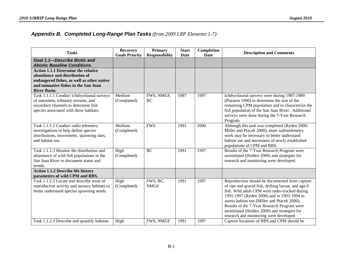### *Appendix B. Completed Long-Range Plan Tasks (from 2009 LRP Elements 1-7)*

| <b>Tasks</b>                                                                                                                                                                             | <b>Recovery</b><br><b>Goals Priority</b> | <b>Primary</b><br><b>Responsibility</b> | <b>Start</b><br><b>Date</b> | Completion<br><b>Date</b> | <b>Description and Comments</b>                                                                                                                                                                                                                                                                                                                                                                |
|------------------------------------------------------------------------------------------------------------------------------------------------------------------------------------------|------------------------------------------|-----------------------------------------|-----------------------------|---------------------------|------------------------------------------------------------------------------------------------------------------------------------------------------------------------------------------------------------------------------------------------------------------------------------------------------------------------------------------------------------------------------------------------|
| Goal 1.1-Describe Biotic and<br><b>Abiotic Baseline Conditions.</b>                                                                                                                      |                                          |                                         |                             |                           |                                                                                                                                                                                                                                                                                                                                                                                                |
| <b>Action 1.1.1 Determine the relative</b><br>abundance and distribution of<br>endangered fishes, as well as other native<br>and nonnative fishes in the San Juan<br><b>River Basin.</b> |                                          |                                         |                             |                           |                                                                                                                                                                                                                                                                                                                                                                                                |
| Task 1.1.1.1 Conduct ichthyofaunal surveys<br>of mainstem, tributary streams, and<br>secondary channels to determine fish<br>species associated with these habitats.                     | Medium<br>(Completed)                    | FWS, NMGF,<br>BC                        | 1987                        | 1997                      | Ichthyofaunal surveys were during 1987-1989<br>(Platania 1990) to determine the size of the<br>remaining CPM population and to characterize the<br>fish population of the San Juan River. Additional<br>surveys were done during the 7-Year Research<br>Program.                                                                                                                               |
| Task 1.1.1.2 Conduct radio telemetry<br>investigations to help define species<br>distributions, movements, spawning sites,<br>and habitat use.                                           | Medium<br>(Completed)                    | <b>FWS</b>                              | 1991                        | 2000                      | Although this task was completed (Ryden 2000;<br>Miller and Ptacek 2000), more radiotelemetry<br>work may be necessary to better understand<br>habitat use and movement of newly established<br>populations of CPM and RBS.                                                                                                                                                                    |
| Task 1.1.1.3 Monitor the distribution and<br>abundance of wild fish populations in the<br>San Juan River to document status and<br>trends.                                               | High<br>(Completed)                      | <b>BC</b>                               | 1991                        | 1997                      | Results of the 7-Year Research Program were<br>assimilated (Holden 2000) and strategies for<br>research and monitoring were developed.                                                                                                                                                                                                                                                         |
| <b>Action 1.1.2 Describe life history</b><br>parameters of wild CPM and RBS.                                                                                                             |                                          |                                         |                             |                           |                                                                                                                                                                                                                                                                                                                                                                                                |
| Task 1.1.2.2 Locate and describe areas of<br>reproductive activity and nursery habitats to<br>better understand species spawning needs.                                                  | High<br>(Completed)                      | FWS, BC,<br><b>NMGF</b>                 | 1991                        | 1997                      | Reproduction should be documented from capture<br>of ripe and gravid fish, drifting larvae, and age-0<br>fish. Wild adult CPM were radio-tracked during<br>1991-1997 (Ryden 2000) and in 1993-1994 to<br>assess habitat use (Miller and Ptacek 2000).<br>Results of the 7-Year Research Program were<br>assimilated (Holden 2000) and strategies for<br>research and monitoring were developed |
| Task 1.1.2.3 Describe and quantify habitats                                                                                                                                              | High                                     | FWS, NMGF                               | 1991                        | 1997                      | Capture locations of RBS and CPM should be                                                                                                                                                                                                                                                                                                                                                     |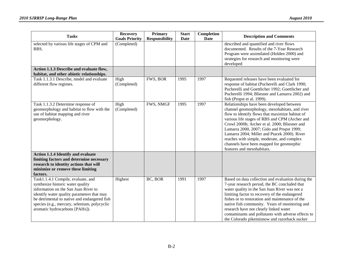| <b>Tasks</b>                                                                                                                                                                                                                                                                                    | <b>Recovery</b><br><b>Goals Priority</b> | Primary<br><b>Responsibility</b> | <b>Start</b><br><b>Date</b> | Completion<br><b>Date</b> | <b>Description and Comments</b>                                                                                                                                                                                                                                                                                                                                                                                                                                        |
|-------------------------------------------------------------------------------------------------------------------------------------------------------------------------------------------------------------------------------------------------------------------------------------------------|------------------------------------------|----------------------------------|-----------------------------|---------------------------|------------------------------------------------------------------------------------------------------------------------------------------------------------------------------------------------------------------------------------------------------------------------------------------------------------------------------------------------------------------------------------------------------------------------------------------------------------------------|
| selected by various life stages of CPM and<br>RBS.                                                                                                                                                                                                                                              | (Completed)                              |                                  |                             |                           | described and quantified and river flows<br>documented. Results of the 7-Year Research<br>Program were assimilated (Holden 2000) and<br>strategies for research and monitoring were<br>developed                                                                                                                                                                                                                                                                       |
| Action 1.1.3 Describe and evaluate flow,<br>habitat, and other abiotic relationships.                                                                                                                                                                                                           |                                          |                                  |                             |                           |                                                                                                                                                                                                                                                                                                                                                                                                                                                                        |
| Task 1.1.3.1 Describe, model and evaluate<br>different flow regimes.                                                                                                                                                                                                                            | High<br>(Completed)                      | FWS, BOR                         | 1995                        | 1997                      | Requested releases have been evaluated for<br>response of habitat (Pucherelli and Clark 1990;<br>Pucherelli and Goettlicher 1992; Goettlicher and<br>Pucherelli 1994; Bliesner and Lamarra 2002) and<br>fish (Propst et al. 1999).                                                                                                                                                                                                                                     |
| Task 1.1.3.2 Determine response of<br>geomorphology and habitat to flow with the<br>use of habitat mapping and river<br>geomorphology.                                                                                                                                                          | High<br>(Completed)                      | FWS, NMGF                        | 1995                        | 1997                      | Relationships have been developed between<br>channel geomorphology, mesohabitats, and river<br>flow to identify flows that maximize habitat of<br>various life stages of RBS and CPM (Archer and<br>Crowl 2000b; Archer et al. 2000; Bliesner and<br>Lamarra 2000, 2007; Gido and Propst 1999;<br>Lamarra 2004; Miller and Ptacek 2000). River<br>reaches with simple, moderate, and complex<br>channels have been mapped for geomorphic<br>features and mesohabitats. |
| <b>Action 1.1.4 Identify and evaluate</b><br>limiting factors and determine necessary<br>research to identity actions that will<br>minimize or remove these limiting<br>factors.                                                                                                                |                                          |                                  |                             |                           |                                                                                                                                                                                                                                                                                                                                                                                                                                                                        |
| Task1.1.4.1 Compile, evaluate, and<br>synthesize historic water quality<br>information on the San Juan River to<br>identify water quality parameters that may<br>be detrimental to native and endangered fish<br>species (e.g., mercury, selenium, polycyclic<br>aromatic hydrocarbons [PAHs]). | Highest                                  | BC, BOR                          | 1991                        | 1997                      | Based on data collection and evaluation during the<br>7-year research period, the BC concluded that<br>water quality in the San Juan River was not a<br>limiting factor to recovery of the endangered<br>fishes or to restoration and maintenance of the<br>native fish community. Years of monitoring and<br>research have not clearly linked water<br>contaminants and pollutants with adverse effects to<br>the Colorado pikeminnow and razorback sucker            |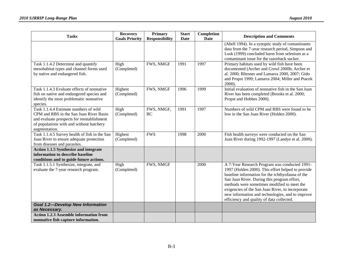| <b>Tasks</b>                                                                                                                                                                                | <b>Recovery</b>        | Primary                 | <b>Start</b> | Completion  | <b>Description and Comments</b>                                                                                                                                                                                                                                                                                                                                                                           |
|---------------------------------------------------------------------------------------------------------------------------------------------------------------------------------------------|------------------------|-------------------------|--------------|-------------|-----------------------------------------------------------------------------------------------------------------------------------------------------------------------------------------------------------------------------------------------------------------------------------------------------------------------------------------------------------------------------------------------------------|
|                                                                                                                                                                                             | <b>Goals Priority</b>  | <b>Responsibility</b>   | <b>Date</b>  | <b>Date</b> |                                                                                                                                                                                                                                                                                                                                                                                                           |
|                                                                                                                                                                                             |                        |                         |              |             | (Abell 1994). In a synoptic study of contaminants<br>data from the 7-year research period, Simpson and<br>Lusk (1999) concluded harm from selenium as a                                                                                                                                                                                                                                                   |
|                                                                                                                                                                                             |                        |                         |              |             | contaminant issue for the razorback sucker.                                                                                                                                                                                                                                                                                                                                                               |
| Task 1.1.4.2 Determine and quantify<br>mesohabitat types and channel forms used<br>by native and endangered fish.                                                                           | High<br>(Completed)    | FWS, NMGF               | 1991         | 1997        | Primary habitats used by wild fish have been<br>documented (Archer and Crowl 2000b; Archer et<br>al. 2000; Bliesner and Lamarra 2000, 2007; Gido<br>and Propst 1999; Lamarra 2004; Miller and Ptacek<br>$2000$ ).                                                                                                                                                                                         |
| Task 1.1.4.3 Evaluate effects of nonnative<br>fish on native and endangered species and<br>identify the most problematic nonnative<br>species.                                              | Highest<br>(Completed) | FWS, NMGF               | 1996         | 1999        | Initial evaluation of nonnative fish in the San Juan<br>River has been completed (Brooks et al. 2000;<br>Propst and Hobbes 2000).                                                                                                                                                                                                                                                                         |
| Task 1.1.4.4 Estimate numbers of wild<br>CPM and RBS in the San Juan River Basin<br>and evaluate prospects for reestablishment<br>of populations with and without hatchery<br>augmentation. | High<br>(Completed)    | FWS, NMGF,<br><b>BC</b> | 1991         | 1997        | Numbers of wild CPM and RBS were found to be<br>low in the San Juan River (Holden 2000).                                                                                                                                                                                                                                                                                                                  |
| Task 1.1.4.5 Survey health of fish in the San<br>Juan River to ensure adequate protection<br>from diseases and parasites.                                                                   | Highest<br>(Completed) | <b>FWS</b>              | 1998         | 2000        | Fish health surveys were conducted on the San<br>Juan River during 1992-1997 (Landye et al. 2000).                                                                                                                                                                                                                                                                                                        |
| <b>Action 1.1.5 Synthesize and integrate</b>                                                                                                                                                |                        |                         |              |             |                                                                                                                                                                                                                                                                                                                                                                                                           |
| information to describe baseline<br>conditions and to guide future actions.                                                                                                                 |                        |                         |              |             |                                                                                                                                                                                                                                                                                                                                                                                                           |
| Task 1.1.5.1 Synthesize, integrate, and<br>evaluate the 7-year research program.                                                                                                            | High<br>(Completed)    | FWS, NMGF               |              | 2000        | A 7-Year Research Program was conducted 1991-<br>1997 (Holden 2000). This effort helped to provide<br>baseline information for the ichthyofauna of the<br>San Juan River. During this program effort,<br>methods were sometimes modified to meet the<br>exigencies of the San Juan River, to incorporate<br>new information and technologies, and to improve<br>efficiency and quality of data collected. |
| <b>Goal 1.2-Develop New Information</b><br>as Necessary.                                                                                                                                    |                        |                         |              |             |                                                                                                                                                                                                                                                                                                                                                                                                           |
| <b>Action 1.2.3 Assemble information from</b><br>nonnative fish capture information.                                                                                                        |                        |                         |              |             |                                                                                                                                                                                                                                                                                                                                                                                                           |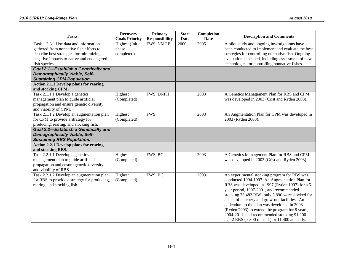| <b>Tasks</b>                                                                                                                                                                              | <b>Recovery</b><br><b>Goals Priority</b>       | Primary<br><b>Responsibility</b> | <b>Start</b><br><b>Date</b> | Completion<br><b>Date</b> | <b>Description and Comments</b>                                                                                                                                                                                                                                                                                                                                                                                                                                                                                  |
|-------------------------------------------------------------------------------------------------------------------------------------------------------------------------------------------|------------------------------------------------|----------------------------------|-----------------------------|---------------------------|------------------------------------------------------------------------------------------------------------------------------------------------------------------------------------------------------------------------------------------------------------------------------------------------------------------------------------------------------------------------------------------------------------------------------------------------------------------------------------------------------------------|
| Task 1.2.3.1 Use data and information<br>gathered from nonnative fish efforts to<br>describe best strategies for minimizing<br>negative impacts to native and endangered<br>fish species. | <b>Highest</b> (Initial<br>phase<br>completed) | FWS, NMGF                        | 2000                        | 2005                      | A pilot study and ongoing investigations have<br>been conducted to implement and evaluate the best<br>strategies for controlling nonnative fish. Ongoing<br>evaluation is needed, including assessment of new<br>technologies for controlling nonnative fishes.                                                                                                                                                                                                                                                  |
| Goal 2.1-Establish a Genetically and<br><b>Demographically Viable, Self-</b><br><b>Sustaining CPM Population.</b>                                                                         |                                                |                                  |                             |                           |                                                                                                                                                                                                                                                                                                                                                                                                                                                                                                                  |
| <b>Action 2.1.1 Develop plans for rearing</b><br>and stocking CPM.                                                                                                                        |                                                |                                  |                             |                           |                                                                                                                                                                                                                                                                                                                                                                                                                                                                                                                  |
| Task 2.1.1.1 Develop a genetics<br>management plan to guide artificial<br>propagation and ensure genetic diversity<br>and viability of CPM.                                               | Highest<br>(Completed)                         | FWS, DNFH                        |                             | 2003                      | A Genetics Management Plan for RBS and CPM<br>was developed in 2003 (Crist and Ryden 2003).                                                                                                                                                                                                                                                                                                                                                                                                                      |
| Task 2.1.1.2 Develop an augmentation plan<br>for CPM to provide a strategy for<br>producing, rearing, and stocking fish.                                                                  | Highest<br>(Completed)                         | <b>FWS</b>                       |                             | 2003                      | An Augmentation Plan for CPM was developed in<br>2003 (Ryden 2003).                                                                                                                                                                                                                                                                                                                                                                                                                                              |
| Goal 2.2-Establish a Genetically and<br><b>Demographically Viable, Self-</b><br><b>Sustaining RBS Population.</b>                                                                         |                                                |                                  |                             |                           |                                                                                                                                                                                                                                                                                                                                                                                                                                                                                                                  |
| <b>Action 2.2.1 Develop plans for rearing</b><br>and stocking RBS.                                                                                                                        |                                                |                                  |                             |                           |                                                                                                                                                                                                                                                                                                                                                                                                                                                                                                                  |
| Task 2.2.1.1 Develop a genetics<br>management plan to guide artificial<br>propagation and ensure genetic diversity<br>and viability of RBS.                                               | Highest<br>(Completed)                         | FWS, BC                          |                             | 2003                      | A Genetics Management Plan for RBS and CPM<br>was developed in 2003 (Crist and Ryden 2003).                                                                                                                                                                                                                                                                                                                                                                                                                      |
| Task 2.2.1.2 Develop an augmentation plan<br>for RBS to provide a strategy for producing,<br>rearing, and stocking fish.                                                                  | Highest<br>(Completed)                         | FWS, BC                          |                             | 2003                      | An experimental stocking program for RBS was<br>conducted 1994-1997. An Augmentation Plan for<br>RBS was developed in 1997 (Ryden 1997) for a 5-<br>year period, 1997-2001, and recommended<br>stocking 73,482 RBS; only 5,890 were stocked for<br>a lack of hatchery and grow-out facilities. An<br>addendum to the plan was developed in 2003<br>(Ryden 2003) to extend the program for 8 years,<br>2004-2011, and recommended stocking 91,200<br>age-2 RBS $(>300 \text{ mm} \text{ TL})$ or 11,400 annually. |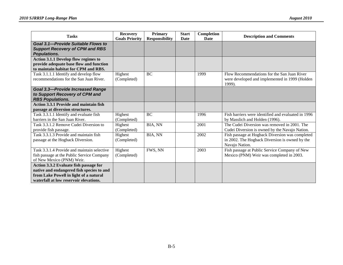| <b>Tasks</b>                                                                                                                                                            | <b>Recovery</b><br><b>Goals Priority</b> | <b>Primary</b><br><b>Responsibility</b> | <b>Start</b><br>Date | Completion<br>Date | <b>Description and Comments</b>                                                                                     |
|-------------------------------------------------------------------------------------------------------------------------------------------------------------------------|------------------------------------------|-----------------------------------------|----------------------|--------------------|---------------------------------------------------------------------------------------------------------------------|
| Goal 3.1-Provide Suitable Flows to<br><b>Support Recovery of CPM and RBS</b><br><b>Populations.</b>                                                                     |                                          |                                         |                      |                    |                                                                                                                     |
| Action 3.1.1 Develop flow regimes to<br>provide adequate base flow and function<br>to maintain habitat for CPM and RBS.                                                 |                                          |                                         |                      |                    |                                                                                                                     |
| Task 3.1.1.1 Identify and develop flow<br>recommendations for the San Juan River.                                                                                       | Highest<br>(Completed)                   | <b>BC</b>                               |                      | 1999               | Flow Recommendations for the San Juan River<br>were developed and implemented in 1999 (Holden<br>1999).             |
| <b>Goal 3.3-Provide Increased Range</b><br>to Support Recovery of CPM and<br><b>RBS Populations.</b>                                                                    |                                          |                                         |                      |                    |                                                                                                                     |
| <b>Action 3.3.1 Provide and maintain fish</b>                                                                                                                           |                                          |                                         |                      |                    |                                                                                                                     |
| passage at diversion structures.                                                                                                                                        |                                          |                                         |                      |                    |                                                                                                                     |
| Task 3.3.1.1 Identify and evaluate fish                                                                                                                                 | Highest                                  | <b>BC</b>                               |                      | 1996               | Fish barriers were identified and evaluated in 1996                                                                 |
| barriers in the San Juan River.                                                                                                                                         | (Completed)                              |                                         |                      |                    | by Masslich and Holden (1996).                                                                                      |
| Task 3.3.1.2 Remove Cudei Diversion to<br>provide fish passage.                                                                                                         | Highest<br>(Completed)                   | BIA, NN                                 |                      | 2001               | The Cudei Diversion was removed in 2001. The<br>Cudei Diversion is owned by the Navajo Nation.                      |
| Task 3.3.1.3 Provide and maintain fish<br>passage at the Hogback Diversion.                                                                                             | Highest<br>(Completed)                   | BIA, NN                                 |                      | 2002               | Fish passage at Hogback Diversion was completed<br>in 2002. The Hogback Diversion is owned by the<br>Navajo Nation. |
| Task 3.3.1.4 Provide and maintain selective<br>fish passage at the Public Service Company<br>of New Mexico (PNM) Weir.                                                  | Highest<br>(Completed)                   | FWS, NN                                 |                      | 2003               | Fish passage at Public Service Company of New<br>Mexico (PNM) Weir was completed in 2003.                           |
| Action 3.3.2 Evaluate fish passage for<br>native and endangered fish species to and<br>from Lake Powell in light of a natural<br>waterfall at low reservoir elevations. |                                          |                                         |                      |                    |                                                                                                                     |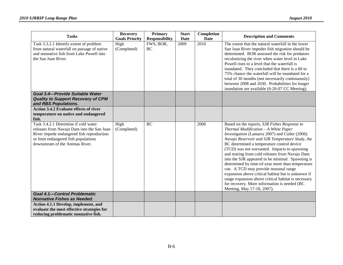| <b>Tasks</b>                                                                                                                                                                                               | <b>Recovery</b><br><b>Goals Priority</b> | Primary<br><b>Responsibility</b> | <b>Start</b><br>Date | Completion<br><b>Date</b> | <b>Description and Comments</b>                                                                                                                                                                                                                                                                                                                                                                                                                                                                                                                                                                                                                                                       |
|------------------------------------------------------------------------------------------------------------------------------------------------------------------------------------------------------------|------------------------------------------|----------------------------------|----------------------|---------------------------|---------------------------------------------------------------------------------------------------------------------------------------------------------------------------------------------------------------------------------------------------------------------------------------------------------------------------------------------------------------------------------------------------------------------------------------------------------------------------------------------------------------------------------------------------------------------------------------------------------------------------------------------------------------------------------------|
| Task 3.3.2.1 Identify extent of problem<br>from natural waterfall on passage of native<br>and nonnative fish from Lake Powell into<br>the San Juan River.                                                  | High<br>(Completed)                      | FWS, BOR,<br>BC                  | 2009                 | 2010                      | The extent that the natural waterfall in the lower<br>San Juan River impedes fish migration should be<br>determined. BOR assessed the risk for predators<br>recolonizing the river when water level in Lake<br>Powell rises to a level that the waterfall is<br>inundated. They concluded that there is a 60 to<br>75% chance the waterfall will be inundated for a<br>total of 30 months (not necessarily continuously)<br>between 2008 and 2030. Probabilities for longer<br>inundation are available (6-26-07 CC Meeting).                                                                                                                                                         |
| Goal 3.4-Provide Suitable Water<br><b>Quality to Support Recovery of CPM</b><br>and RBS Populations.                                                                                                       |                                          |                                  |                      |                           |                                                                                                                                                                                                                                                                                                                                                                                                                                                                                                                                                                                                                                                                                       |
| <b>Action 3.4.2 Evaluate effects of river</b><br>temperature on native and endangered<br>fish.                                                                                                             |                                          |                                  |                      |                           |                                                                                                                                                                                                                                                                                                                                                                                                                                                                                                                                                                                                                                                                                       |
| Task 3.4.2.1 Determine if cold water<br>releases from Navajo Dam into the San Juan<br>River impede endangered fish reproduction<br>or limit endangered fish populations<br>downstream of the Animas River. | High<br>(Completed)                      | <b>BC</b>                        |                      | 2006                      | Based on the reports, SJR Fishes Response to<br>Thermal Modification - A White Paper<br>Investigation (Lamarra 2007) and Cutler (2006)<br>Navajo Reservoir and SJR Temperature Study, the<br>BC determined a temperature control device<br>(TCD) was not warranted. Impacts to spawning<br>and rearing from cold releases from Navajo Dam<br>into the SJR appeared to be minimal. Spawning is<br>determined by time-of-year more than temperature<br>cue. A TCD may provide seasonal range<br>expansion above critical habitat but is unknown if<br>range expansion above critical habitat is necessary<br>for recovery. More information is needed (BC<br>Meeting, May 17-18, 2007). |
| <b>Goal 4.1-Control Problematic</b><br><b>Nonnative Fishes as Needed.</b>                                                                                                                                  |                                          |                                  |                      |                           |                                                                                                                                                                                                                                                                                                                                                                                                                                                                                                                                                                                                                                                                                       |
| Action 4.1.1 Develop, implement, and<br>evaluate the most effective strategies for<br>reducing problematic nonnative fish.                                                                                 |                                          |                                  |                      |                           |                                                                                                                                                                                                                                                                                                                                                                                                                                                                                                                                                                                                                                                                                       |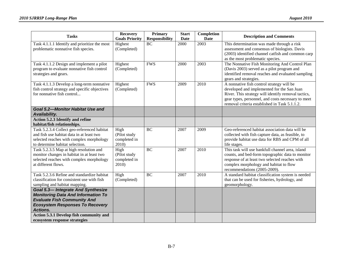| <b>Tasks</b>                                                                                                                                                                             | <b>Recovery</b><br><b>Goals Priority</b>      | <b>Primary</b><br><b>Responsibility</b> | <b>Start</b><br><b>Date</b> | Completion<br><b>Date</b> | <b>Description and Comments</b>                                                                                                                                                                                                                       |
|------------------------------------------------------------------------------------------------------------------------------------------------------------------------------------------|-----------------------------------------------|-----------------------------------------|-----------------------------|---------------------------|-------------------------------------------------------------------------------------------------------------------------------------------------------------------------------------------------------------------------------------------------------|
| Task 4.1.1.1 Identify and prioritize the most<br>problematic nonnative fish species.                                                                                                     | Highest<br>(Completed)                        | <b>BC</b>                               | 2000                        | 2003                      | This determination was made through a risk<br>assessment and consensus of biologists. Davis<br>(2003) identified channel catfish and common carp<br>as the most problematic species.                                                                  |
| Task 4.1.1.2 Design and implement a pilot<br>program to evaluate nonnative fish control<br>strategies and gears.                                                                         | Highest<br>(Completed)                        | <b>FWS</b>                              | 2000                        | 2003                      | The Nonnative Fish Monitoring And Control Plan<br>(Davis 2003) served as a pilot program and<br>identified removal reaches and evaluated sampling<br>gears and strategies.                                                                            |
| Task 4.1.1.3 Develop a long-term nonnative<br>fish control strategy and specific objectives<br>for nonnative fish control                                                                | Highest<br>(Completed)                        | <b>FWS</b>                              | 2009                        | 2010                      | A nonnative fish control strategy will be<br>developed and implemented for the San Juan<br>River. This strategy will identify removal tactics,<br>gear types, personnel, and costs necessary to meet<br>removal criteria established in Task 5.1.1.2. |
| <b>Goal 5.2-Monitor Habitat Use and</b><br>Availability.                                                                                                                                 |                                               |                                         |                             |                           |                                                                                                                                                                                                                                                       |
| <b>Action 5.2.3 Identify and refine</b><br>habitat/fish relationships.                                                                                                                   |                                               |                                         |                             |                           |                                                                                                                                                                                                                                                       |
| Task 5.2.3.4 Collect geo-referenced habitat<br>and fish use habitat data in at least two<br>selected reaches with complex morphology<br>to determine habitat selection.                  | High<br>(Pilot study<br>completed in<br>2010) | <b>BC</b>                               | 2007                        | 2009                      | Geo-referenced habitat association data will be<br>collected with fish capture data, as feasible, to<br>provide habitat use data for RBS and CPM of all<br>life stages.                                                                               |
| Task 5.2.3.5 Map at high resolution and<br>monitor changes in habitat in at least two<br>selected reaches with complex morphology<br>at different flows.                                 | High<br>(Pilot study<br>completed in<br>2010) | <b>BC</b>                               | 2007                        | 2010                      | This task will use bankfull channel area, island<br>counts, and bed-form topographic data to monitor<br>response of at least two selected reaches with<br>complex morphology and habitat to flow<br>recommendations (2005-2009).                      |
| Task 5.2.3.6 Refine and standardize habitat<br>classification for consistent use with fish<br>sampling and habitat mapping.                                                              | High<br>(Completed)                           | <b>BC</b>                               | 2007                        | 2010                      | A standard habitat classification system is needed<br>that can be used for fisheries, hydrology, and<br>geomorphology.                                                                                                                                |
| <b>Goal 5.3-Integrate And Synthesize</b><br><b>Monitoring Data And Information To</b><br><b>Evaluate Fish Community And</b><br><b>Ecosystem Responses To Recovery</b><br><b>Actions.</b> |                                               |                                         |                             |                           |                                                                                                                                                                                                                                                       |
| Action 5.3.1 Develop fish community and<br>ecosystem response strategies                                                                                                                 |                                               |                                         |                             |                           |                                                                                                                                                                                                                                                       |